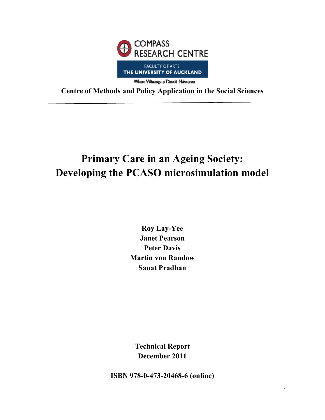

**Centre of Methods and Policy Application in the Social Sciences** 

# **Primary Care in an Ageing Society: Developing the PCASO microsimulation model**

**Roy Lay-Yee Janet Pearson Peter Davis Martin von Randow Sanat Pradhan** 

**Technical Report December 2011** 

**ISBN 978-0-473-20468-6 (online)**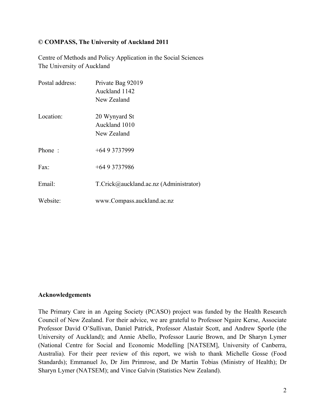#### **© COMPASS, The University of Auckland 2011**

Centre of Methods and Policy Application in the Social Sciences The University of Auckland

| Postal address: | Private Bag 92019<br>Auckland 1142<br>New Zealand |
|-----------------|---------------------------------------------------|
| Location:       | 20 Wynyard St<br>Auckland 1010<br>New Zealand     |
| Phone:          | $+6493737999$                                     |
| Fax:            | $+6493737986$                                     |
| Email:          | $T.Crick@auckland.ac.nz (Administrator)$          |
| Website:        | www.Compass.auckland.ac.nz                        |

#### **Acknowledgements**

The Primary Care in an Ageing Society (PCASO) project was funded by the Health Research Council of New Zealand. For their advice, we are grateful to Professor Ngaire Kerse, Associate Professor David O'Sullivan, Daniel Patrick, Professor Alastair Scott, and Andrew Sporle (the University of Auckland); and Annie Abello, Professor Laurie Brown, and Dr Sharyn Lymer (National Centre for Social and Economic Modelling [NATSEM], University of Canberra, Australia). For their peer review of this report, we wish to thank Michelle Gosse (Food Standards); Emmanuel Jo, Dr Jim Primrose, and Dr Martin Tobias (Ministry of Health); Dr Sharyn Lymer (NATSEM); and Vince Galvin (Statistics New Zealand).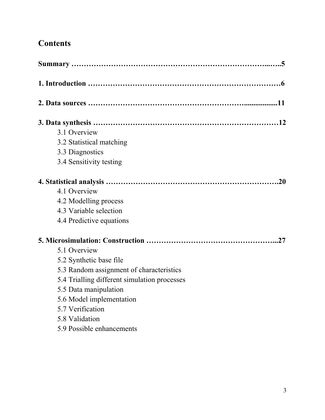## **Contents**

| 3.1 Overview             |                                              |
|--------------------------|----------------------------------------------|
| 3.2 Statistical matching |                                              |
| 3.3 Diagnostics          |                                              |
| 3.4 Sensitivity testing  |                                              |
|                          |                                              |
| 4.1 Overview             |                                              |
| 4.2 Modelling process    |                                              |
| 4.3 Variable selection   |                                              |
| 4.4 Predictive equations |                                              |
|                          |                                              |
| 5.1 Overview             |                                              |
| 5.2 Synthetic base file  |                                              |
|                          | 5.3 Random assignment of characteristics     |
|                          | 5.4 Trialling different simulation processes |
| 5.5 Data manipulation    |                                              |
|                          | 5.6 Model implementation                     |
| 5.7 Verification         |                                              |
| 5.8 Validation           |                                              |
|                          | 5.9 Possible enhancements                    |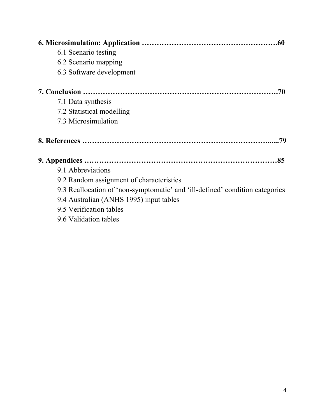| 6.1 Scenario testing                                                         |
|------------------------------------------------------------------------------|
| 6.2 Scenario mapping                                                         |
| 6.3 Software development                                                     |
| .70                                                                          |
| 7.1 Data synthesis                                                           |
| 7.2 Statistical modelling                                                    |
| 7.3 Microsimulation                                                          |
| .79                                                                          |
|                                                                              |
| 9.1 Abbreviations                                                            |
| 9.2 Random assignment of characteristics                                     |
| 9.3 Reallocation of 'non-symptomatic' and 'ill-defined' condition categories |
| 9.4 Australian (ANHS 1995) input tables                                      |
| 9.5 Verification tables                                                      |
| 9.6 Validation tables                                                        |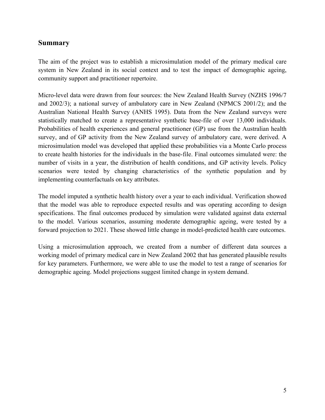## **Summary**

The aim of the project was to establish a microsimulation model of the primary medical care system in New Zealand in its social context and to test the impact of demographic ageing, community support and practitioner repertoire.

Micro-level data were drawn from four sources: the New Zealand Health Survey (NZHS 1996/7 and 2002/3); a national survey of ambulatory care in New Zealand (NPMCS 2001/2); and the Australian National Health Survey (ANHS 1995). Data from the New Zealand surveys were statistically matched to create a representative synthetic base-file of over 13,000 individuals. Probabilities of health experiences and general practitioner (GP) use from the Australian health survey, and of GP activity from the New Zealand survey of ambulatory care, were derived. A microsimulation model was developed that applied these probabilities via a Monte Carlo process to create health histories for the individuals in the base-file. Final outcomes simulated were: the number of visits in a year, the distribution of health conditions, and GP activity levels. Policy scenarios were tested by changing characteristics of the synthetic population and by implementing counterfactuals on key attributes.

The model imputed a synthetic health history over a year to each individual. Verification showed that the model was able to reproduce expected results and was operating according to design specifications. The final outcomes produced by simulation were validated against data external to the model. Various scenarios, assuming moderate demographic ageing, were tested by a forward projection to 2021. These showed little change in model-predicted health care outcomes.

Using a microsimulation approach, we created from a number of different data sources a working model of primary medical care in New Zealand 2002 that has generated plausible results for key parameters. Furthermore, we were able to use the model to test a range of scenarios for demographic ageing. Model projections suggest limited change in system demand.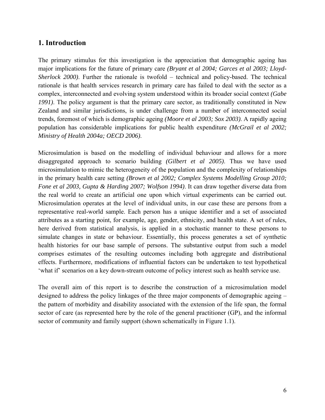## **1. Introduction**

The primary stimulus for this investigation is the appreciation that demographic ageing has major implications for the future of primary care *(Bryant et al 2004; Garces et al 2003; Lloyd-Sherlock 2000)*. Further the rationale is twofold – technical and policy-based. The technical rationale is that health services research in primary care has failed to deal with the sector as a complex, interconnected and evolving system understood within its broader social context *(Gabe 1991)*. The policy argument is that the primary care sector, as traditionally constituted in New Zealand and similar jurisdictions, is under challenge from a number of interconnected social trends, foremost of which is demographic ageing *(Moore et al 2003; Sox 2003)*. A rapidly ageing population has considerable implications for public health expenditure *(McGrail et al 2002; Ministry of Health 2004a; OECD 2006)*.

Microsimulation is based on the modelling of individual behaviour and allows for a more disaggregated approach to scenario building *(Gilbert et al 2005)*. Thus we have used microsimulation to mimic the heterogeneity of the population and the complexity of relationships in the primary health care setting *(Brown et al 2002; Complex Systems Modelling Group 2010; Fone et al 2003, Gupta & Harding 2007; Wolfson 1994)*. It can draw together diverse data from the real world to create an artificial one upon which virtual experiments can be carried out. Microsimulation operates at the level of individual units, in our case these are persons from a representative real-world sample. Each person has a unique identifier and a set of associated attributes as a starting point, for example, age, gender, ethnicity, and health state. A set of rules, here derived from statistical analysis, is applied in a stochastic manner to these persons to simulate changes in state or behaviour. Essentially, this process generates a set of synthetic health histories for our base sample of persons. The substantive output from such a model comprises estimates of the resulting outcomes including both aggregate and distributional effects. Furthermore, modifications of influential factors can be undertaken to test hypothetical 'what if' scenarios on a key down-stream outcome of policy interest such as health service use.

The overall aim of this report is to describe the construction of a microsimulation model designed to address the policy linkages of the three major components of demographic ageing – the pattern of morbidity and disability associated with the extension of the life span, the formal sector of care (as represented here by the role of the general practitioner (GP), and the informal sector of community and family support (shown schematically in Figure 1.1).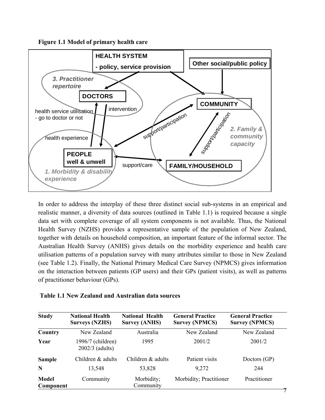**Figure 1.1 Model of primary health care**



In order to address the interplay of these three distinct social sub-systems in an empirical and realistic manner, a diversity of data sources (outlined in Table 1.1) is required because a single data set with complete coverage of all system components is not available. Thus, the National Health Survey (NZHS) provides a representative sample of the population of New Zealand, together with details on household composition, an important feature of the informal sector. The Australian Health Survey (ANHS) gives details on the morbidity experience and health care utilisation patterns of a population survey with many attributes similar to those in New Zealand (see Table 1.2). Finally, the National Primary Medical Care Survey (NPMCS) gives information on the interaction between patients (GP users) and their GPs (patient visits), as well as patterns of practitioner behaviour (GPs).

| Table 1.1 New Zealand and Australian data sources |  |  |  |
|---------------------------------------------------|--|--|--|
|                                                   |  |  |  |

| <b>Study</b>              | <b>National Health</b><br><b>Surveys (NZHS)</b> | <b>National Health</b><br><b>Survey (ANHS)</b> | <b>General Practice</b><br><b>Survey (NPMCS)</b> | <b>General Practice</b><br><b>Survey (NPMCS)</b> |
|---------------------------|-------------------------------------------------|------------------------------------------------|--------------------------------------------------|--------------------------------------------------|
| Country                   | New Zealand                                     | Australia                                      | New Zealand                                      | New Zealand                                      |
| Year                      | 1996/7 (children)<br>2002/3 (adults)            | 1995                                           | 2001/2                                           | 2001/2                                           |
| <b>Sample</b>             | Children & adults                               | Children & adults                              | Patient visits                                   | Doctors (GP)                                     |
| N                         | 13,548                                          | 53,828                                         | 9,272                                            | 244                                              |
| <b>Model</b><br>Component | Community                                       | Morbidity;<br>Community                        | Morbidity; Practitioner                          | Practitioner                                     |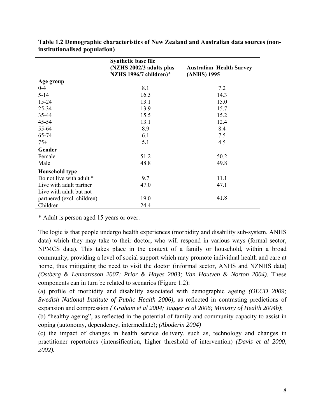|                            | <b>Synthetic base file</b> |                                 |
|----------------------------|----------------------------|---------------------------------|
|                            | (NZHS 2002/3 adults plus   | <b>Australian Health Survey</b> |
|                            | NZHS 1996/7 children)*     | (ANHS) 1995                     |
| Age group                  |                            |                                 |
| $0 - 4$                    | 8.1                        | 7.2                             |
| $5 - 14$                   | 16.3                       | 14.3                            |
| $15 - 24$                  | 13.1                       | 15.0                            |
| $25 - 34$                  | 13.9                       | 15.7                            |
| 35-44                      | 15.5                       | 15.2                            |
| $45 - 54$                  | 13.1                       | 12.4                            |
| 55-64                      | 8.9                        | 8.4                             |
| 65-74                      | 6.1                        | 7.5                             |
| $75+$                      | 5.1                        | 4.5                             |
| Gender                     |                            |                                 |
| Female                     | 51.2                       | 50.2                            |
| Male                       | 48.8                       | 49.8                            |
| <b>Household type</b>      |                            |                                 |
| Do not live with adult *   | 9.7                        | 11.1                            |
| Live with adult partner    | 47.0                       | 47.1                            |
| Live with adult but not    |                            |                                 |
| partnered (excl. children) | 19.0                       | 41.8                            |
| Children                   | 24.4                       |                                 |

**Table 1.2 Demographic characteristics of New Zealand and Australian data sources (noninstitutionalised population)** 

\* Adult is person aged 15 years or over.

The logic is that people undergo health experiences (morbidity and disability sub-system, ANHS data) which they may take to their doctor, who will respond in various ways (formal sector, NPMCS data). This takes place in the context of a family or household, within a broad community, providing a level of social support which may promote individual health and care at home, thus mitigating the need to visit the doctor (informal sector, ANHS and NZNHS data) *(Ostberg & Lennartsson 2007; Prior & Hayes 2003; Van Houtven & Norton 2004)*. These components can in turn be related to scenarios (Figure 1.2):

(a) profile of morbidity and disability associated with demographic ageing *(OECD 2009; Swedish National Institute of Public Health 2006)*, as reflected in contrasting predictions of expansion and compression *( Graham et al 2004; Jagger et al 2006; Ministry of Health 2004b)*;

(b) "healthy ageing", as reflected in the potential of family and community capacity to assist in coping (autonomy, dependency, intermediate); *(Aboderin 2004)*

(c) the impact of changes in health service delivery, such as, technology and changes in practitioner repertoires (intensification, higher threshold of intervention) *(Davis et al 2000, 2002).*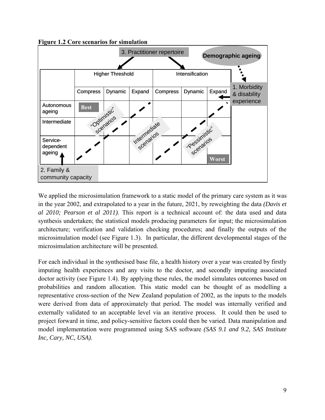**Figure 1.2 Core scenarios for simulation** 



We applied the microsimulation framework to a static model of the primary care system as it was in the year 2002, and extrapolated to a year in the future, 2021, by reweighting the data *(Davis et al 2010; Pearson et al 2011)*. This report is a technical account of: the data used and data synthesis undertaken; the statistical models producing parameters for input; the microsimulation architecture; verification and validation checking procedures; and finally the outputs of the microsimulation model (see Figure 1.3). In particular, the different developmental stages of the microsimulation architecture will be presented.

For each individual in the synthesised base file, a health history over a year was created by firstly imputing health experiences and any visits to the doctor, and secondly imputing associated doctor activity (see Figure 1.4). By applying these rules, the model simulates outcomes based on probabilities and random allocation. This static model can be thought of as modelling a representative cross-section of the New Zealand population of 2002, as the inputs to the models were derived from data of approximately that period. The model was internally verified and externally validated to an acceptable level via an iterative process. It could then be used to project forward in time, and policy-sensitive factors could then be varied. Data manipulation and model implementation were programmed using SAS software *(SAS 9.1 and 9.2, SAS Institute Inc, Cary, NC, USA)*.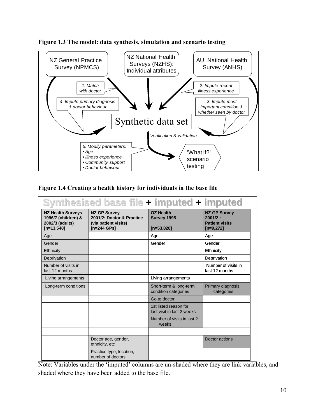



**Figure 1.4 Creating a health history for individuals in the base file** 

| Synthesised base file + imputed + imputed                                          |                                                                                           |                                                     |                                                                        |  |  |  |
|------------------------------------------------------------------------------------|-------------------------------------------------------------------------------------------|-----------------------------------------------------|------------------------------------------------------------------------|--|--|--|
| <b>NZ Health Surveys</b><br>1996/7 (children) &<br>2002/3 (adults)<br>$[n=13,548]$ | <b>NZ GP Survey</b><br>2001/2: Doctor & Practice<br>(via patient visits)<br>$[n=244$ GPs] | <b>OZ Health</b><br>Survey 1995<br>$[n=53,828]$     | <b>NZ GP Survey</b><br>2001/2:<br><b>Patient visits</b><br>$[n=9,272]$ |  |  |  |
| Age                                                                                |                                                                                           | Age                                                 | Age                                                                    |  |  |  |
| Gender                                                                             |                                                                                           | Gender                                              | Gender                                                                 |  |  |  |
| Ethnicity                                                                          |                                                                                           |                                                     | Ethnicity                                                              |  |  |  |
| Deprivation                                                                        |                                                                                           |                                                     | Deprivation                                                            |  |  |  |
| Number of visits in<br>last 12 months                                              |                                                                                           |                                                     | Number of visits in<br>last 12 months                                  |  |  |  |
| Living arrangements                                                                |                                                                                           | Living arrangements                                 |                                                                        |  |  |  |
| Long-term conditions                                                               |                                                                                           | Short-term & long-term<br>condition categories      | Primary diagnosis<br>categories                                        |  |  |  |
|                                                                                    |                                                                                           | Go to doctor                                        |                                                                        |  |  |  |
|                                                                                    |                                                                                           | 1st listed reason for<br>last visit in last 2 weeks |                                                                        |  |  |  |
|                                                                                    |                                                                                           | Number of visits in last 2<br>weeks                 |                                                                        |  |  |  |
|                                                                                    |                                                                                           |                                                     |                                                                        |  |  |  |
|                                                                                    | Doctor age, gender,<br>ethnicity, etc                                                     |                                                     | Doctor actions                                                         |  |  |  |
|                                                                                    | Practice type, location,<br>number of doctors                                             |                                                     |                                                                        |  |  |  |

Note: Variables under the 'imputed' columns are un-shaded where they are link variables, and shaded where they have been added to the base file.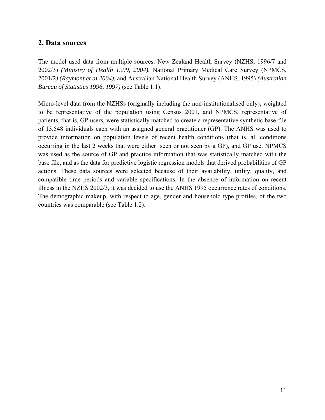## **2. Data sources**

The model used data from multiple sources: New Zealand Health Survey (NZHS, 1996/7 and 2002/3) *(Ministry of Health 1999, 2004)*, National Primary Medical Care Survey (NPMCS, 2001/2*) (Raymont et al 2004)*, and Australian National Health Survey (ANHS, 1995) *(Australian Bureau of Statistics 1996, 1997)* (see Table 1.1).

Micro-level data from the NZHSs (originally including the non-institutionalised only), weighted to be representative of the population using Census 2001, and NPMCS, representative of patients, that is, GP users, were statistically matched to create a representative synthetic base-file of 13,548 individuals each with an assigned general practitioner (GP). The ANHS was used to provide information on population levels of recent health conditions (that is, all conditions occurring in the last 2 weeks that were either seen or not seen by a GP), and GP use. NPMCS was used as the source of GP and practice information that was statistically matched with the base file, and as the data for predictive logistic regression models that derived probabilities of GP actions. These data sources were selected because of their availability, utility, quality, and compatible time periods and variable specifications. In the absence of information on recent illness in the NZHS 2002/3, it was decided to use the ANHS 1995 occurrence rates of conditions. The demographic makeup, with respect to age, gender and household type profiles, of the two countries was comparable (see Table 1.2).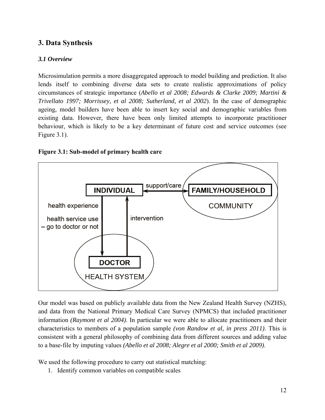## **3. Data Synthesis**

## *3.1 Overview*

Microsimulation permits a more disaggregated approach to model building and prediction. It also lends itself to combining diverse data sets to create realistic approximations of policy circumstances of strategic importance (*Abello et al 2008; Edwards & Clarke 2009; Martini & Trivellato 1997; Morrissey, et al 2008; Sutherland, et al 2002*). In the case of demographic ageing, model builders have been able to insert key social and demographic variables from existing data. However, there have been only limited attempts to incorporate practitioner behaviour, which is likely to be a key determinant of future cost and service outcomes (see Figure 3.1).





Our model was based on publicly available data from the New Zealand Health Survey (NZHS), and data from the National Primary Medical Care Survey (NPMCS) that included practitioner information *(Raymont et al 2004)*. In particular we were able to allocate practitioners and their characteristics to members of a population sample *(von Randow et al, in press 2011)*. This is consistent with a general philosophy of combining data from different sources and adding value to a base-file by imputing values *(Abello et al 2008; Alegre et al 2000; Smith et al 2009)*.

We used the following procedure to carry out statistical matching:

1. Identify common variables on compatible scales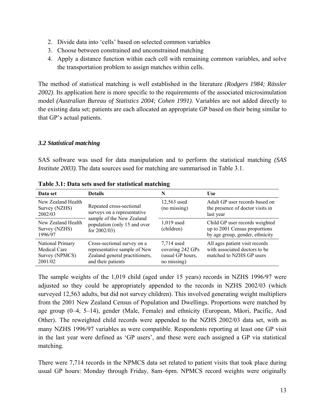- 2. Divide data into 'cells' based on selected common variables
- 3. Choose between constrained and unconstrained matching
- 4. Apply a distance function within each cell with remaining common variables, and solve the transportation problem to assign matches within cells.

The method of statistical matching is well established in the literature *(Rodgers 1984; Rässler 2002)*. Its application here is more specific to the requirements of the associated microsimulation model *(Australian Bureau of Statistics 2004; Cohen 1991)*. Variables are not added directly to the existing data set; patients are each allocated an appropriate GP based on their being similar to that GP's actual patients.

#### *3.2 Statistical matching*

SAS software was used for data manipulation and to perform the statistical matching *(SAS Institute 2003)*. The data sources used for matching are summarised in Table 3.1.

| Data set                                                             | <b>Details</b>                                                                                                      | N                                                                 | <b>Use</b>                                                                                         |
|----------------------------------------------------------------------|---------------------------------------------------------------------------------------------------------------------|-------------------------------------------------------------------|----------------------------------------------------------------------------------------------------|
| New Zealand Health<br>Survey (NZHS)<br>2002/03                       | Repeated cross-sectional<br>surveys on a representative                                                             | 12,563 used<br>(no missing)                                       | Adult GP user records based on<br>the presence of doctor visits in<br>last year                    |
| New Zealand Health<br>Survey (NZHS)<br>1996/97                       | sample of the New Zealand<br>population (only 15 and over<br>for $2002/03$ )                                        | 1,019 used<br>(children)                                          | Child GP user records weighted<br>up to 2001 Census proportions<br>by age group, gender, ethnicity |
| National Primary<br><b>Medical Care</b><br>Survey (NPMCS)<br>2001/02 | Cross-sectional survey on a<br>representative sample of New<br>Zealand general practitioners,<br>and their patients | 7,714 used<br>covering 242 GPs<br>(usual GP hours,<br>no missing) | All ages patient visit records<br>with associated doctors to be.<br>matched to NZHS GP users       |

**Table 3.1: Data sets used for statistical matching** 

The sample weights of the 1,019 child (aged under 15 years) records in NZHS 1996/97 were adjusted so they could be appropriately appended to the records in NZHS 2002/03 (which surveyed 12,563 adults, but did not survey children). This involved generating weight multipliers from the 2001 New Zealand Census of Population and Dwellings. Proportions were matched by age group (0–4, 5–14), gender (Male, Female) and ethnicity (European, Māori, Pacific, And Other). The reweighted child records were appended to the NZHS 2002/03 data set, with as many NZHS 1996/97 variables as were compatible. Respondents reporting at least one GP visit in the last year were defined as 'GP users', and these were each assigned a GP via statistical matching.

There were 7,714 records in the NPMCS data set related to patient visits that took place during usual GP hours: Monday through Friday, 8am–6pm. NPMCS record weights were originally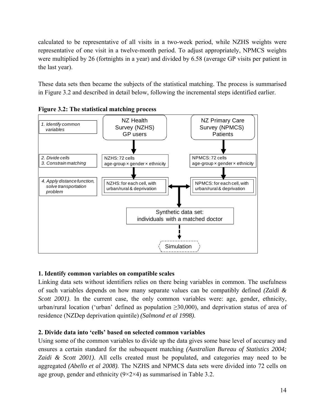calculated to be representative of all visits in a two-week period, while NZHS weights were representative of one visit in a twelve-month period. To adjust appropriately, NPMCS weights were multiplied by 26 (fortnights in a year) and divided by 6.58 (average GP visits per patient in the last year).

These data sets then became the subjects of the statistical matching. The process is summarised in Figure 3.2 and described in detail below, following the incremental steps identified earlier.





## **1. Identify common variables on compatible scales**

Linking data sets without identifiers relies on there being variables in common. The usefulness of such variables depends on how many separate values can be compatibly defined *(Zaidi & Scott 2001*). In the current case, the only common variables were: age, gender, ethnicity, urban/rural location ('urban' defined as population  $\geq 30,000$ ), and deprivation status of area of residence (NZDep deprivation quintile) *(Salmond et al 1998)*.

## **2. Divide data into 'cells' based on selected common variables**

Using some of the common variables to divide up the data gives some base level of accuracy and ensures a certain standard for the subsequent matching *(Australian Bureau of Statistics 2004; Zaidi & Scott 2001)*. All cells created must be populated, and categories may need to be aggregated *(Abello et al 2008)*. The NZHS and NPMCS data sets were divided into 72 cells on age group, gender and ethnicity  $(9 \times 2 \times 4)$  as summarised in Table 3.2.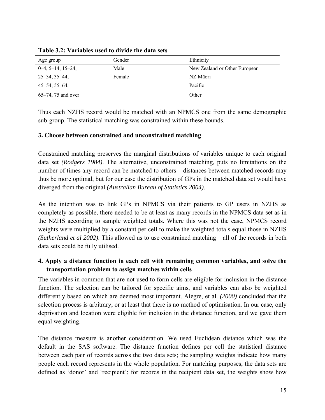| Age group             | Gender | Ethnicity                     |
|-----------------------|--------|-------------------------------|
| $0-4, 5-14, 15-24,$   | Male   | New Zealand or Other European |
| $25 - 34, 35 - 44,$   | Female | NZ Māori                      |
| $45 - 54, 55 - 64,$   |        | Pacific                       |
| $65-74$ , 75 and over |        | Other                         |

**Table 3.2: Variables used to divide the data sets** 

Thus each NZHS record would be matched with an NPMCS one from the same demographic sub-group. The statistical matching was constrained within these bounds.

#### **3. Choose between constrained and unconstrained matching**

Constrained matching preserves the marginal distributions of variables unique to each original data set *(Rodgers 1984)*. The alternative, unconstrained matching, puts no limitations on the number of times any record can be matched to others – distances between matched records may thus be more optimal, but for our case the distribution of GPs in the matched data set would have diverged from the original *(Australian Bureau of Statistics 2004)*.

As the intention was to link GPs in NPMCS via their patients to GP users in NZHS as completely as possible, there needed to be at least as many records in the NPMCS data set as in the NZHS according to sample weighted totals. Where this was not the case, NPMCS record weights were multiplied by a constant per cell to make the weighted totals equal those in NZHS *(Sutherland et al 2002)*. This allowed us to use constrained matching – all of the records in both data sets could be fully utilised.

## **4. Apply a distance function in each cell with remaining common variables, and solve the transportation problem to assign matches within cells**

The variables in common that are not used to form cells are eligible for inclusion in the distance function. The selection can be tailored for specific aims, and variables can also be weighted differently based on which are deemed most important. Alegre, et al. *(2000)* concluded that the selection process is arbitrary, or at least that there is no method of optimisation. In our case, only deprivation and location were eligible for inclusion in the distance function, and we gave them equal weighting.

The distance measure is another consideration. We used Euclidean distance which was the default in the SAS software. The distance function defines per cell the statistical distance between each pair of records across the two data sets; the sampling weights indicate how many people each record represents in the whole population. For matching purposes, the data sets are defined as 'donor' and 'recipient'; for records in the recipient data set, the weights show how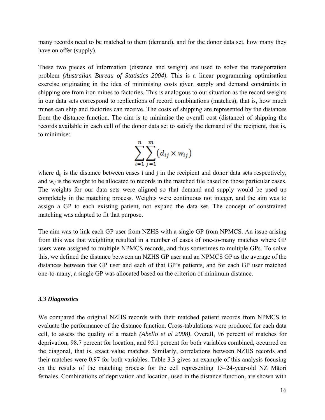many records need to be matched to them (demand), and for the donor data set, how many they have on offer (supply).

These two pieces of information (distance and weight) are used to solve the transportation problem *(Australian Bureau of Statistics 2004)*. This is a linear programming optimisation exercise originating in the idea of minimising costs given supply and demand constraints in shipping ore from iron mines to factories. This is analogous to our situation as the record weights in our data sets correspond to replications of record combinations (matches), that is, how much mines can ship and factories can receive. The costs of shipping are represented by the distances from the distance function. The aim is to minimise the overall cost (distance) of shipping the records available in each cell of the donor data set to satisfy the demand of the recipient, that is, to minimise:

$$
\sum_{i=1}^n\sum_{j=1}^m (d_{ij}\times w_{ij})
$$

where  $d_{ij}$  is the distance between cases i and j in the recipient and donor data sets respectively, and  $w_{ij}$  is the weight to be allocated to records in the matched file based on those particular cases. The weights for our data sets were aligned so that demand and supply would be used up completely in the matching process. Weights were continuous not integer, and the aim was to assign a GP to each existing patient, not expand the data set. The concept of constrained matching was adapted to fit that purpose.

The aim was to link each GP user from NZHS with a single GP from NPMCS. An issue arising from this was that weighting resulted in a number of cases of one-to-many matches where GP users were assigned to multiple NPMCS records, and thus sometimes to multiple GPs. To solve this, we defined the distance between an NZHS GP user and an NPMCS GP as the average of the distances between that GP user and each of that GP's patients, and for each GP user matched one-to-many, a single GP was allocated based on the criterion of minimum distance.

#### *3.3 Diagnostics*

We compared the original NZHS records with their matched patient records from NPMCS to evaluate the performance of the distance function. Cross-tabulations were produced for each data cell, to assess the quality of a match *(Abello et al 2008)*. Overall, 96 percent of matches for deprivation, 98.7 percent for location, and 95.1 percent for both variables combined, occurred on the diagonal, that is, exact value matches. Similarly, correlations between NZHS records and their matches were 0.97 for both variables. Table 3.3 gives an example of this analysis focusing on the results of the matching process for the cell representing 15–24-year-old NZ Māori females. Combinations of deprivation and location, used in the distance function, are shown with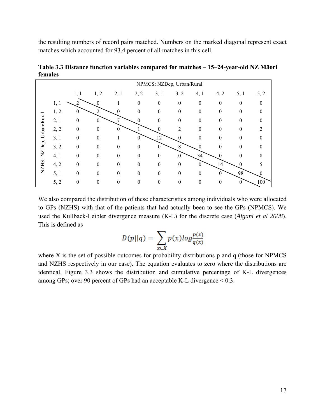the resulting numbers of record pairs matched. Numbers on the marked diagonal represent exact matches which accounted for 93.4 percent of all matches in this cell.

|                          |      |                  |                |                  |              |                  | NPMCS: NZDep, Urban/Rural |                  |                |          |          |
|--------------------------|------|------------------|----------------|------------------|--------------|------------------|---------------------------|------------------|----------------|----------|----------|
|                          |      | 1, 1             | 1, 2           | 2,1              | 2, 2         | 3, 1             | 3, 2                      | 4, 1             | 4, 2           | 5, 1     | 5, 2     |
|                          | 1, 1 |                  | $\theta$       |                  | $\theta$     | $\mathbf{0}$     | $\mathbf{0}$              | $\mathbf{0}$     | $\theta$       | $\theta$ | $\theta$ |
|                          | 1, 2 | $\mathbf{0}$     | $\overline{2}$ | $\theta$         | $\theta$     | $\boldsymbol{0}$ | $\theta$                  | $\mathbf{0}$     | $\overline{0}$ | $\theta$ | 0        |
|                          | 2, 1 | $\boldsymbol{0}$ | $\mathbf{0}$   |                  | $\mathbf{0}$ | 0                | $\theta$                  | $\theta$         | $\theta$       | $\theta$ | 0        |
| NZHS: NZDep, Urban/Rural | 2, 2 | $\theta$         | $\theta$       | $\boldsymbol{0}$ |              | $\theta$         | 2                         | $\theta$         | $\theta$       | $\theta$ |          |
|                          | 3, 1 | $\boldsymbol{0}$ | $\theta$       |                  | $\theta$     | 12               | $\theta$                  | 0                | $\theta$       | $\theta$ | 0        |
|                          | 3, 2 | $\boldsymbol{0}$ | $\theta$       | $\theta$         | $\theta$     | $\theta$         | 8                         | $\theta$         | $\theta$       | $\theta$ | 0        |
|                          | 4, 1 | $\theta$         | $\theta$       | $\theta$         | $\theta$     | $\theta$         | $\theta$                  | 34               | $\theta$       | 0        | 8        |
|                          | 4, 2 | $\theta$         | $\theta$       | $\theta$         | $\theta$     | $\theta$         | $\theta$                  | $\boldsymbol{0}$ | 14             | $\theta$ |          |
|                          | 5, 1 | $\theta$         | $\theta$       | $\theta$         | $\theta$     | $\theta$         | $\theta$                  | $\theta$         | $\theta$       | 98       | 0        |
|                          | 5, 2 | $\boldsymbol{0}$ | $\Omega$       | $\theta$         | $\theta$     | $\overline{0}$   | $\overline{0}$            | 0                | $\theta$       | $\theta$ | 100      |

**Table 3.3 Distance function variables compared for matches – 15–24-year-old NZ Māori females** 

We also compared the distribution of these characteristics among individuals who were allocated to GPs (NZHS) with that of the patients that had actually been to see the GPs (NPMCS). We used the Kullback-Leibler divergence measure (K-L) for the discrete case (*Afgani et al 2008*). This is defined as

$$
D(p||q) = \sum_{x \in X} p(x)log \frac{p(x)}{q(x)}
$$

where X is the set of possible outcomes for probability distributions p and q (those for NPMCS and NZHS respectively in our case). The equation evaluates to zero where the distributions are identical. Figure 3.3 shows the distribution and cumulative percentage of K-L divergences among GPs; over 90 percent of GPs had an acceptable K-L divergence < 0.3.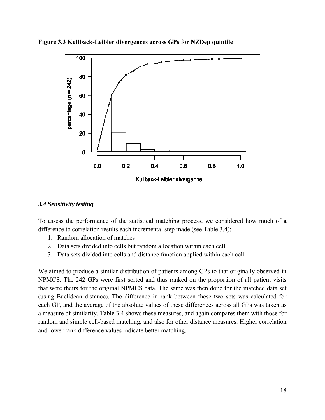



## *3.4 Sensitivity testing*

To assess the performance of the statistical matching process, we considered how much of a difference to correlation results each incremental step made (see Table 3.4):

- 1. Random allocation of matches
- 2. Data sets divided into cells but random allocation within each cell
- 3. Data sets divided into cells and distance function applied within each cell.

We aimed to produce a similar distribution of patients among GPs to that originally observed in NPMCS. The 242 GPs were first sorted and thus ranked on the proportion of all patient visits that were theirs for the original NPMCS data. The same was then done for the matched data set (using Euclidean distance). The difference in rank between these two sets was calculated for each GP, and the average of the absolute values of these differences across all GPs was taken as a measure of similarity. Table 3.4 shows these measures, and again compares them with those for random and simple cell-based matching, and also for other distance measures. Higher correlation and lower rank difference values indicate better matching.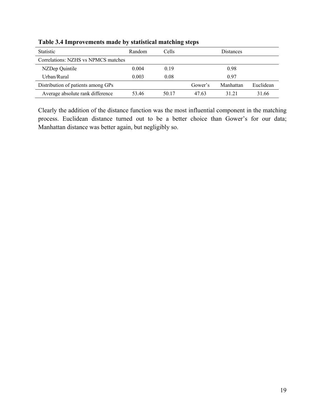| <b>Statistic</b>                    | Random | Cells |         | <b>Distances</b> |           |
|-------------------------------------|--------|-------|---------|------------------|-----------|
| Correlations: NZHS vs NPMCS matches |        |       |         |                  |           |
| NZDep Quintile                      | 0.004  | 0.19  |         | 0.98             |           |
| Urban/Rural                         | 0.003  | 0.08  |         | 0.97             |           |
| Distribution of patients among GPs  |        |       | Gower's | Manhattan        | Euclidean |
| Average absolute rank difference    | 53.46  | 50.17 | 47.63   | 31 21            | 31.66     |

**Table 3.4 Improvements made by statistical matching steps** 

Clearly the addition of the distance function was the most influential component in the matching process. Euclidean distance turned out to be a better choice than Gower's for our data; Manhattan distance was better again, but negligibly so.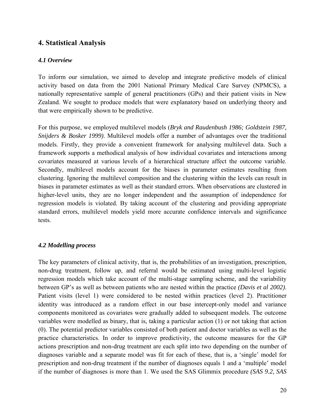## **4. Statistical Analysis**

#### *4.1 Overview*

To inform our simulation, we aimed to develop and integrate predictive models of clinical activity based on data from the 2001 National Primary Medical Care Survey (NPMCS), a nationally representative sample of general practitioners (GPs) and their patient visits in New Zealand. We sought to produce models that were explanatory based on underlying theory and that were empirically shown to be predictive.

For this purpose, we employed multilevel models (*Bryk and Raudenbush 1986; Goldstein 1987, Snijders & Bosker 1999)*. Multilevel models offer a number of advantages over the traditional models. Firstly, they provide a convenient framework for analysing multilevel data. Such a framework supports a methodical analysis of how individual covariates and interactions among covariates measured at various levels of a hierarchical structure affect the outcome variable. Secondly, multilevel models account for the biases in parameter estimates resulting from clustering. Ignoring the multilevel composition and the clustering within the levels can result in biases in parameter estimates as well as their standard errors. When observations are clustered in higher-level units, they are no longer independent and the assumption of independence for regression models is violated. By taking account of the clustering and providing appropriate standard errors, multilevel models yield more accurate confidence intervals and significance tests.

#### *4.2 Modelling process*

The key parameters of clinical activity, that is, the probabilities of an investigation, prescription, non-drug treatment, follow up, and referral would be estimated using multi-level logistic regression models which take account of the multi-stage sampling scheme, and the variability between GP's as well as between patients who are nested within the practice *(Davis et al 2002)*. Patient visits (level 1) were considered to be nested within practices (level 2). Practitioner identity was introduced as a random effect in our base intercept-only model and variance components monitored as covariates were gradually added to subsequent models. The outcome variables were modelled as binary, that is, taking a particular action (1) or not taking that action (0). The potential predictor variables consisted of both patient and doctor variables as well as the practice characteristics. In order to improve predictivity, the outcome measures for the GP actions prescription and non-drug treatment are each split into two depending on the number of diagnoses variable and a separate model was fit for each of these, that is, a 'single' model for prescription and non-drug treatment if the number of diagnoses equals 1 and a 'multiple' model if the number of diagnoses is more than 1. We used the SAS Glimmix procedure *(SAS 9.2, SAS*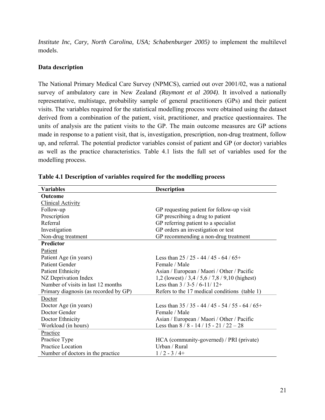*Institute Inc, Cary, North Carolina, USA; Schabenburger 2005)* to implement the multilevel models.

#### **Data description**

The National Primary Medical Care Survey (NPMCS), carried out over 2001/02, was a national survey of ambulatory care in New Zealand *(Raymont et al 2004)*. It involved a nationally representative, multistage, probability sample of general practitioners (GPs) and their patient visits. The variables required for the statistical modelling process were obtained using the dataset derived from a combination of the patient, visit, practitioner, and practice questionnaires. The units of analysis are the patient visits to the GP. The main outcome measures are GP actions made in response to a patient visit, that is, investigation, prescription, non-drug treatment, follow up, and referral. The potential predictor variables consist of patient and GP (or doctor) variables as well as the practice characteristics. Table 4.1 lists the full set of variables used for the modelling process.

| <b>Variables</b>                      | <b>Description</b>                               |
|---------------------------------------|--------------------------------------------------|
| Outcome                               |                                                  |
| <b>Clinical Activity</b>              |                                                  |
| Follow-up                             | GP requesting patient for follow-up visit        |
| Prescription                          | GP prescribing a drug to patient                 |
| Referral                              | GP referring patient to a specialist             |
| Investigation                         | GP orders an investigation or test               |
| Non-drug treatment                    | GP recommending a non-drug treatment             |
| <b>Predictor</b>                      |                                                  |
| Patient                               |                                                  |
| Patient Age (in years)                | Less than $25/25 - 44/45 - 64/65 +$              |
| <b>Patient Gender</b>                 | Female / Male                                    |
| <b>Patient Ethnicity</b>              | Asian / European / Maori / Other / Pacific       |
| NZ Deprivation Index                  | 1,2 (lowest) $/3,4 / 5,6 / 7,8 / 9,10$ (highest) |
| Number of visits in last 12 months    | Less than $3/3-5/6-11/12+$                       |
| Primary diagnosis (as recorded by GP) | Refers to the 17 medical conditions (table 1)    |
| Doctor                                |                                                  |
| Doctor Age (in years)                 | Less than $35/35 - 44/45 - 54/55 - 64/65$ +      |
| Doctor Gender                         | Female / Male                                    |
| Doctor Ethnicity                      | Asian / European / Maori / Other / Pacific       |
| Workload (in hours)                   | Less than $8/8 - 14/15 - 21/22 - 28$             |
| Practice                              |                                                  |
| Practice Type                         | HCA (community-governed) / PRI (private)         |
| Practice Location                     | Urban / Rural                                    |
| Number of doctors in the practice.    | $1/2 - 3/4+$                                     |

**Table 4.1 Description of variables required for the modelling process**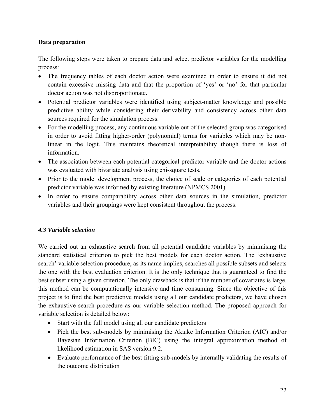#### **Data preparation**

The following steps were taken to prepare data and select predictor variables for the modelling process:

- The frequency tables of each doctor action were examined in order to ensure it did not contain excessive missing data and that the proportion of 'yes' or 'no' for that particular doctor action was not disproportionate.
- Potential predictor variables were identified using subject-matter knowledge and possible predictive ability while considering their derivability and consistency across other data sources required for the simulation process.
- For the modelling process, any continuous variable out of the selected group was categorised in order to avoid fitting higher-order (polynomial) terms for variables which may be nonlinear in the logit. This maintains theoretical interpretability though there is loss of information.
- The association between each potential categorical predictor variable and the doctor actions was evaluated with bivariate analysis using chi-square tests.
- Prior to the model development process, the choice of scale or categories of each potential predictor variable was informed by existing literature (NPMCS 2001).
- In order to ensure comparability across other data sources in the simulation, predictor variables and their groupings were kept consistent throughout the process.

#### *4.3 Variable selection*

We carried out an exhaustive search from all potential candidate variables by minimising the standard statistical criterion to pick the best models for each doctor action. The 'exhaustive search' variable selection procedure, as its name implies, searches all possible subsets and selects the one with the best evaluation criterion. It is the only technique that is guaranteed to find the best subset using a given criterion. The only drawback is that if the number of covariates is large, this method can be computationally intensive and time consuming. Since the objective of this project is to find the best predictive models using all our candidate predictors, we have chosen the exhaustive search procedure as our variable selection method. The proposed approach for variable selection is detailed below:

- Start with the full model using all our candidate predictors
- Pick the best sub-models by minimising the Akaike Information Criterion (AIC) and/or Bayesian Information Criterion (BIC) using the integral approximation method of likelihood estimation in SAS version 9.2.
- Evaluate performance of the best fitting sub-models by internally validating the results of the outcome distribution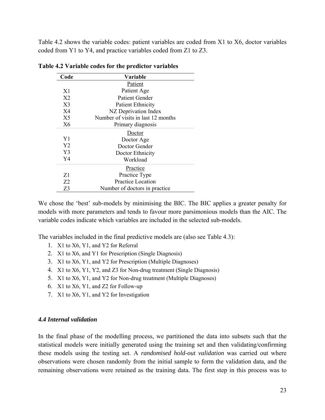Table 4.2 shows the variable codes: patient variables are coded from X1 to X6, doctor variables coded from Y1 to Y4, and practice variables coded from Z1 to Z3.

| Code           | Variable                           |
|----------------|------------------------------------|
|                | Patient                            |
| X <sub>1</sub> | Patient Age                        |
| X <sub>2</sub> | Patient Gender                     |
| X <sup>3</sup> | <b>Patient Ethnicity</b>           |
| X4             | NZ Deprivation Index               |
| X <sub>5</sub> | Number of visits in last 12 months |
| X6             | Primary diagnosis                  |
|                | Doctor                             |
| Y1             | Doctor Age                         |
| Y <sub>2</sub> | Doctor Gender                      |
| Y3             | Doctor Ethnicity                   |
| Y4             | Workload                           |
|                | Practice                           |
| Z1             | Practice Type                      |
| 72             | <b>Practice Location</b>           |
| Z3             | Number of doctors in practice.     |

**Table 4.2 Variable codes for the predictor variables** 

We chose the 'best' sub-models by minimising the BIC. The BIC applies a greater penalty for models with more parameters and tends to favour more parsimonious models than the AIC. The variable codes indicate which variables are included in the selected sub-models.

The variables included in the final predictive models are (also see Table 4.3):

- 1. X1 to X6, Y1, and Y2 for Referral
- 2. X1 to X6, and Y1 for Prescription (Single Diagnosis)
- 3. X1 to X6, Y1, and Y2 for Prescription (Multiple Diagnoses)
- 4. X1 to X6, Y1, Y2, and Z3 for Non-drug treatment (Single Diagnosis)
- 5. X1 to X6, Y1, and Y2 for Non-drug treatment (Multiple Diagnoses)
- 6. X1 to X6, Y1, and Z2 for Follow-up
- 7. X1 to X6, Y1, and Y2 for Investigation

#### *4.4 Internal validation*

In the final phase of the modelling process, we partitioned the data into subsets such that the statistical models were initially generated using the training set and then validating/confirming these models using the testing set. A *randomised hold-out validation* was carried out where observations were chosen randomly from the initial sample to form the validation data, and the remaining observations were retained as the training data. The first step in this process was to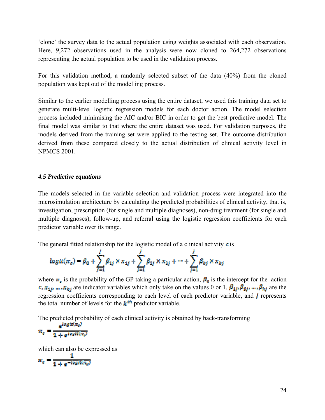'clone' the survey data to the actual population using weights associated with each observation. Here, 9,272 observations used in the analysis were now cloned to 264,272 observations representing the actual population to be used in the validation process.

For this validation method, a randomly selected subset of the data (40%) from the cloned population was kept out of the modelling process.

Similar to the earlier modelling process using the entire dataset, we used this training data set to generate multi-level logistic regression models for each doctor action. The model selection process included minimising the AIC and/or BIC in order to get the best predictive model. The final model was similar to that where the entire dataset was used. For validation purposes, the models derived from the training set were applied to the testing set. The outcome distribution derived from these compared closely to the actual distribution of clinical activity level in NPMCS 2001.

#### *4.5 Predictive equations*

The models selected in the variable selection and validation process were integrated into the microsimulation architecture by calculating the predicted probabilities of clinical activity, that is, investigation, prescription (for single and multiple diagnoses), non-drug treatment (for single and multiple diagnoses), follow-up, and referral using the logistic regression coefficients for each predictor variable over its range.

The general fitted relationship for the logistic model of a clinical activity  $\boldsymbol{c}$  is

$$
logtt(\pi_o) = \beta_0 + \sum_{j=1}^{l} \beta_{1j} \times x_{1j} + \sum_{j=1}^{l} \beta_{2j} \times x_{2j} + \dots + \sum_{j=1}^{l} \beta_{kj} \times x_{kj}
$$

where  $\pi_{\sigma}$  is the probability of the GP taking a particular action,  $\mathbf{P}_{\rho}$  is the intercept for the action  $c_i x_{1,i},...,x_{k,i}$  are indicator variables which only take on the values 0 or 1,  $\beta_{1,i}, \beta_{2,i},..., \beta_{k,i}$  are the regression coefficients corresponding to each level of each predictor variable, and  $\boldsymbol{J}$  represents the total number of levels for the  $k^{\text{th}}$  predictor variable.

The predicted probability of each clinical activity is obtained by back-transforming

$$
n_c = \frac{e^{i\omega_{\text{SINING}}}}{1 + e^{i\omega_{\text{SINMS}}}}
$$

which can also be expressed as

$$
\pi_c = \frac{1}{1 + e^{-\log t \ln(c_0)}}
$$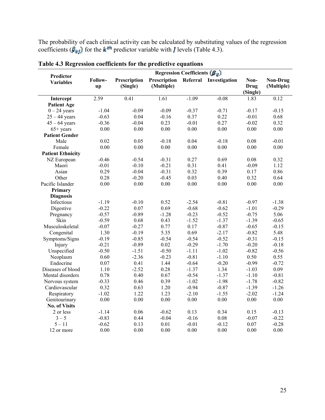The probability of each clinical activity can be calculated by substituting values of the regression coefficients ( $\beta_{k}$ ) for the  $k^{\text{th}}$  predictor variable with *I* levels (Table 4.3).

|                                      | Regression Coefficients $(\beta_g)$ |                          |                            |          |               |                                 |                               |
|--------------------------------------|-------------------------------------|--------------------------|----------------------------|----------|---------------|---------------------------------|-------------------------------|
| <b>Predictor</b><br><b>Variables</b> | Follow-<br>up                       | Prescription<br>(Single) | Prescription<br>(Multiple) | Referral | Investigation | Non-<br><b>Drug</b><br>(Single) | <b>Non-Drug</b><br>(Multiple) |
| Intercept                            | 2.59                                | 0.41                     | $\overline{1.61}$          | $-1.09$  | $-0.08$       | 1.83                            | 0.12                          |
| <b>Patient Age</b>                   |                                     |                          |                            |          |               |                                 |                               |
| $0 - 24$ years                       | $-1.04$                             | $-0.09$                  | $-0.09$                    | $-0.37$  | $-0.71$       | $-0.17$                         | $-0.15$                       |
| $25 - 44$ years                      | $-0.63$                             | 0.04                     | $-0.16$                    | 0.37     | 0.22          | $-0.01$                         | 0.68                          |
| $45 - 64$ years                      | $-0.36$                             | $-0.04$                  | 0.23                       | $-0.01$  | 0.27          | $-0.02$                         | 0.32                          |
| $65+$ years                          | 0.00                                | 0.00                     | 0.00                       | 0.00     | 0.00          | 0.00                            | $0.00\,$                      |
| <b>Patient Gender</b>                |                                     |                          |                            |          |               |                                 |                               |
| Male                                 | 0.02                                | 0.05                     | $-0.18$                    | 0.04     | $-0.18$       | 0.08                            | $-0.01$                       |
| Female                               | 0.00                                | 0.00                     | 0.00                       | 0.00     | 0.00          | 0.00                            | 0.00                          |
| <b>Patient Ethnicity</b>             |                                     |                          |                            |          |               |                                 |                               |
| NZ European                          | $-0.46$                             | $-0.54$                  | $-0.31$                    | 0.27     | 0.69          | 0.08                            | 0.32                          |
| Maori                                | $-0.01$                             | $-0.10$                  | $-0.21$                    | 0.31     | 0.41          | $-0.09$                         | 1.12                          |
| Asian                                | 0.29                                | $-0.04$                  | $-0.31$                    | 0.32     | 0.39          | 0.17                            | 0.86                          |
| Other                                | 0.28                                | $-0.20$                  | $-0.45$                    | 0.03     | 0.40          | 0.32                            | 0.64                          |
| Pacific Islander                     | 0.00                                | 0.00                     | 0.00                       | 0.00     | 0.00          | 0.00                            | 0.00                          |
| Primary                              |                                     |                          |                            |          |               |                                 |                               |
| <b>Diagnosis</b>                     |                                     |                          |                            |          |               |                                 |                               |
| Infectious                           | $-1.19$                             | $-0.10$                  | 0.52                       | $-2.54$  | $-0.81$       | $-0.97$                         | $-1.38$                       |
| Digestive                            | $-0.22$                             | 0.07                     | 0.69                       | $-0.68$  | $-0.62$       | $-1.01$                         | $-0.29$                       |
| Pregnancy                            | $-0.57$                             | $-0.89$                  | $-1.28$                    | $-0.23$  | $-0.52$       | $-0.75$                         | 5.06                          |
| Skin                                 | $-0.59$                             | 0.68                     | 0.43                       | $-1.52$  | $-1.37$       | $-1.39$                         | $-0.65$                       |
| Musculoskeletal                      | $-0.07$                             | $-0.27$                  | 0.77                       | 0.17     | $-0.87$       | $-0.65$                         | $-0.15$                       |
| Congenital                           | 1.30                                | $-0.19$                  | 5.35                       | 0.69     | $-2.17$       | $-0.82$                         | 5.48                          |
| Symptoms/Signs                       | $-0.19$                             | $-0.85$                  | $-0.54$                    | $-0.54$  | $-0.52$       | $-0.31$                         | $-0.15$                       |
| Injury                               | $-0.21$                             | $-0.89$                  | 0.02                       | $-0.29$  | $-1.70$       | $-0.20$                         | $-0.18$                       |
| Unspecified                          | $-0.50$                             | $-1.51$                  | $-0.50$                    | $-1.11$  | $-1.02$       | $-0.82$                         | $-0.56$                       |
| Neoplasm                             | 0.60                                | $-2.36$                  | $-0.23$                    | $-0.81$  | $-1.10$       | 0.50                            | 0.55                          |
| Endocrine                            | 0.07                                | 0.41                     | 1.44                       | $-0.64$  | $-0.20$       | $-0.99$                         | $-0.72$                       |
| Diseases of blood                    | 1.10                                | $-2.52$                  | 0.28                       | $-1.37$  | 1.34          | $-1.03$                         | 0.09                          |
| Mental disorders                     | 0.78                                | 0.40                     | 0.67                       | $-0.54$  | $-1.37$       | $-1.10$                         | $-0.81$                       |
| Nervous system                       | $-0.33$                             | 0.46                     | 0.39                       | $-1.02$  | $-1.98$       | $-1.78$                         | $-0.82$                       |
| Cardiovascular                       | 0.32                                | 0.63                     | 1.20                       | $-0.94$  | $-0.87$       | $-1.39$                         | $-1.26$                       |
| Respiratory                          | $-1.02$                             | 1.22                     | 1.23                       | $-2.10$  | $-1.55$       | $-2.02$                         | $-1.24$                       |
| Genitourinary                        | 0.00                                | 0.00                     | 0.00                       | $0.00\,$ | $0.00\,$      | $0.00\,$                        | 0.00                          |
| <b>No. of Visits</b>                 |                                     |                          |                            |          |               |                                 |                               |
| 2 or less                            | $-1.14$                             | 0.06                     | $-0.62$                    | 0.13     | 0.34          | 0.15                            | $-0.13$                       |
| $3 - 5$                              | $-0.83$                             | 0.44                     | $-0.04$                    | $-0.16$  | 0.08          | $-0.07$                         | $-0.22$                       |
| $5 - 11$                             | $-0.62$                             | 0.13                     | 0.01                       | $-0.01$  | $-0.12$       | 0.07                            | $-0.28$                       |
| 12 or more                           | 0.00                                | 0.00                     | 0.00                       | 0.00     | 0.00          | 0.00                            | 0.00                          |

**Table 4.3 Regression coefficients for the predictive equations**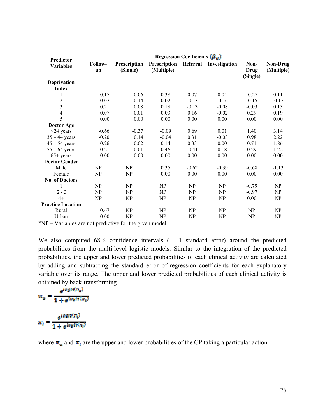|                               | Regression Coefficients $(\beta_u)$ |                                                        |                            |          |               |                          |                        |
|-------------------------------|-------------------------------------|--------------------------------------------------------|----------------------------|----------|---------------|--------------------------|------------------------|
| Predictor<br><b>Variables</b> | Follow-<br>up                       | Prescription<br>(Single)                               | Prescription<br>(Multiple) | Referral | Investigation | Non-<br>Drug<br>(Single) | Non-Drug<br>(Multiple) |
| Deprivation                   |                                     |                                                        |                            |          |               |                          |                        |
| <b>Index</b>                  |                                     |                                                        |                            |          |               |                          |                        |
|                               | 0.17                                | 0.06                                                   | 0.38                       | 0.07     | 0.04          | $-0.27$                  | 0.11                   |
| $\overline{c}$                | 0.07                                | 0.14                                                   | 0.02                       | $-0.13$  | $-0.16$       | $-0.15$                  | $-0.17$                |
| $\overline{\mathbf{3}}$       | 0.21                                | 0.08                                                   | 0.18                       | $-0.13$  | $-0.08$       | $-0.03$                  | 0.13                   |
| $\overline{4}$                | 0.07                                | 0.01                                                   | 0.03                       | 0.16     | $-0.02$       | 0.29                     | 0.19                   |
| 5                             | 0.00                                | 0.00                                                   | 0.00                       | 0.00     | 0.00          | 0.00                     | 0.00                   |
| Doctor Age                    |                                     |                                                        |                            |          |               |                          |                        |
| $<$ 24 years                  | $-0.66$                             | $-0.37$                                                | $-0.09$                    | 0.69     | 0.01          | 1.40                     | 3.14                   |
| $35 - 44$ years               | $-0.20$                             | 0.14                                                   | $-0.04$                    | 0.31     | $-0.03$       | 0.98                     | 2.22                   |
| $45 - 54$ years               | $-0.26$                             | $-0.02$                                                | 0.14                       | 0.33     | 0.00          | 0.71                     | 1.86                   |
| $55 - 64$ years               | $-0.21$                             | 0.01                                                   | 0.46                       | $-0.41$  | 0.18          | 0.29                     | 1.22                   |
| $65+$ years                   | 0.00                                | 0.00                                                   | 0.00                       | 0.00     | 0.00          | 0.00                     | 0.00                   |
| <b>Doctor Gender</b>          |                                     |                                                        |                            |          |               |                          |                        |
| Male                          | NP                                  | NP                                                     | 0.35                       | $-0.62$  | $-0.39$       | $-0.68$                  | $-1.13$                |
| Female                        | NP                                  | NP                                                     | 0.00                       | 0.00     | 0.00          | 0.00                     | 0.00                   |
| <b>No. of Doctors</b>         |                                     |                                                        |                            |          |               |                          |                        |
|                               | NP                                  | NP                                                     | NP                         | NP       | NP            | $-0.79$                  | NP                     |
| $2 - 3$                       | NP                                  | NP                                                     | NP                         | NP       | NP            | $-0.97$                  | NP                     |
| $4+$                          | NP                                  | NP                                                     | NP                         | NP       | NP            | 0.00                     | NP                     |
| <b>Practice Location</b>      |                                     |                                                        |                            |          |               |                          |                        |
| Rural                         | $-0.67$                             | NP                                                     | NP                         | NP       | NP            | NP                       | NP                     |
| Urban                         | 0.00                                | NP                                                     | NP                         | NP       | NP            | NP                       | NP                     |
| $*$ $ND$                      |                                     | <i>Maniables and not must interesting the theories</i> | $-1-1$                     |          |               |                          |                        |

\*NP – Variables are not predictive for the given model

We also computed 68% confidence intervals (+- 1 standard error) around the predicted probabilities from the multi-level logistic models. Similar to the integration of the predicted probabilities, the upper and lower predicted probabilities of each clinical activity are calculated by adding and subtracting the standard error of regression coefficients for each explanatory variable over its range. The upper and lower predicted probabilities of each clinical activity is obtained by back-transforming

$$
n_u = \frac{e^{logit(m_u)}}{1 + e^{logit(m_u)}}
$$
  

$$
n_i = \frac{e^{logit(m_i)}}{1 + e^{logit(m_i)}}
$$

where  $\pi_u$  and  $\pi_l$  are the upper and lower probabilities of the GP taking a particular action.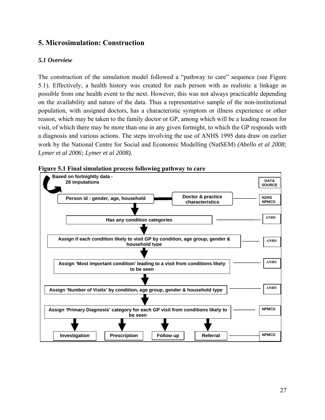## **5. Microsimulation: Construction**

## *5.1 Overview*

The construction of the simulation model followed a "pathway to care" sequence (see Figure 5.1). Effectively, a health history was created for each person with as realistic a linkage as possible from one health event to the next. However, this was not always practicable depending on the availability and nature of the data. Thus a representative sample of the non-institutional population, with assigned doctors, has a characteristic symptom or illness experience or other reason, which may be taken to the family doctor or GP, among which will be a leading reason for visit, of which there may be more than one in any given fortnight, to which the GP responds with a diagnosis and various actions. The steps involving the use of ANHS 1995 data draw on earlier work by the National Centre for Social and Economic Modelling (NatSEM) *(Abello et al 2008; Lymer et al 2006; Lymer et al 2008).* 



**Figure 5.1 Final simulation process following pathway to care**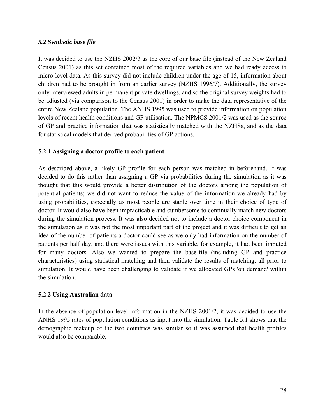#### *5.2 Synthetic base file*

It was decided to use the NZHS 2002/3 as the core of our base file (instead of the New Zealand Census 2001) as this set contained most of the required variables and we had ready access to micro-level data. As this survey did not include children under the age of 15, information about children had to be brought in from an earlier survey (NZHS 1996/7). Additionally, the survey only interviewed adults in permanent private dwellings, and so the original survey weights had to be adjusted (via comparison to the Census 2001) in order to make the data representative of the entire New Zealand population. The ANHS 1995 was used to provide information on population levels of recent health conditions and GP utilisation. The NPMCS 2001/2 was used as the source of GP and practice information that was statistically matched with the NZHSs, and as the data for statistical models that derived probabilities of GP actions.

#### **5.2.1 Assigning a doctor profile to each patient**

As described above, a likely GP profile for each person was matched in beforehand. It was decided to do this rather than assigning a GP via probabilities during the simulation as it was thought that this would provide a better distribution of the doctors among the population of potential patients; we did not want to reduce the value of the information we already had by using probabilities, especially as most people are stable over time in their choice of type of doctor. It would also have been impracticable and cumbersome to continually match new doctors during the simulation process. It was also decided not to include a doctor choice component in the simulation as it was not the most important part of the project and it was difficult to get an idea of the number of patients a doctor could see as we only had information on the number of patients per half day, and there were issues with this variable, for example, it had been imputed for many doctors. Also we wanted to prepare the base-file (including GP and practice characteristics) using statistical matching and then validate the results of matching, all prior to simulation. It would have been challenging to validate if we allocated GPs 'on demand' within the simulation.

#### **5.2.2 Using Australian data**

In the absence of population-level information in the NZHS 2001/2, it was decided to use the ANHS 1995 rates of population conditions as input into the simulation. Table 5.1 shows that the demographic makeup of the two countries was similar so it was assumed that health profiles would also be comparable.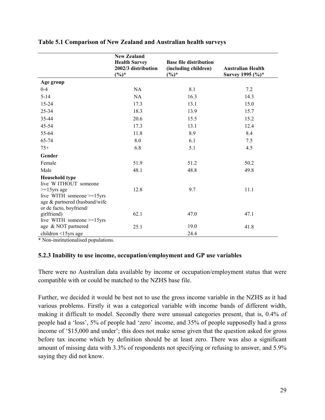|                                                                                                         | <b>New Zealand</b>              |                                  |                                              |
|---------------------------------------------------------------------------------------------------------|---------------------------------|----------------------------------|----------------------------------------------|
|                                                                                                         | <b>Health Survey</b>            | <b>Base file distribution</b>    |                                              |
|                                                                                                         | 2002/3 distribution<br>$(\%)^*$ | (including children)<br>$(\%)^*$ | <b>Australian Health</b><br>Survey 1995 (%)* |
| Age group                                                                                               |                                 |                                  |                                              |
| $0 - 4$                                                                                                 | NA                              | 8.1                              | 7.2                                          |
| $5 - 14$                                                                                                | NA                              | 16.3                             | 14.3                                         |
| 15-24                                                                                                   | 17.3                            | 13.1                             | 15.0                                         |
| 25-34                                                                                                   | 18.3                            | 13.9                             | 15.7                                         |
| 35-44                                                                                                   | 20.6                            | 15.5                             | 15.2                                         |
| 45-54                                                                                                   | 17.3                            | 13.1                             | 12.4                                         |
| 55-64                                                                                                   | 11.8                            | 8.9                              | 8.4                                          |
| 65-74                                                                                                   | $8.0\,$                         | 6.1                              | 7.5                                          |
| $75+$                                                                                                   | 6.8                             | 5.1                              | 4.5                                          |
| Gender                                                                                                  |                                 |                                  |                                              |
| Female                                                                                                  | 51.9                            | 51.2                             | 50.2                                         |
| Male                                                                                                    | 48.1                            | 48.8                             | 49.8                                         |
| <b>Household type</b><br>live WITHOUT someone                                                           |                                 |                                  |                                              |
| $>=15$ yrs age<br>live WITH someone >=15yrs<br>age & partnered (husband/wife<br>or de facto, boyfriend/ | 12.8                            | 9.7                              | 11.1                                         |
| girlfriend)<br>live WITH someone $>=15$ yrs                                                             | 62.1                            | 47.0                             | 47.1                                         |
| age & NOT partnered                                                                                     | 25.1                            | 19.0                             | 41.8                                         |
| children <15yrs age                                                                                     |                                 | 24.4                             |                                              |

#### **Table 5.1 Comparison of New Zealand and Australian health surveys**

\* Non-institutionalised populations.

#### **5.2.3 Inability to use income, occupation/employment and GP use variables**

There were no Australian data available by income or occupation/employment status that were compatible with or could be matched to the NZHS base file.

Further, we decided it would be best not to use the gross income variable in the NZHS as it had various problems. Firstly it was a categorical variable with income bands of different width, making it difficult to model. Secondly there were unusual categories present, that is, 0.4% of people had a 'loss', 5% of people had 'zero' income, and 35% of people supposedly had a gross income of '\$15,000 and under'; this does not make sense given that the question asked for gross before tax income which by definition should be at least zero. There was also a significant amount of missing data with 3.3% of respondents not specifying or refusing to answer, and 5.9% saying they did not know.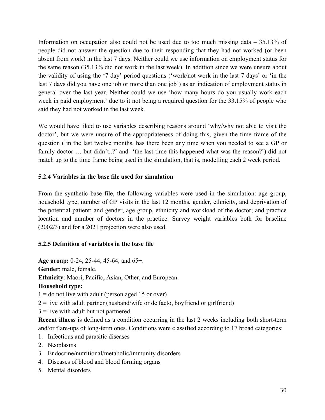Information on occupation also could not be used due to too much missing data – 35.13% of people did not answer the question due to their responding that they had not worked (or been absent from work) in the last 7 days. Neither could we use information on employment status for the same reason (35.13% did not work in the last week). In addition since we were unsure about the validity of using the '7 day' period questions ('work/not work in the last 7 days' or 'in the last 7 days did you have one job or more than one job') as an indication of employment status in general over the last year. Neither could we use 'how many hours do you usually work each week in paid employment' due to it not being a required question for the 33.15% of people who said they had not worked in the last week.

We would have liked to use variables describing reasons around 'why/why not able to visit the doctor', but we were unsure of the appropriateness of doing this, given the time frame of the question ('in the last twelve months, has there been any time when you needed to see a GP or family doctor ... but didn't..?' and 'the last time this happened what was the reason?') did not match up to the time frame being used in the simulation, that is, modelling each 2 week period.

## **5.2.4 Variables in the base file used for simulation**

From the synthetic base file, the following variables were used in the simulation: age group, household type, number of GP visits in the last 12 months, gender, ethnicity, and deprivation of the potential patient; and gender, age group, ethnicity and workload of the doctor; and practice location and number of doctors in the practice. Survey weight variables both for baseline (2002/3) and for a 2021 projection were also used.

## **5.2.5 Definition of variables in the base file**

**Age group:** 0-24, 25-44, 45-64, and 65+.

**Gender**: male, female.

**Ethnicity**: Maori, Pacific, Asian, Other, and European.

## **Household type:**

 $1 =$  do not live with adult (person aged 15 or over)

 $2 =$  live with adult partner (husband/wife or de facto, boyfriend or girlfriend)

 $3 =$  live with adult but not partnered.

**Recent illness** is defined as a condition occurring in the last 2 weeks including both short-term and/or flare-ups of long-term ones. Conditions were classified according to 17 broad categories:

- 1. Infectious and parasitic diseases
- 2. Neoplasms
- 3. Endocrine/nutritional/metabolic/immunity disorders
- 4. Diseases of blood and blood forming organs
- 5. Mental disorders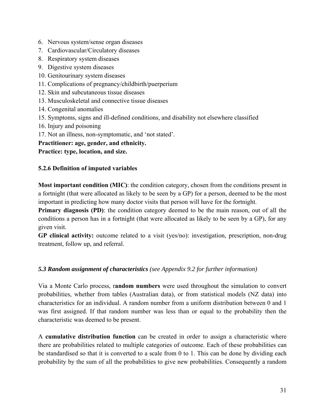- 6. Nervous system/sense organ diseases
- 7. Cardiovascular/Circulatory diseases
- 8. Respiratory system diseases
- 9. Digestive system diseases
- 10. Genitourinary system diseases
- 11. Complications of pregnancy/childbirth/puerperium
- 12. Skin and subcutaneous tissue diseases
- 13. Musculoskeletal and connective tissue diseases
- 14. Congenital anomalies
- 15. Symptoms, signs and ill-defined conditions, and disability not elsewhere classified
- 16. Injury and poisoning
- 17. Not an illness, non-symptomatic, and 'not stated'.
- **Practitioner: age, gender, and ethnicity.**

**Practice: type, location, and size.** 

## **5.2.6 Definition of imputed variables**

**Most important condition (MIC)**: the condition category, chosen from the conditions present in a fortnight (that were allocated as likely to be seen by a GP) for a person, deemed to be the most important in predicting how many doctor visits that person will have for the fortnight.

**Primary diagnosis (PD)**: the condition category deemed to be the main reason, out of all the conditions a person has in a fortnight (that were allocated as likely to be seen by a GP), for any given visit.

**GP clinical activity:** outcome related to a visit (yes/no): investigation, prescription, non-drug treatment, follow up, and referral.

#### *5.3 Random assignment of characteristics (see Appendix 9.2 for further information)*

Via a Monte Carlo process, r**andom numbers** were used throughout the simulation to convert probabilities, whether from tables (Australian data), or from statistical models (NZ data) into characteristics for an individual. A random number from a uniform distribution between 0 and 1 was first assigned. If that random number was less than or equal to the probability then the characteristic was deemed to be present.

A **cumulative distribution function** can be created in order to assign a characteristic where there are probabilities related to multiple categories of outcome. Each of these probabilities can be standardised so that it is converted to a scale from 0 to 1. This can be done by dividing each probability by the sum of all the probabilities to give new probabilities. Consequently a random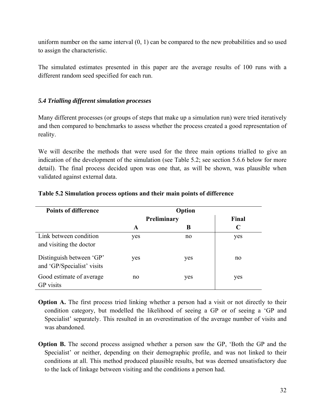uniform number on the same interval (0, 1) can be compared to the new probabilities and so used to assign the characteristic.

The simulated estimates presented in this paper are the average results of 100 runs with a different random seed specified for each run.

## *5.4 Trialling different simulation processes*

Many different processes (or groups of steps that make up a simulation run) were tried iteratively and then compared to benchmarks to assess whether the process created a good representation of reality.

We will describe the methods that were used for the three main options trialled to give an indication of the development of the simulation (see Table 5.2; see section 5.6.6 below for more detail). The final process decided upon was one that, as will be shown, was plausible when validated against external data.

| <b>Points of difference</b>                            | Option      |     |             |  |  |  |
|--------------------------------------------------------|-------------|-----|-------------|--|--|--|
|                                                        | Preliminary |     | Final       |  |  |  |
|                                                        | A           | B   | $\mathbf C$ |  |  |  |
| Link between condition<br>and visiting the doctor      | yes         | no  | yes         |  |  |  |
| Distinguish between 'GP'<br>and 'GP/Specialist' visits | yes         | yes | no          |  |  |  |
| Good estimate of average<br><b>GP</b> visits           | no          | yes | yes         |  |  |  |

#### **Table 5.2 Simulation process options and their main points of difference**

**Option A.** The first process tried linking whether a person had a visit or not directly to their condition category, but modelled the likelihood of seeing a GP or of seeing a 'GP and Specialist' separately. This resulted in an overestimation of the average number of visits and was abandoned.

**Option B.** The second process assigned whether a person saw the GP, 'Both the GP and the Specialist' or neither, depending on their demographic profile, and was not linked to their conditions at all. This method produced plausible results, but was deemed unsatisfactory due to the lack of linkage between visiting and the conditions a person had.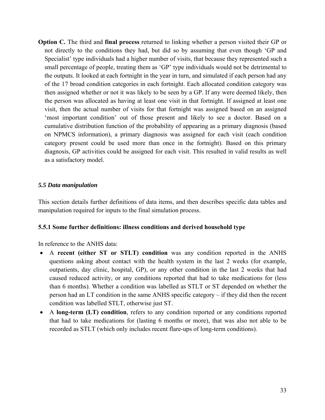**Option C.** The third and **final process** returned to linking whether a person visited their GP or not directly to the conditions they had, but did so by assuming that even though 'GP and Specialist' type individuals had a higher number of visits, that because they represented such a small percentage of people, treating them as 'GP' type individuals would not be detrimental to the outputs. It looked at each fortnight in the year in turn, and simulated if each person had any of the 17 broad condition categories in each fortnight. Each allocated condition category was then assigned whether or not it was likely to be seen by a GP. If any were deemed likely, then the person was allocated as having at least one visit in that fortnight. If assigned at least one visit, then the actual number of visits for that fortnight was assigned based on an assigned 'most important condition' out of those present and likely to see a doctor. Based on a cumulative distribution function of the probability of appearing as a primary diagnosis (based on NPMCS information), a primary diagnosis was assigned for each visit (each condition category present could be used more than once in the fortnight). Based on this primary diagnosis, GP activities could be assigned for each visit. This resulted in valid results as well as a satisfactory model.

#### *5.5 Data manipulation*

This section details further definitions of data items, and then describes specific data tables and manipulation required for inputs to the final simulation process.

#### **5.5.1 Some further definitions: illness conditions and derived household type**

In reference to the ANHS data:

- A **recent (either ST or STLT) condition** was any condition reported in the ANHS questions asking about contact with the health system in the last 2 weeks (for example, outpatients, day clinic, hospital, GP), or any other condition in the last 2 weeks that had caused reduced activity, or any conditions reported that had to take medications for (less than 6 months). Whether a condition was labelled as STLT or ST depended on whether the person had an LT condition in the same ANHS specific category – if they did then the recent condition was labelled STLT, otherwise just ST.
- A **long-term (LT) condition**, refers to any condition reported or any conditions reported that had to take medications for (lasting 6 months or more), that was also not able to be recorded as STLT (which only includes recent flare-ups of long-term conditions).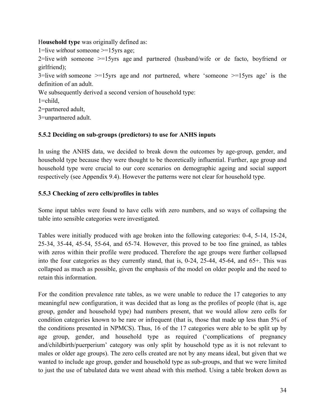H**ousehold type** was originally defined as:

1=live *without* someone >=15yrs age;

2=live *with* someone >=15yrs age and partnered (husband/wife or de facto, boyfriend or girlfriend);

3=live *with* someone >=15yrs age and *not* partnered, where 'someone >=15yrs age' is the definition of an adult.

We subsequently derived a second version of household type:

 $1 =$ child,

2=partnered adult,

3=unpartnered adult.

#### **5.5.2 Deciding on sub-groups (predictors) to use for ANHS inputs**

In using the ANHS data, we decided to break down the outcomes by age-group, gender, and household type because they were thought to be theoretically influential. Further, age group and household type were crucial to our core scenarios on demographic ageing and social support respectively (see Appendix 9.4). However the patterns were not clear for household type.

## **5.5.3 Checking of zero cells/profiles in tables**

Some input tables were found to have cells with zero numbers, and so ways of collapsing the table into sensible categories were investigated.

Tables were initially produced with age broken into the following categories: 0-4, 5-14, 15-24, 25-34, 35-44, 45-54, 55-64, and 65-74. However, this proved to be too fine grained, as tables with zeros within their profile were produced. Therefore the age groups were further collapsed into the four categories as they currently stand, that is, 0-24, 25-44, 45-64, and 65+. This was collapsed as much as possible, given the emphasis of the model on older people and the need to retain this information.

For the condition prevalence rate tables, as we were unable to reduce the 17 categories to any meaningful new configuration, it was decided that as long as the profiles of people (that is, age group, gender and household type) had numbers present, that we would allow zero cells for condition categories known to be rare or infrequent (that is, those that made up less than 5% of the conditions presented in NPMCS). Thus, 16 of the 17 categories were able to be split up by age group, gender, and household type as required ('complications of pregnancy and/childbirth/puerperium' category was only split by household type as it is not relevant to males or older age groups). The zero cells created are not by any means ideal, but given that we wanted to include age group, gender and household type as sub-groups, and that we were limited to just the use of tabulated data we went ahead with this method. Using a table broken down as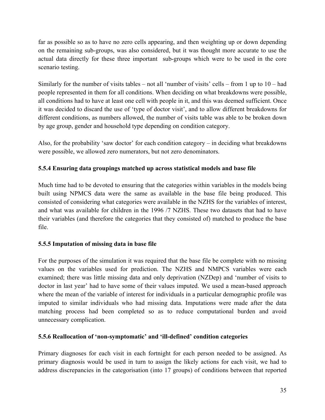far as possible so as to have no zero cells appearing, and then weighting up or down depending on the remaining sub-groups, was also considered, but it was thought more accurate to use the actual data directly for these three important sub-groups which were to be used in the core scenario testing.

Similarly for the number of visits tables – not all 'number of visits' cells – from 1 up to  $10 - had$ people represented in them for all conditions. When deciding on what breakdowns were possible, all conditions had to have at least one cell with people in it, and this was deemed sufficient. Once it was decided to discard the use of 'type of doctor visit', and to allow different breakdowns for different conditions, as numbers allowed, the number of visits table was able to be broken down by age group, gender and household type depending on condition category.

Also, for the probability 'saw doctor' for each condition category – in deciding what breakdowns were possible, we allowed zero numerators, but not zero denominators.

## **5.5.4 Ensuring data groupings matched up across statistical models and base file**

Much time had to be devoted to ensuring that the categories within variables in the models being built using NPMCS data were the same as available in the base file being produced. This consisted of considering what categories were available in the NZHS for the variables of interest, and what was available for children in the 1996 /7 NZHS. These two datasets that had to have their variables (and therefore the categories that they consisted of) matched to produce the base file.

## **5.5.5 Imputation of missing data in base file**

For the purposes of the simulation it was required that the base file be complete with no missing values on the variables used for prediction. The NZHS and NMPCS variables were each examined; there was little missing data and only deprivation (NZDep) and 'number of visits to doctor in last year' had to have some of their values imputed. We used a mean-based approach where the mean of the variable of interest for individuals in a particular demographic profile was imputed to similar individuals who had missing data. Imputations were made after the data matching process had been completed so as to reduce computational burden and avoid unnecessary complication.

## **5.5.6 Reallocation of 'non-symptomatic' and 'ill-defined' condition categories**

Primary diagnoses for each visit in each fortnight for each person needed to be assigned. As primary diagnosis would be used in turn to assign the likely actions for each visit, we had to address discrepancies in the categorisation (into 17 groups) of conditions between that reported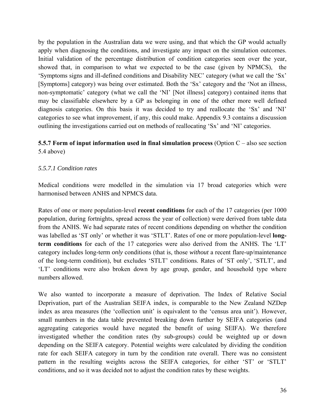by the population in the Australian data we were using, and that which the GP would actually apply when diagnosing the conditions, and investigate any impact on the simulation outcomes. Initial validation of the percentage distribution of condition categories seen over the year, showed that, in comparison to what we expected to be the case (given by NPMCS), the 'Symptoms signs and ill-defined conditions and Disability NEC' category (what we call the 'Sx' [Symptoms] category) was being over estimated. Both the 'Sx' category and the 'Not an illness, non-symptomatic' category (what we call the 'NI' [Not illness] category) contained items that may be classifiable elsewhere by a GP as belonging in one of the other more well defined diagnosis categories. On this basis it was decided to try and reallocate the 'Sx' and 'NI' categories to see what improvement, if any, this could make. Appendix 9.3 contains a discussion outlining the investigations carried out on methods of reallocating 'Sx' and 'NI' categories.

## **5.5.7 Form of input information used in final simulation process** (Option C – also see section 5.4 above)

## *5.5.7.1 Condition rates*

Medical conditions were modelled in the simulation via 17 broad categories which were harmonised between ANHS and NPMCS data.

Rates of one or more population-level **recent conditions** for each of the 17 categories (per 1000 population, during fortnights, spread across the year of collection) were derived from table data from the ANHS. We had separate rates of recent conditions depending on whether the condition was labelled as 'ST only' or whether it was 'STLT'. Rates of one or more population-level **longterm conditions** for each of the 17 categories were also derived from the ANHS. The 'LT' category includes long-term *only* conditions (that is, those *without* a recent flare-up/maintenance of the long-term condition), but excludes 'STLT' conditions. Rates of 'ST only', 'STLT', and 'LT' conditions were also broken down by age group, gender, and household type where numbers allowed.

We also wanted to incorporate a measure of deprivation. The Index of Relative Social Deprivation, part of the Australian SEIFA index, is comparable to the New Zealand NZDep index as area measures (the 'collection unit' is equivalent to the 'census area unit'). However, small numbers in the data table prevented breaking down further by SEIFA categories (and aggregating categories would have negated the benefit of using SEIFA). We therefore investigated whether the condition rates (by sub-groups) could be weighted up or down depending on the SEIFA category. Potential weights were calculated by dividing the condition rate for each SEIFA category in turn by the condition rate overall. There was no consistent pattern in the resulting weights across the SEIFA categories, for either 'ST' or 'STLT' conditions, and so it was decided not to adjust the condition rates by these weights.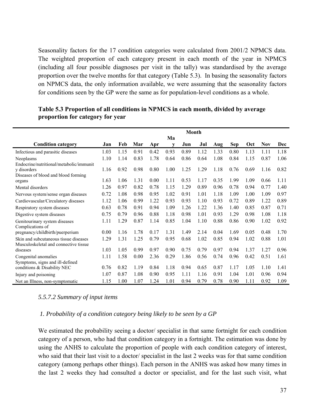Seasonality factors for the 17 condition categories were calculated from 2001/2 NPMCS data. The weighted proportion of each category present in each month of the year in NPMCS (including all four possible diagnoses per visit in the tally) was standardised by the average proportion over the twelve months for that category (Table 5.3). In basing the seasonality factors on NPMCS data, the only information available, we were assuming that the seasonality factors for conditions seen by the GP were the same as for population-level conditions as a whole.

|                                                                                | <b>Month</b> |      |      |      |      |      |      |      |            |      |            |      |
|--------------------------------------------------------------------------------|--------------|------|------|------|------|------|------|------|------------|------|------------|------|
|                                                                                |              |      |      |      | Ma   |      |      |      |            |      |            |      |
| <b>Condition category</b>                                                      | Jan          | Feb  | Mar  | Apr  | v    | Jun  | Jul  | Aug  | <b>Sep</b> | Oct  | <b>Nov</b> | Dec  |
| Infectious and parasitic diseases                                              | 1.03         | 1.15 | 0.91 | 0.42 | 0.93 | 0.89 | 1.12 | 1.33 | 0.80       | 1.13 | 1.11       | 1.18 |
| Neoplasms                                                                      | 1.10         | 1.14 | 0.83 | 1.78 | 0.64 | 0.86 | 0.64 | 1.08 | 0.84       | 1.15 | 0.87       | 1.06 |
| Endocrine/nutritional/metabolic/immunit                                        |              |      |      |      |      |      |      |      |            |      |            |      |
| y disorders                                                                    | 1.16         | 0.92 | 0.98 | 0.80 | 1.00 | 1.25 | 1.29 | 1.18 | 0.76       | 0.69 | 1.16       | 0.82 |
| Diseases of blood and blood forming                                            |              |      |      |      |      |      |      |      |            |      |            |      |
| organs                                                                         | 1.63         | 1.06 | 1.31 | 0.00 | 1.11 | 0.53 | 1.17 | 0.35 | 1.99       | 1.09 | 0.66       | 1.11 |
| Mental disorders                                                               | 1.26         | 0.97 | 0.82 | 0.78 | 1.15 | 1.29 | 0.89 | 0.96 | 0.78       | 0.94 | 0.77       | 1.40 |
| Nervous system/sense organ diseases                                            | 0.72         | 1.08 | 0.98 | 0.95 | 1.02 | 0.91 | 1.01 | 1.18 | 1.09       | 1.00 | 1.09       | 0.97 |
| Cardiovascular/Circulatory diseases                                            | 1.12         | 1.06 | 0.99 | 1.22 | 0.93 | 0.93 | 1.10 | 0.93 | 0.72       | 0.89 | 1.22       | 0.89 |
| Respiratory system diseases                                                    | 0.63         | 0.78 | 0.91 | 0.94 | 1.09 | 1.26 | 1.22 | 1.36 | 1.40       | 0.85 | 0.87       | 0.71 |
| Digestive system diseases                                                      | 0.75         | 0.79 | 0.96 | 0.88 | 1.18 | 0.98 | 1.01 | 0.93 | 1.29       | 0.98 | 1.08       | 1.18 |
| Genitourinary system diseases<br>Complications of                              | 1.11         | 1.29 | 0.87 | 1.14 | 0.85 | 1.04 | 1.10 | 0.88 | 0.86       | 0.90 | 1.02       | 0.92 |
| pregnancy/childbirth/puerperium                                                | 0.00         | 1.16 | 1.78 | 0.17 | 1.31 | 1.49 | 2.14 | 0.04 | 1.69       | 0.05 | 0.48       | 1.70 |
| Skin and subcutaneous tissue diseases<br>Musculoskeletal and connective tissue | 1.29         | 1.31 | 1.25 | 0.79 | 0.95 | 0.68 | 1.02 | 0.85 | 0.94       | 1.02 | 0.88       | 1.01 |
| diseases                                                                       | 1.03         | 1.05 | 0.99 | 0.97 | 0.90 | 0.75 | 0.79 | 0.97 | 0.94       | 1.37 | 1.27       | 0.96 |
| Congenital anomalies                                                           | 1.11         | 1.58 | 0.00 | 2.36 | 0.29 | 1.86 | 0.56 | 0.74 | 0.96       | 0.42 | 0.51       | 1.61 |
| Symptoms, signs and ill-defined<br>conditions & Disability NEC                 | 0.76         | 0.82 | 1.19 | 0.84 | 1.18 | 0.94 | 0.65 | 0.87 | 1.17       | 1.05 | 1.10       | 1.41 |
| Injury and poisoning                                                           | 1.07         | 0.87 | 1.08 | 0.90 | 0.95 | 1.11 | 1.16 | 0.91 | 1.04       | 1.01 | 0.96       | 0.94 |
| Not an Illness, non-symptomatic                                                | 1.15         | 1.00 | 1.07 | 1.24 | 1.01 | 0.94 | 0.79 | 0.78 | 0.90       | 1.11 | 0.92       | 1.09 |

**Table 5.3 Proportion of all conditions in NPMCS in each month, divided by average proportion for category for year** 

#### *5.5.7.2 Summary of input items*

#### *1. Probability of a condition category being likely to be seen by a GP*

We estimated the probability seeing a doctor/ specialist in that same fortnight for each condition category of a person, who had that condition category in a fortnight. The estimation was done by using the ANHS to calculate the proportion of people with each condition category of interest, who said that their last visit to a doctor/ specialist in the last 2 weeks was for that same condition category (among perhaps other things). Each person in the ANHS was asked how many times in the last 2 weeks they had consulted a doctor or specialist, and for the last such visit, what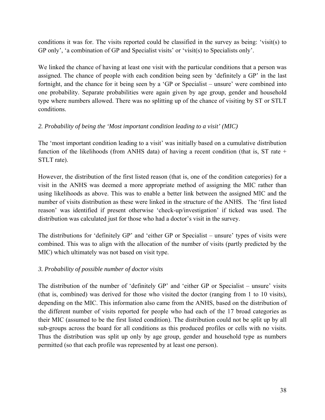conditions it was for. The visits reported could be classified in the survey as being: 'visit(s) to GP only', 'a combination of GP and Specialist visits' or 'visit(s) to Specialists only'.

We linked the chance of having at least one visit with the particular conditions that a person was assigned. The chance of people with each condition being seen by 'definitely a GP' in the last fortnight, and the chance for it being seen by a 'GP or Specialist – unsure' were combined into one probability. Separate probabilities were again given by age group, gender and household type where numbers allowed. There was no splitting up of the chance of visiting by ST or STLT conditions.

## *2. Probability of being the 'Most important condition leading to a visit' (MIC)*

The 'most important condition leading to a visit' was initially based on a cumulative distribution function of the likelihoods (from ANHS data) of having a recent condition (that is, ST rate + STLT rate).

However, the distribution of the first listed reason (that is, one of the condition categories) for a visit in the ANHS was deemed a more appropriate method of assigning the MIC rather than using likelihoods as above. This was to enable a better link between the assigned MIC and the number of visits distribution as these were linked in the structure of the ANHS. The 'first listed reason' was identified if present otherwise 'check-up/investigation' if ticked was used. The distribution was calculated just for those who had a doctor's visit in the survey.

The distributions for 'definitely GP' and 'either GP or Specialist – unsure' types of visits were combined. This was to align with the allocation of the number of visits (partly predicted by the MIC) which ultimately was not based on visit type.

## *3. Probability of possible number of doctor visits*

The distribution of the number of 'definitely GP' and 'either GP or Specialist – unsure' visits (that is, combined) was derived for those who visited the doctor (ranging from 1 to 10 visits), depending on the MIC. This information also came from the ANHS, based on the distribution of the different number of visits reported for people who had each of the 17 broad categories as their MIC (assumed to be the first listed condition). The distribution could not be split up by all sub-groups across the board for all conditions as this produced profiles or cells with no visits. Thus the distribution was split up only by age group, gender and household type as numbers permitted (so that each profile was represented by at least one person).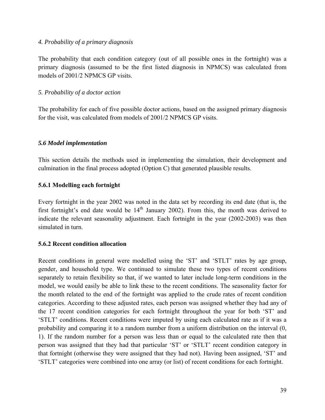#### *4. Probability of a primary diagnosis*

The probability that each condition category (out of all possible ones in the fortnight) was a primary diagnosis (assumed to be the first listed diagnosis in NPMCS) was calculated from models of 2001/2 NPMCS GP visits.

#### *5. Probability of a doctor action*

The probability for each of five possible doctor actions, based on the assigned primary diagnosis for the visit, was calculated from models of 2001/2 NPMCS GP visits.

## *5.6 Model implementation*

This section details the methods used in implementing the simulation, their development and culmination in the final process adopted (Option C) that generated plausible results.

## **5.6.1 Modelling each fortnight**

Every fortnight in the year 2002 was noted in the data set by recording its end date (that is, the first fortnight's end date would be  $14<sup>th</sup>$  January 2002). From this, the month was derived to indicate the relevant seasonality adjustment. Each fortnight in the year (2002-2003) was then simulated in turn.

#### **5.6.2 Recent condition allocation**

Recent conditions in general were modelled using the 'ST' and 'STLT' rates by age group, gender, and household type. We continued to simulate these two types of recent conditions separately to retain flexibility so that, if we wanted to later include long-term conditions in the model, we would easily be able to link these to the recent conditions. The seasonality factor for the month related to the end of the fortnight was applied to the crude rates of recent condition categories. According to these adjusted rates, each person was assigned whether they had any of the 17 recent condition categories for each fortnight throughout the year for both 'ST' and 'STLT' conditions. Recent conditions were imputed by using each calculated rate as if it was a probability and comparing it to a random number from a uniform distribution on the interval (0, 1). If the random number for a person was less than or equal to the calculated rate then that person was assigned that they had that particular 'ST' or 'STLT' recent condition category in that fortnight (otherwise they were assigned that they had not). Having been assigned, 'ST' and 'STLT' categories were combined into one array (or list) of recent conditions for each fortnight.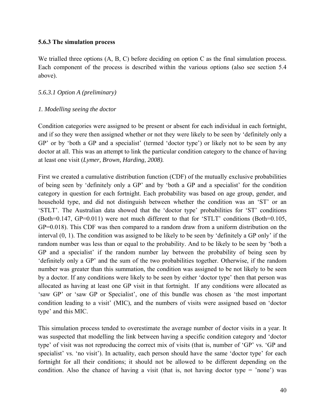#### **5.6.3 The simulation process**

We trialled three options  $(A, B, C)$  before deciding on option C as the final simulation process. Each component of the process is described within the various options (also see section 5.4 above).

## *5.6.3.1 Option A (preliminary)*

## *1. Modelling seeing the doctor*

Condition categories were assigned to be present or absent for each individual in each fortnight, and if so they were then assigned whether or not they were likely to be seen by 'definitely only a GP' or by 'both a GP and a specialist' (termed 'doctor type') or likely not to be seen by any doctor at all. This was an attempt to link the particular condition category to the chance of having at least one visit (*Lymer, Brown, Harding, 2008).*

First we created a cumulative distribution function (CDF) of the mutually exclusive probabilities of being seen by 'definitely only a GP' and by 'both a GP and a specialist' for the condition category in question for each fortnight. Each probability was based on age group, gender, and household type, and did not distinguish between whether the condition was an 'ST' or an 'STLT'. The Australian data showed that the 'doctor type' probabilities for 'ST' conditions (Both=0.147, GP=0.011) were not much different to that for 'STLT' conditions (Both=0.105, GP=0.018). This CDF was then compared to a random draw from a uniform distribution on the interval (0, 1). The condition was assigned to be likely to be seen by 'definitely a GP only' if the random number was less than or equal to the probability. And to be likely to be seen by 'both a GP and a specialist' if the random number lay between the probability of being seen by 'definitely only a GP' and the sum of the two probabilities together. Otherwise, if the random number was greater than this summation, the condition was assigned to be not likely to be seen by a doctor. If any conditions were likely to be seen by either 'doctor type' then that person was allocated as having at least one GP visit in that fortnight. If any conditions were allocated as 'saw GP' or 'saw GP or Specialist', one of this bundle was chosen as 'the most important condition leading to a visit' (MIC), and the numbers of visits were assigned based on 'doctor type' and this MIC.

This simulation process tended to overestimate the average number of doctor visits in a year. It was suspected that modelling the link between having a specific condition category and 'doctor type' of visit was not reproducing the correct mix of visits (that is, number of 'GP' vs. 'GP and specialist' vs. 'no visit'). In actuality, each person should have the same 'doctor type' for each fortnight for all their conditions; it should not be allowed to be different depending on the condition. Also the chance of having a visit (that is, not having doctor type  $=$  'none') was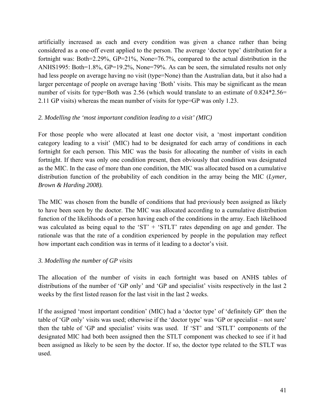artificially increased as each and every condition was given a chance rather than being considered as a one-off event applied to the person. The average 'doctor type' distribution for a fortnight was: Both=2.29%, GP=21%, None=76.7%, compared to the actual distribution in the ANHS1995: Both=1.8%, GP=19.2%, None=79%. As can be seen, the simulated results not only had less people on average having no visit (type=None) than the Australian data, but it also had a larger percentage of people on average having 'Both' visits. This may be significant as the mean number of visits for type=Both was 2.56 (which would translate to an estimate of  $0.824*2.56=$ 2.11 GP visits) whereas the mean number of visits for type=GP was only 1.23.

## *2. Modelling the 'most important condition leading to a visit' (MIC)*

For those people who were allocated at least one doctor visit, a 'most important condition category leading to a visit' (MIC) had to be designated for each array of conditions in each fortnight for each person. This MIC was the basis for allocating the number of visits in each fortnight. If there was only one condition present, then obviously that condition was designated as the MIC. In the case of more than one condition, the MIC was allocated based on a cumulative distribution function of the probability of each condition in the array being the MIC (*Lymer, Brown & Harding 2008).*

The MIC was chosen from the bundle of conditions that had previously been assigned as likely to have been seen by the doctor. The MIC was allocated according to a cumulative distribution function of the likelihoods of a person having each of the conditions in the array. Each likelihood was calculated as being equal to the 'ST' + 'STLT' rates depending on age and gender. The rationale was that the rate of a condition experienced by people in the population may reflect how important each condition was in terms of it leading to a doctor's visit.

## *3. Modelling the number of GP visits*

The allocation of the number of visits in each fortnight was based on ANHS tables of distributions of the number of 'GP only' and 'GP and specialist' visits respectively in the last 2 weeks by the first listed reason for the last visit in the last 2 weeks.

If the assigned 'most important condition' (MIC) had a 'doctor type' of 'definitely GP' then the table of 'GP only' visits was used; otherwise if the 'doctor type' was 'GP or specialist – not sure' then the table of 'GP and specialist' visits was used. If 'ST' and 'STLT' components of the designated MIC had both been assigned then the STLT component was checked to see if it had been assigned as likely to be seen by the doctor. If so, the doctor type related to the STLT was used.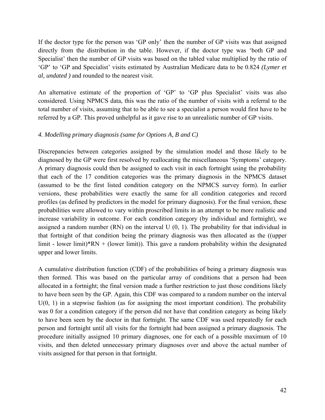If the doctor type for the person was 'GP only' then the number of GP visits was that assigned directly from the distribution in the table. However, if the doctor type was 'both GP and Specialist' then the number of GP visits was based on the tabled value multiplied by the ratio of 'GP' to 'GP and Specialist' visits estimated by Australian Medicare data to be 0.824 *(Lymer et al, undated )* and rounded to the nearest visit.

An alternative estimate of the proportion of 'GP' to 'GP plus Specialist' visits was also considered. Using NPMCS data, this was the ratio of the number of visits with a referral to the total number of visits, assuming that to be able to see a specialist a person would first have to be referred by a GP. This proved unhelpful as it gave rise to an unrealistic number of GP visits.

#### *4. Modelling primary diagnosis (same for Options A, B and C)*

Discrepancies between categories assigned by the simulation model and those likely to be diagnosed by the GP were first resolved by reallocating the miscellaneous 'Symptoms' category. A primary diagnosis could then be assigned to each visit in each fortnight using the probability that each of the 17 condition categories was the primary diagnosis in the NPMCS dataset (assumed to be the first listed condition category on the NPMCS survey form). In earlier versions, these probabilities were exactly the same for all condition categories and record profiles (as defined by predictors in the model for primary diagnosis). For the final version, these probabilities were allowed to vary within proscribed limits in an attempt to be more realistic and increase variability in outcome. For each condition category (by individual and fortnight), we assigned a random number  $(RN)$  on the interval U  $(0, 1)$ . The probability for that individual in that fortnight of that condition being the primary diagnosis was then allocated as the ((upper limit - lower limit)\*RN + (lower limit)). This gave a random probability within the designated upper and lower limits.

A cumulative distribution function (CDF) of the probabilities of being a primary diagnosis was then formed. This was based on the particular array of conditions that a person had been allocated in a fortnight; the final version made a further restriction to just those conditions likely to have been seen by the GP. Again, this CDF was compared to a random number on the interval  $U(0, 1)$  in a stepwise fashion (as for assigning the most important condition). The probability was 0 for a condition category if the person did not have that condition category as being likely to have been seen by the doctor in that fortnight. The same CDF was used repeatedly for each person and fortnight until all visits for the fortnight had been assigned a primary diagnosis. The procedure initially assigned 10 primary diagnoses, one for each of a possible maximum of 10 visits, and then deleted unnecessary primary diagnoses over and above the actual number of visits assigned for that person in that fortnight.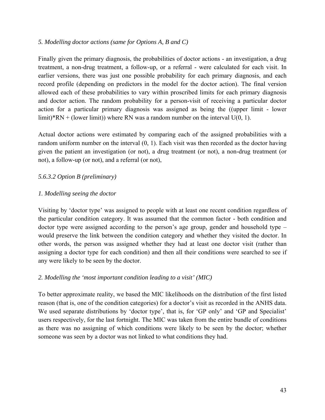#### *5. Modelling doctor actions (same for Options A, B and C)*

Finally given the primary diagnosis, the probabilities of doctor actions - an investigation, a drug treatment, a non-drug treatment, a follow-up, or a referral - were calculated for each visit. In earlier versions, there was just one possible probability for each primary diagnosis, and each record profile (depending on predictors in the model for the doctor action). The final version allowed each of these probabilities to vary within proscribed limits for each primary diagnosis and doctor action. The random probability for a person-visit of receiving a particular doctor action for a particular primary diagnosis was assigned as being the ((upper limit - lower limit)\*RN + (lower limit)) where RN was a random number on the interval  $U(0, 1)$ .

Actual doctor actions were estimated by comparing each of the assigned probabilities with a random uniform number on the interval (0, 1). Each visit was then recorded as the doctor having given the patient an investigation (or not), a drug treatment (or not), a non-drug treatment (or not), a follow-up (or not), and a referral (or not),

## *5.6.3.2 Option B (preliminary)*

## *1. Modelling seeing the doctor*

Visiting by 'doctor type' was assigned to people with at least one recent condition regardless of the particular condition category. It was assumed that the common factor - both condition and doctor type were assigned according to the person's age group, gender and household type – would preserve the link between the condition category and whether they visited the doctor. In other words, the person was assigned whether they had at least one doctor visit (rather than assigning a doctor type for each condition) and then all their conditions were searched to see if any were likely to be seen by the doctor.

## *2. Modelling the 'most important condition leading to a visit' (MIC)*

To better approximate reality, we based the MIC likelihoods on the distribution of the first listed reason (that is, one of the condition categories) for a doctor's visit as recorded in the ANHS data. We used separate distributions by 'doctor type', that is, for 'GP only' and 'GP and Specialist' users respectively, for the last fortnight. The MIC was taken from the entire bundle of conditions as there was no assigning of which conditions were likely to be seen by the doctor; whether someone was seen by a doctor was not linked to what conditions they had.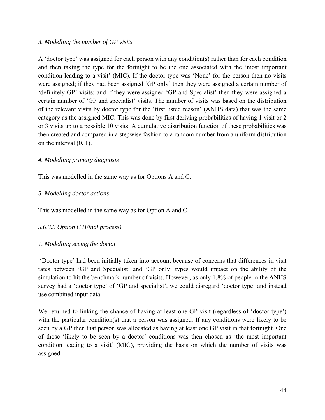#### *3. Modelling the number of GP visits*

A 'doctor type' was assigned for each person with any condition(s) rather than for each condition and then taking the type for the fortnight to be the one associated with the 'most important condition leading to a visit' (MIC). If the doctor type was 'None' for the person then no visits were assigned; if they had been assigned 'GP only' then they were assigned a certain number of 'definitely GP' visits; and if they were assigned 'GP and Specialist' then they were assigned a certain number of 'GP and specialist' visits. The number of visits was based on the distribution of the relevant visits by doctor type for the 'first listed reason' (ANHS data) that was the same category as the assigned MIC. This was done by first deriving probabilities of having 1 visit or 2 or 3 visits up to a possible 10 visits. A cumulative distribution function of these probabilities was then created and compared in a stepwise fashion to a random number from a uniform distribution on the interval (0, 1).

## *4. Modelling primary diagnosis*

This was modelled in the same way as for Options A and C.

#### *5. Modelling doctor actions*

This was modelled in the same way as for Option A and C.

## *5.6.3.3 Option C (Final process)*

## *1. Modelling seeing the doctor*

 'Doctor type' had been initially taken into account because of concerns that differences in visit rates between 'GP and Specialist' and 'GP only' types would impact on the ability of the simulation to hit the benchmark number of visits. However, as only 1.8% of people in the ANHS survey had a 'doctor type' of 'GP and specialist', we could disregard 'doctor type' and instead use combined input data.

We returned to linking the chance of having at least one GP visit (regardless of 'doctor type') with the particular condition(s) that a person was assigned. If any conditions were likely to be seen by a GP then that person was allocated as having at least one GP visit in that fortnight. One of those 'likely to be seen by a doctor' conditions was then chosen as 'the most important condition leading to a visit' (MIC), providing the basis on which the number of visits was assigned.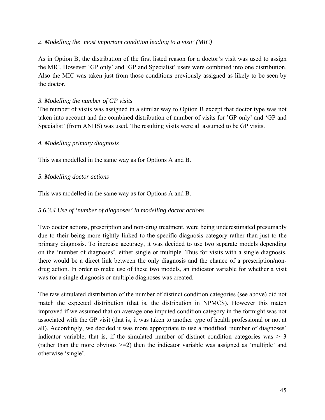#### *2. Modelling the 'most important condition leading to a visit' (MIC)*

As in Option B, the distribution of the first listed reason for a doctor's visit was used to assign the MIC. However 'GP only' and 'GP and Specialist' users were combined into one distribution. Also the MIC was taken just from those conditions previously assigned as likely to be seen by the doctor.

## *3. Modelling the number of GP visits*

The number of visits was assigned in a similar way to Option B except that doctor type was not taken into account and the combined distribution of number of visits for 'GP only' and 'GP and Specialist' (from ANHS) was used. The resulting visits were all assumed to be GP visits.

## *4. Modelling primary diagnosis*

This was modelled in the same way as for Options A and B.

## *5. Modelling doctor actions*

This was modelled in the same way as for Options A and B.

## *5.6.3.4 Use of 'number of diagnoses' in modelling doctor actions*

Two doctor actions, prescription and non-drug treatment, were being underestimated presumably due to their being more tightly linked to the specific diagnosis category rather than just to the primary diagnosis. To increase accuracy, it was decided to use two separate models depending on the 'number of diagnoses', either single or multiple. Thus for visits with a single diagnosis, there would be a direct link between the only diagnosis and the chance of a prescription/nondrug action. In order to make use of these two models, an indicator variable for whether a visit was for a single diagnosis or multiple diagnoses was created.

The raw simulated distribution of the number of distinct condition categories (see above) did not match the expected distribution (that is, the distribution in NPMCS). However this match improved if we assumed that on average one imputed condition category in the fortnight was not associated with the GP visit (that is, it was taken to another type of health professional or not at all). Accordingly, we decided it was more appropriate to use a modified 'number of diagnoses' indicator variable, that is, if the simulated number of distinct condition categories was  $\geq$ =3 (rather than the more obvious >=2) then the indicator variable was assigned as 'multiple' and otherwise 'single'.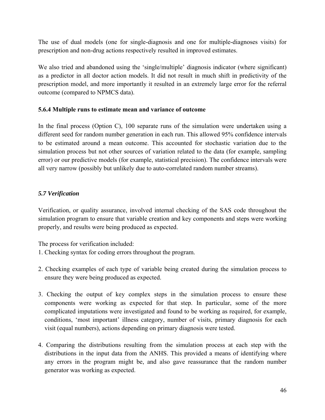The use of dual models (one for single-diagnosis and one for multiple-diagnoses visits) for prescription and non-drug actions respectively resulted in improved estimates.

We also tried and abandoned using the 'single/multiple' diagnosis indicator (where significant) as a predictor in all doctor action models. It did not result in much shift in predictivity of the prescription model, and more importantly it resulted in an extremely large error for the referral outcome (compared to NPMCS data).

## **5.6.4 Multiple runs to estimate mean and variance of outcome**

In the final process (Option C), 100 separate runs of the simulation were undertaken using a different seed for random number generation in each run. This allowed 95% confidence intervals to be estimated around a mean outcome. This accounted for stochastic variation due to the simulation process but not other sources of variation related to the data (for example, sampling error) or our predictive models (for example, statistical precision). The confidence intervals were all very narrow (possibly but unlikely due to auto-correlated random number streams).

## *5.7 Verification*

Verification, or quality assurance, involved internal checking of the SAS code throughout the simulation program to ensure that variable creation and key components and steps were working properly, and results were being produced as expected.

The process for verification included:

- 1. Checking syntax for coding errors throughout the program.
- 2. Checking examples of each type of variable being created during the simulation process to ensure they were being produced as expected.
- 3. Checking the output of key complex steps in the simulation process to ensure these components were working as expected for that step. In particular, some of the more complicated imputations were investigated and found to be working as required, for example, conditions, 'most important' illness category, number of visits, primary diagnosis for each visit (equal numbers), actions depending on primary diagnosis were tested.
- 4. Comparing the distributions resulting from the simulation process at each step with the distributions in the input data from the ANHS. This provided a means of identifying where any errors in the program might be, and also gave reassurance that the random number generator was working as expected.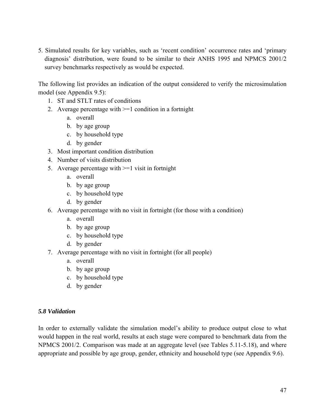5. Simulated results for key variables, such as 'recent condition' occurrence rates and 'primary diagnosis' distribution, were found to be similar to their ANHS 1995 and NPMCS 2001/2 survey benchmarks respectively as would be expected.

The following list provides an indication of the output considered to verify the microsimulation model (see Appendix 9.5):

- 1. ST and STLT rates of conditions
- 2. Average percentage with >=1 condition in a fortnight
	- a. overall
	- b. by age group
	- c. by household type
	- d. by gender
- 3. Most important condition distribution
- 4. Number of visits distribution
- 5. Average percentage with >=1 visit in fortnight
	- a. overall
	- b. by age group
	- c. by household type
	- d. by gender
- 6. Average percentage with no visit in fortnight (for those with a condition)
	- a. overall
	- b. by age group
	- c. by household type
	- d. by gender
- 7. Average percentage with no visit in fortnight (for all people)
	- a. overall
	- b. by age group
	- c. by household type
	- d. by gender

#### *5.8 Validation*

In order to externally validate the simulation model's ability to produce output close to what would happen in the real world, results at each stage were compared to benchmark data from the NPMCS 2001/2. Comparison was made at an aggregate level (see Tables 5.11-5.18), and where appropriate and possible by age group, gender, ethnicity and household type (see Appendix 9.6).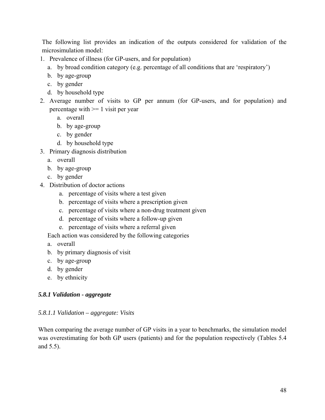The following list provides an indication of the outputs considered for validation of the microsimulation model:

- 1. Prevalence of illness (for GP-users, and for population)
	- a. by broad condition category (e.g. percentage of all conditions that are 'respiratory')
	- b. by age-group
	- c. by gender
	- d. by household type
- 2. Average number of visits to GP per annum (for GP-users, and for population) and percentage with  $\geq 1$  visit per year
	- a. overall
	- b. by age-group
	- c. by gender
	- d. by household type
- 3. Primary diagnosis distribution
	- a. overall
	- b. by age-group
	- c. by gender
- 4. Distribution of doctor actions
	- a. percentage of visits where a test given
	- b. percentage of visits where a prescription given
	- c. percentage of visits where a non-drug treatment given
	- d. percentage of visits where a follow-up given
	- e. percentage of visits where a referral given

Each action was considered by the following categories

- a. overall
- b. by primary diagnosis of visit
- c. by age-group
- d. by gender
- e. by ethnicity

## *5.8.1 Validation - aggregate*

## *5.8.1.1 Validation – aggregate: Visits*

When comparing the average number of GP visits in a year to benchmarks, the simulation model was overestimating for both GP users (patients) and for the population respectively (Tables 5.4 and 5.5).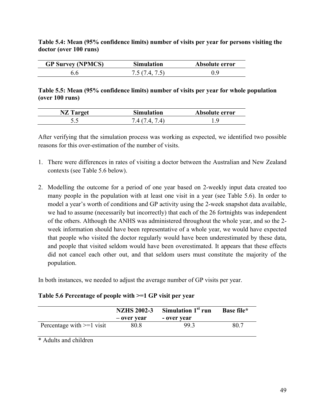**Table 5.4: Mean (95% confidence limits) number of visits per year for persons visiting the doctor (over 100 runs)** 

| <b>GP Survey (NPMCS)</b> | <b>Simulation</b> | Absolute error |
|--------------------------|-------------------|----------------|
| 6.6                      | 7567475)          |                |

## **Table 5.5: Mean (95% confidence limits) number of visits per year for whole population (over 100 runs)**

| <b>NZ</b> Target | <b>Simulation</b>       | Absolute error |
|------------------|-------------------------|----------------|
| ັ.               | $A$ 7 $A$<br>$\Delta$ ( |                |

After verifying that the simulation process was working as expected, we identified two possible reasons for this over-estimation of the number of visits.

- 1. There were differences in rates of visiting a doctor between the Australian and New Zealand contexts (see Table 5.6 below).
- 2. Modelling the outcome for a period of one year based on 2-weekly input data created too many people in the population with at least one visit in a year (see Table 5.6). In order to model a year's worth of conditions and GP activity using the 2-week snapshot data available, we had to assume (necessarily but incorrectly) that each of the 26 fortnights was independent of the others. Although the ANHS was administered throughout the whole year, and so the 2 week information should have been representative of a whole year, we would have expected that people who visited the doctor regularly would have been underestimated by these data, and people that visited seldom would have been overestimated. It appears that these effects did not cancel each other out, and that seldom users must constitute the majority of the population.

In both instances, we needed to adjust the average number of GP visits per year.

## **Table 5.6 Percentage of people with >=1 GP visit per year**

|                             | <b>NZHS 2002-3</b><br>– over vear | Simulation 1 <sup>st</sup> run<br>- over year | Base file* |
|-----------------------------|-----------------------------------|-----------------------------------------------|------------|
| Percentage with $>=1$ visit | 80.8                              | 99.3                                          | 80 7       |

\* Adults and children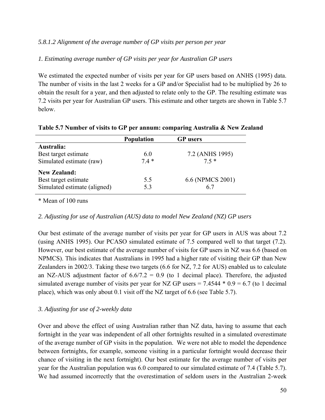## *5.8.1.2 Alignment of the average number of GP visits per person per year*

## *1. Estimating average number of GP visits per year for Australian GP users*

We estimated the expected number of visits per year for GP users based on ANHS (1995) data. The number of visits in the last 2 weeks for a GP and/or Specialist had to be multiplied by 26 to obtain the result for a year, and then adjusted to relate only to the GP. The resulting estimate was 7.2 visits per year for Australian GP users. This estimate and other targets are shown in Table 5.7 below.

|                              | <b>Population</b> | <b>GP</b> users  |
|------------------------------|-------------------|------------------|
| Australia:                   |                   |                  |
| Best target estimate         | 6.0               | 7.2 (ANHS 1995)  |
| Simulated estimate (raw)     | $74*$             | $7.5*$           |
| <b>New Zealand:</b>          |                   |                  |
| Best target estimate         | 5.5               | 6.6 (NPMCS 2001) |
| Simulated estimate (aligned) | 5.3               | 6.7              |

**Table 5.7 Number of visits to GP per annum: comparing Australia & New Zealand** 

\* Mean of 100 runs

## *2. Adjusting for use of Australian (AUS) data to model New Zealand (NZ) GP users*

Our best estimate of the average number of visits per year for GP users in AUS was about 7.2 (using ANHS 1995). Our PCASO simulated estimate of 7.5 compared well to that target (7.2). However, our best estimate of the average number of visits for GP users in NZ was 6.6 (based on NPMCS). This indicates that Australians in 1995 had a higher rate of visiting their GP than New Zealanders in 2002/3. Taking these two targets (6.6 for NZ, 7.2 for AUS) enabled us to calculate an NZ-AUS adjustment factor of  $6.6/7.2 = 0.9$  (to 1 decimal place). Therefore, the adjusted simulated average number of visits per year for NZ GP users =  $7.4544 * 0.9 = 6.7$  (to 1 decimal place), which was only about 0.1 visit off the NZ target of 6.6 (see Table 5.7).

## *3. Adjusting for use of 2-weekly data*

Over and above the effect of using Australian rather than NZ data, having to assume that each fortnight in the year was independent of all other fortnights resulted in a simulated overestimate of the average number of GP visits in the population. We were not able to model the dependence between fortnights, for example, someone visiting in a particular fortnight would decrease their chance of visiting in the next fortnight). Our best estimate for the average number of visits per year for the Australian population was 6.0 compared to our simulated estimate of 7.4 (Table 5.7). We had assumed incorrectly that the overestimation of seldom users in the Australian 2-week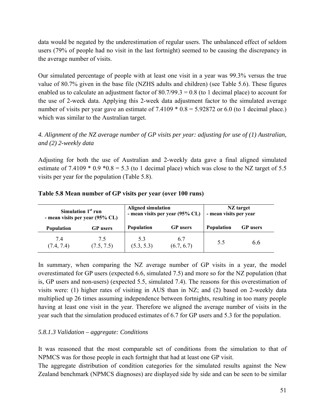data would be negated by the underestimation of regular users. The unbalanced effect of seldom users (79% of people had no visit in the last fortnight) seemed to be causing the discrepancy in the average number of visits.

Our simulated percentage of people with at least one visit in a year was 99.3% versus the true value of 80.7% given in the base file (NZHS adults and children) (see Table 5.6). These figures enabled us to calculate an adjustment factor of  $80.7/99.3 = 0.8$  (to 1 decimal place) to account for the use of 2-week data. Applying this 2-week data adjustment factor to the simulated average number of visits per year gave an estimate of  $7.4109 * 0.8 = 5.92872$  or 6.0 (to 1 decimal place.) which was similar to the Australian target.

*4. Alignment of the NZ average number of GP visits per year: adjusting for use of (1) Australian, and (2) 2-weekly data* 

Adjusting for both the use of Australian and 2-weekly data gave a final aligned simulated estimate of 7.4109  $*$  0.9  $*$  0.8 = 5.3 (to 1 decimal place) which was close to the NZ target of 5.5 visits per year for the population (Table 5.8).

|                   | Simulation $1st$ run<br>- mean visits per year (95% CL) |                   | <b>Aligned simulation</b><br>- mean visits per year (95% CL) |            | NZ target<br>- mean visits per year |
|-------------------|---------------------------------------------------------|-------------------|--------------------------------------------------------------|------------|-------------------------------------|
| <b>Population</b> | <b>GP</b> users                                         | <b>Population</b> | <b>GP</b> users                                              | Population | <b>GP</b> users                     |
| 7.4<br>(7.4, 7.4) | 75<br>(7.5, 7.5)                                        | 5.3<br>(5.3, 5.3) | 6.7<br>(6.7, 6.7)                                            | 5.5        | ჩ ჩ                                 |

**Table 5.8 Mean number of GP visits per year (over 100 runs)** 

In summary, when comparing the NZ average number of GP visits in a year, the model overestimated for GP users (expected 6.6, simulated 7.5) and more so for the NZ population (that is, GP users and non-users) (expected 5.5, simulated 7.4). The reasons for this overestimation of visits were: (1) higher rates of visiting in AUS than in NZ; and (2) based on 2-weekly data multiplied up 26 times assuming independence between fortnights, resulting in too many people having at least one visit in the year. Therefore we aligned the average number of visits in the year such that the simulation produced estimates of 6.7 for GP users and 5.3 for the population.

## *5.8.1.3 Validation – aggregate: Conditions*

It was reasoned that the most comparable set of conditions from the simulation to that of NPMCS was for those people in each fortnight that had at least one GP visit.

The aggregate distribution of condition categories for the simulated results against the New Zealand benchmark (NPMCS diagnoses) are displayed side by side and can be seen to be similar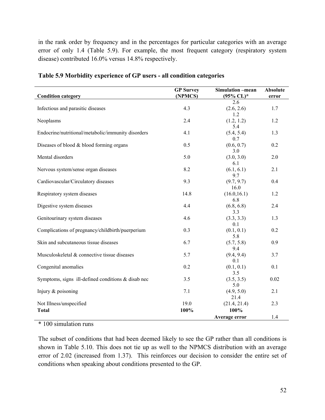in the rank order by frequency and in the percentages for particular categories with an average error of only 1.4 (Table 5.9). For example, the most frequent category (respiratory system disease) contributed 16.0% versus 14.8% respectively.

| <b>Condition category</b>                             | <b>GP</b> Survey<br>(NPMCS) | <b>Simulation</b> -mean<br>$(95\%$ CL) <sup>*</sup> | <b>Absolute</b><br>error |
|-------------------------------------------------------|-----------------------------|-----------------------------------------------------|--------------------------|
|                                                       |                             | 2.6                                                 |                          |
| Infectious and parasitic diseases                     | 4.3                         | (2.6, 2.6)                                          | 1.7                      |
| Neoplasms                                             | 2.4                         | 1.2<br>(1.2, 1.2)<br>5.4                            | 1.2                      |
| Endocrine/nutritional/metabolic/immunity disorders    | 4.1                         | (5.4, 5.4)<br>0.7                                   | 1.3                      |
| Diseases of blood & blood forming organs              | 0.5                         | (0.6, 0.7)<br>3.0                                   | 0.2                      |
| Mental disorders                                      | 5.0                         | (3.0, 3.0)<br>6.1                                   | 2.0                      |
| Nervous system/sense organ diseases                   | 8.2                         | (6.1, 6.1)<br>9.7                                   | 2.1                      |
| Cardiovascular/Circulatory diseases                   | 9.3                         | (9.7, 9.7)<br>16.0                                  | 0.4                      |
| Respiratory system diseases                           | 14.8                        | (16.0, 16.1)<br>6.8                                 | 1.2                      |
| Digestive system diseases                             | 4.4                         | (6.8, 6.8)<br>3.3                                   | 2.4                      |
| Genitourinary system diseases                         | 4.6                         | (3.3, 3.3)<br>0.1                                   | 1.3                      |
| Complications of pregnancy/childbirth/puerperium      | 0.3                         | (0.1, 0.1)<br>5.8                                   | 0.2                      |
| Skin and subcutaneous tissue diseases                 | 6.7                         | (5.7, 5.8)<br>9.4                                   | 0.9                      |
| Musculoskeletal & connective tissue diseases          | 5.7                         | (9.4, 9.4)<br>0.1                                   | 3.7                      |
| Congenital anomalies                                  | 0.2                         | (0.1, 0.1)<br>3.5                                   | 0.1                      |
| Symptoms, signs ill-defined conditions $\&$ disab nec | 3.5                         | (3.5, 3.5)<br>5.0                                   | 0.02                     |
| Injury & poisoning                                    | 7.1                         | (4.9, 5.0)<br>21.4                                  | 2.1                      |
| Not Illness/unspecified                               | 19.0                        | (21.4, 21.4)                                        | 2.3                      |
| <b>Total</b>                                          | 100%                        | 100%<br>Average error                               | 1.4                      |

**Table 5.9 Morbidity experience of GP users - all condition categories** 

\* 100 simulation runs

The subset of conditions that had been deemed likely to see the GP rather than all conditions is shown in Table 5.10. This does not tie up as well to the NPMCS distribution with an average error of 2.02 (increased from 1.37). This reinforces our decision to consider the entire set of conditions when speaking about conditions presented to the GP.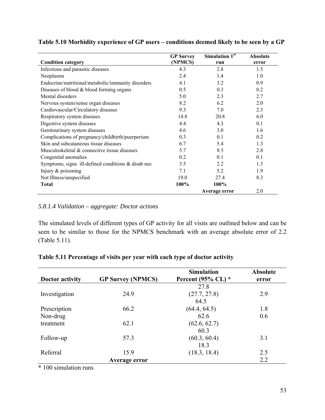|                                                      | <b>GP</b> Survey | Simulation 1st | <b>Absolute</b> |
|------------------------------------------------------|------------------|----------------|-----------------|
| <b>Condition category</b>                            | (NPMCS)          | run            | error           |
| Infectious and parasitic diseases                    | 4.3              | 2.8            | 1.5             |
| Neoplasms                                            | 2.4              | 1.4            | 1.0             |
| Endocrine/nutritional/metabolic/immunity disorders   | 4.1              | 3.2            | 0.9             |
| Diseases of blood $&$ blood forming organs           | 0.5              | 0.3            | 0.2             |
| Mental disorders                                     | 5.0              | 2.3            | 2.7             |
| Nervous system/sense organ diseases                  | 8.2              | 6.2            | 2.0             |
| Cardiovascular/Circulatory diseases                  | 9.3              | 7.0            | 2.3             |
| Respiratory system diseases                          | 14.8             | 20.8           | 6.0             |
| Digestive system diseases                            | 4.4              | 4.3            | 0.1             |
| Genitourinary system diseases                        | 4.6              | 3.0            | 1.6             |
| Complications of pregnancy/childbirth/puerperium     | 0.3              | 0.1            | 0.2             |
| Skin and subcutaneous tissue diseases                | 6.7              | 5.4            | 1.3             |
| Musculoskeletal & connective tissue diseases         | 5.7              | 8.5            | 2.8             |
| Congenital anomalies                                 | 0.2              | 0.1            | 0.1             |
| Symptoms, signs ill-defined conditions $&$ disab nec | 3.5              | 2.2            | 1.3             |
| Injury $&$ poisoning                                 | 7.1              | 5.2            | 1.9             |
| Not Illness/unspecified                              | 19.0             | 27.4           | 8.3             |
| <b>Total</b>                                         | 100%             | 100%           |                 |
|                                                      |                  | Average error  | 2.0             |

## **Table 5.10 Morbidity experience of GP users – conditions deemed likely to be seen by a GP**

#### *5.8.1.4 Validation – aggregate: Doctor actions*

The simulated levels of different types of GP activity for all visits are outlined below and can be seen to be similar to those for the NPMCS benchmark with an average absolute error of 2.2 (Table 5.11).

#### **Table 5.11 Percentage of visits per year with each type of doctor activity**

| <b>Doctor activity</b> | <b>GP Survey (NPMCS)</b> | <b>Simulation</b><br>Percent (95% CL) $*$ | <b>Absolute</b><br>error |
|------------------------|--------------------------|-------------------------------------------|--------------------------|
|                        |                          | 27.8                                      |                          |
| Investigation          | 24.9                     | (27.7, 27.8)                              | 2.9                      |
|                        |                          | 64.5                                      |                          |
| Prescription           | 66.2                     | (64.4, 64.5)                              | 1.8                      |
| Non-drug               |                          | 62.6                                      | 0.6                      |
| treatment              | 62.1                     | (62.6, 62.7)                              |                          |
|                        |                          | 60.3                                      |                          |
| Follow-up              | 57.3                     | (60.3, 60.4)                              | 3.1                      |
|                        |                          | 18.3                                      |                          |
| Referral               | 15.9                     | (18.3, 18.4)                              | 2.5                      |
|                        | Average error            |                                           | 2.2                      |

\* 100 simulation runs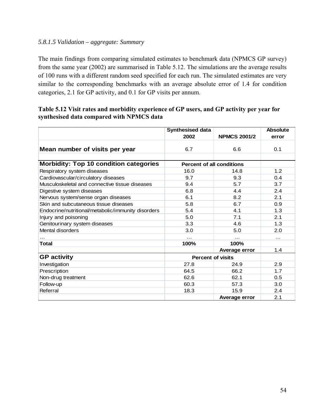## *5.8.1.5 Validation – aggregate: Summary*

The main findings from comparing simulated estimates to benchmark data (NPMCS GP survey) from the same year (2002) are summarised in Table 5.12. The simulations are the average results of 100 runs with a different random seed specified for each run. The simulated estimates are very similar to the corresponding benchmarks with an average absolute error of 1.4 for condition categories, 2.1 for GP activity, and 0.1 for GP visits per annum.

|  |                                           | Table 5.12 Visit rates and morbidity experience of GP users, and GP activity per year for |  |  |
|--|-------------------------------------------|-------------------------------------------------------------------------------------------|--|--|
|  | synthesised data compared with NPMCS data |                                                                                           |  |  |

|                                                    | <b>Synthesised data</b>          |                     | <b>Absolute</b> |
|----------------------------------------------------|----------------------------------|---------------------|-----------------|
|                                                    | 2002                             | <b>NPMCS 2001/2</b> | error           |
|                                                    |                                  |                     |                 |
| Mean number of visits per year                     | 6.7                              | 6.6                 | 0.1             |
|                                                    |                                  |                     |                 |
| <b>Morbidity: Top 10 condition categories</b>      | <b>Percent of all conditions</b> |                     |                 |
| Respiratory system diseases                        | 16.0                             | 14.8                | 1.2             |
| Cardiovascular/circulatory diseases                | 9.7                              | 9.3                 | 0.4             |
| Musculoskeletal and connective tissue diseases     | 9.4                              | 5.7                 | 3.7             |
| Digestive system diseases                          | 6.8                              | 4.4                 | 2.4             |
| Nervous system/sense organ diseases                | 6.1                              | 8.2                 | 2.1             |
| Skin and subcutaneous tissue diseases              | 5.8                              | 6.7                 | 0.9             |
| Endocrine/nutritional/metabolic/immunity disorders | 5.4                              | 4.1                 | 1.3             |
| Injury and poisoning                               | 5.0                              | 7.1                 | 2.1             |
| Genitourinary system diseases                      | 3.3                              | 4.6                 | 1.3             |
| Mental disorders                                   | 3.0                              | 5.0                 | 2.0             |
| $\cdots$                                           | $\cdots$                         | .                   | $\cdots$        |
| <b>Total</b>                                       | 100%                             | 100%                |                 |
|                                                    |                                  | Average error       | 1.4             |
| <b>GP</b> activity                                 | <b>Percent of visits</b>         |                     |                 |
| Investigation                                      | 27.8                             | 24.9                | 2.9             |
| Prescription                                       | 64.5                             | 66.2                | 1.7             |
| Non-drug treatment                                 | 62.6                             | 62.1                | 0.5             |
| Follow-up                                          | 60.3                             | 57.3                | 3.0             |
| Referral                                           | 18.3                             | 15.9                | 2.4             |
|                                                    |                                  | Average error       | 2.1             |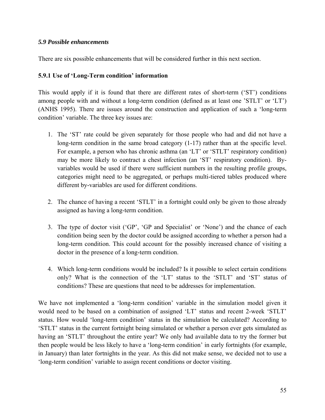#### *5.9 Possible enhancements*

There are six possible enhancements that will be considered further in this next section.

#### **5.9.1 Use of 'Long-Term condition' information**

This would apply if it is found that there are different rates of short-term ('ST') conditions among people with and without a long-term condition (defined as at least one 'STLT' or 'LT') (ANHS 1995). There are issues around the construction and application of such a 'long-term condition' variable. The three key issues are:

- 1. The 'ST' rate could be given separately for those people who had and did not have a long-term condition in the same broad category (1-17) rather than at the specific level. For example, a person who has chronic asthma (an 'LT' or 'STLT' respiratory condition) may be more likely to contract a chest infection (an 'ST' respiratory condition). Byvariables would be used if there were sufficient numbers in the resulting profile groups, categories might need to be aggregated, or perhaps multi-tiered tables produced where different by-variables are used for different conditions.
- 2. The chance of having a recent 'STLT' in a fortnight could only be given to those already assigned as having a long-term condition.
- 3. The type of doctor visit ('GP', 'GP and Specialist' or 'None') and the chance of each condition being seen by the doctor could be assigned according to whether a person had a long-term condition. This could account for the possibly increased chance of visiting a doctor in the presence of a long-term condition.
- 4. Which long-term conditions would be included? Is it possible to select certain conditions only? What is the connection of the 'LT' status to the 'STLT' and 'ST' status of conditions? These are questions that need to be addresses for implementation.

We have not implemented a 'long-term condition' variable in the simulation model given it would need to be based on a combination of assigned 'LT' status and recent 2-week 'STLT' status. How would 'long-term condition' status in the simulation be calculated? According to 'STLT' status in the current fortnight being simulated or whether a person ever gets simulated as having an 'STLT' throughout the entire year? We only had available data to try the former but then people would be less likely to have a 'long-term condition' in early fortnights (for example, in January) than later fortnights in the year. As this did not make sense, we decided not to use a 'long-term condition' variable to assign recent conditions or doctor visiting.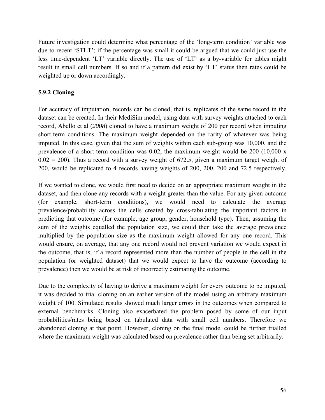Future investigation could determine what percentage of the 'long-term condition' variable was due to recent 'STLT'; if the percentage was small it could be argued that we could just use the less time-dependent 'LT' variable directly. The use of 'LT' as a by-variable for tables might result in small cell numbers. If so and if a pattern did exist by 'LT' status then rates could be weighted up or down accordingly.

## **5.9.2 Cloning**

For accuracy of imputation, records can be cloned, that is, replicates of the same record in the dataset can be created. In their MediSim model, using data with survey weights attached to each record, Abello et al (*2008*) cloned to have a maximum weight of 200 per record when imputing short-term conditions. The maximum weight depended on the rarity of whatever was being imputed. In this case, given that the sum of weights within each sub-group was 10,000, and the prevalence of a short-term condition was 0.02, the maximum weight would be 200 (10,000 x  $0.02 = 200$ ). Thus a record with a survey weight of 672.5, given a maximum target weight of 200, would be replicated to 4 records having weights of 200, 200, 200 and 72.5 respectively.

If we wanted to clone, we would first need to decide on an appropriate maximum weight in the dataset, and then clone any records with a weight greater than the value. For any given outcome (for example, short-term conditions), we would need to calculate the average prevalence/probability across the cells created by cross-tabulating the important factors in predicting that outcome (for example, age group, gender, household type). Then, assuming the sum of the weights equalled the population size, we could then take the average prevalence multiplied by the population size as the maximum weight allowed for any one record. This would ensure, on average, that any one record would not prevent variation we would expect in the outcome, that is, if a record represented more than the number of people in the cell in the population (or weighted dataset) that we would expect to have the outcome (according to prevalence) then we would be at risk of incorrectly estimating the outcome.

Due to the complexity of having to derive a maximum weight for every outcome to be imputed, it was decided to trial cloning on an earlier version of the model using an arbitrary maximum weight of 100. Simulated results showed much larger errors in the outcomes when compared to external benchmarks. Cloning also exacerbated the problem posed by some of our input probabilities/rates being based on tabulated data with small cell numbers. Therefore we abandoned cloning at that point. However, cloning on the final model could be further trialled where the maximum weight was calculated based on prevalence rather than being set arbitrarily.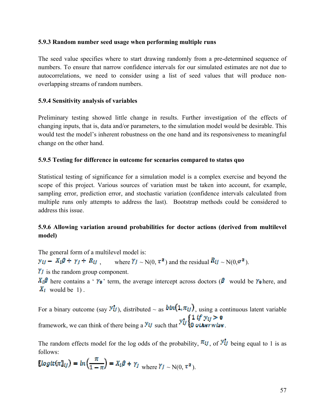#### **5.9.3 Random number seed usage when performing multiple runs**

The seed value specifies where to start drawing randomly from a pre-determined sequence of numbers. To ensure that narrow confidence intervals for our simulated estimates are not due to autocorrelations, we need to consider using a list of seed values that will produce nonoverlapping streams of random numbers.

## **5.9.4 Sensitivity analysis of variables**

Preliminary testing showed little change in results. Further investigation of the effects of changing inputs, that is, data and/or parameters, to the simulation model would be desirable. This would test the model's inherent robustness on the one hand and its responsiveness to meaningful change on the other hand.

#### **5.9.5 Testing for difference in outcome for scenarios compared to status quo**

Statistical testing of significance for a simulation model is a complex exercise and beyond the scope of this project. Various sources of variation must be taken into account, for example, sampling error, prediction error, and stochastic variation (confidence intervals calculated from multiple runs only attempts to address the last). Bootstrap methods could be considered to address this issue.

## **5.9.6 Allowing variation around probabilities for doctor actions (derived from multilevel model)**

The general form of a multilevel model is:

 $\mathbf{v}_U - X_l \mathbf{\beta} + \mathbf{v}_I + R_U$  where  $\mathbf{Y}_I \sim N(0, \tau^2)$  and the residual  $R_U \sim N(0, \sigma^2)$ .

 $\gamma$  is the random group component.

 $X_i\beta$  here contains a '  $\gamma_0$ ' term, the average intercept across doctors ( $\beta$  would be  $\gamma_0$  here, and  $X_t$  would be 1).

For a binary outcome (say  $\mathcal{Y}_{t}^{t}$ ), distributed  $\sim$  as  $\mathit{bin}(1,\pi_{t}t)$ , using a continuous latent variable framework, we can think of there being a  $y_{tt}$  such that  $y_{tt}^* = \begin{cases} 1 & \text{if } y_{tt} > 0 \\ 0 & \text{otherwise} \end{cases}$ .

The random effects model for the log odds of the probability,  $\pi_{ij}$ , of  $\mathcal{Y}_{ij}^{\dagger}$  being equal to 1 is as follows:

$$
\ell \log \det(\pi \mathbb{I}_{t}) = \ln \left( \frac{\pi}{1 - \pi} \right) = X_t \beta + \gamma_t \quad \text{where } \gamma_t \sim N(0, \tau^2).
$$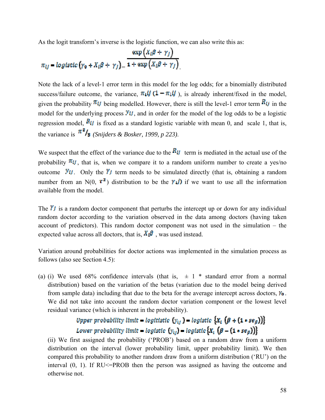As the logit transform's inverse is the logistic function, we can also write this as:

$$
\pi_{ij} = \text{logistic}\left(\gamma_0 + X_i\beta + \gamma_j\right) = \frac{\exp\left(X_i\beta + \gamma_j\right)}{1 + \exp\left(X_i\beta + \gamma_j\right)}.
$$

Note the lack of a level-1 error term in this model for the log odds; for a binomially distributed success/failure outcome, the variance,  $\pi_1 U (1 - \pi_1 U)$ , is already inherent/fixed in the model, given the probability  $\pi_{ij}$  being modelled. However, there is still the level-1 error term  $R_{ij}$  in the model for the underlying process  $\mathcal{Y}_{t}$ , and in order for the model of the log odds to be a logistic regression model,  $R_{ij}$  is fixed as a standard logistic variable with mean 0, and scale 1, that is, the variance is  $\pi^2$ **/3** (*Snijders & Bosker, 1999, p 223)*.

We suspect that the effect of the variance due to the  $R_{ij}$  term is mediated in the actual use of the probability  $\pi_{tt}$ , that is, when we compare it to a random uniform number to create a yes/no outcome  $\mathcal{Y}_{t}$ . Only the  $\mathcal{Y}_{t}$  term needs to be simulated directly (that is, obtaining a random number from an N(0,  $\tau^2$ ) distribution to be the  $\gamma$ *i*) if we want to use all the information available from the model.

The  $\hat{\mathbf{r}}$  is a random doctor component that perturbs the intercept up or down for any individual random doctor according to the variation observed in the data among doctors (having taken account of predictors). This random doctor component was not used in the simulation – the expected value across all doctors, that is,  $X_{\mu}$ <sup> $\beta$ </sup>, was used instead.

Variation around probabilities for doctor actions was implemented in the simulation process as follows (also see Section 4.5):

(a) (i) We used 68% confidence intervals (that is,  $\pm 1$  \* standard error from a normal distribution) based on the variation of the betas (variation due to the model being derived from sample data) including that due to the beta for the average intercept across doctors,  $v_0$ . We did not take into account the random doctor variation component or the lowest level residual variance (which is inherent in the probability).

# Upper probability limit = logitistic  $(y_{ij})$  = logistic  $\{X_t$   $(\beta + (1 * s e_{\beta}))\}$ Lower probability limit = logistic  $(y_{ij})$  = logistic  $[X_i (\beta - (1 \cdot se_{\beta}))]$

(ii) We first assigned the probability ('PROB') based on a random draw from a uniform distribution on the interval (lower probability limit, upper probability limit). We then compared this probability to another random draw from a uniform distribution ('RU') on the interval  $(0, 1)$ . If RU $\leq$ -PROB then the person was assigned as having the outcome and otherwise not.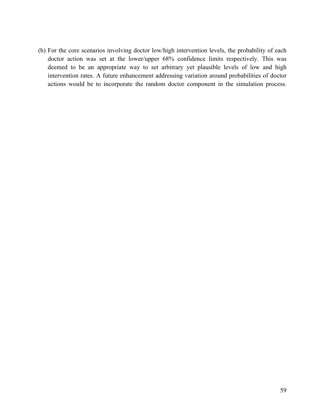(b) For the core scenarios involving doctor low/high intervention levels, the probability of each doctor action was set at the lower/upper 68% confidence limits respectively. This was deemed to be an appropriate way to set arbitrary yet plausible levels of low and high intervention rates. A future enhancement addressing variation around probabilities of doctor actions would be to incorporate the random doctor component in the simulation process.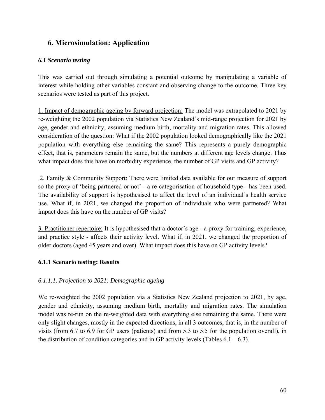## **6. Microsimulation: Application**

## *6.1 Scenario testing*

This was carried out through simulating a potential outcome by manipulating a variable of interest while holding other variables constant and observing change to the outcome. Three key scenarios were tested as part of this project.

1. Impact of demographic ageing by forward projection: The model was extrapolated to 2021 by re-weighting the 2002 population via Statistics New Zealand's mid-range projection for 2021 by age, gender and ethnicity, assuming medium birth, mortality and migration rates. This allowed consideration of the question: What if the 2002 population looked demographically like the 2021 population with everything else remaining the same? This represents a purely demographic effect, that is, parameters remain the same, but the numbers at different age levels change. Thus what impact does this have on morbidity experience, the number of GP visits and GP activity?

 2. Family & Community Support: There were limited data available for our measure of support so the proxy of 'being partnered or not' - a re-categorisation of household type - has been used. The availability of support is hypothesised to affect the level of an individual's health service use. What if, in 2021, we changed the proportion of individuals who were partnered? What impact does this have on the number of GP visits?

3. Practitioner repertoire: It is hypothesised that a doctor's age - a proxy for training, experience, and practice style - affects their activity level. What if, in 2021, we changed the proportion of older doctors (aged 45 years and over). What impact does this have on GP activity levels?

## **6.1.1 Scenario testing: Results**

## *6.1.1.1. Projection to 2021: Demographic ageing*

We re-weighted the 2002 population via a Statistics New Zealand projection to 2021, by age, gender and ethnicity, assuming medium birth, mortality and migration rates. The simulation model was re-run on the re-weighted data with everything else remaining the same. There were only slight changes, mostly in the expected directions, in all 3 outcomes, that is, in the number of visits (from 6.7 to 6.9 for GP users (patients) and from 5.3 to 5.5 for the population overall), in the distribution of condition categories and in GP activity levels (Tables  $6.1 - 6.3$ ).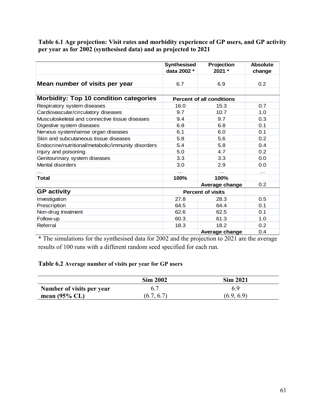**Table 6.1 Age projection: Visit rates and morbidity experience of GP users, and GP activity per year as for 2002 (synthesised data) and as projected to 2021** 

|                                                    | <b>Synthesised</b> | Projection                       | <b>Absolute</b>  |
|----------------------------------------------------|--------------------|----------------------------------|------------------|
|                                                    | data 2002 *        | 2021 *                           | change           |
| Mean number of visits per year                     | 6.7                | 6.9                              | 0.2              |
|                                                    |                    |                                  |                  |
| <b>Morbidity: Top 10 condition categories</b>      |                    | <b>Percent of all conditions</b> |                  |
| Respiratory system diseases                        | 16.0               | 15.3                             | 0.7              |
| Cardiovascular/circulatory diseases                | 9.7                | 10.7                             | 1.0              |
| Musculoskeletal and connective tissue diseases     | 9.4                | 9.7                              | 0.3              |
| Digestive system diseases                          | 6.8                | 6.8                              | 0.1              |
| Nervous system/sense organ diseases                | 6.1                | 6.0                              | 0.1              |
| Skin and subcutaneous tissue diseases              | 5.8                | 5.6                              | 0.2              |
| Endocrine/nutritional/metabolic/immunity disorders | 5.4                | 5.8                              | 0.4              |
| Injury and poisoning                               | 5.0                | 4.7                              | 0.2              |
| Genitourinary system diseases                      | 3.3                | 3.3                              | 0.0              |
| Mental disorders                                   | 3.0                | 2.9                              | 0.0              |
| .                                                  | .                  | $\cdots$                         | .                |
| Total                                              | 100%               | 100%                             |                  |
|                                                    |                    | <b>Average change</b>            | 0.2 <sub>0</sub> |
| <b>GP</b> activity                                 |                    | <b>Percent of visits</b>         |                  |
| Investigation                                      | 27.8               | 28.3                             | 0.5              |
| Prescription                                       | 64.5               | 64.4                             | 0.1              |
| Non-drug treatment                                 | 62.6               | 62.5                             | 0.1              |
| Follow-up                                          | 60.3               | 61.3                             | 1.0              |
| Referral                                           | 18.3               | 18.2                             | 0.2              |
|                                                    |                    | Average change                   | 0.4              |

\* The simulations for the synthesised data for 2002 and the projection to 2021 are the average results of 100 runs with a different random seed specified for each run.

## **Table 6.2 Average number of visits per year for GP users**

|                           | <b>Sim 2002</b> | <b>Sim 2021</b> |
|---------------------------|-----------------|-----------------|
| Number of visits per year |                 | 69              |
| mean $(95\%$ CL)          | (6.7, 6.7)      | (6.9, 6.9)      |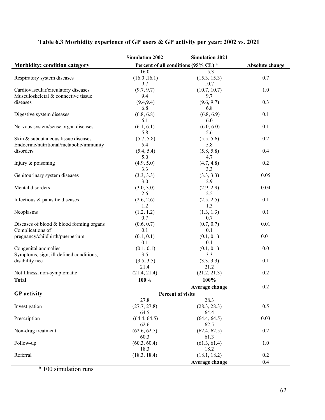# **Table 6.3 Morbidity experience of GP users & GP activity per year: 2002 vs. 2021**

|                                            | <b>Simulation 2002</b> | <b>Simulation 2021</b>               |                 |
|--------------------------------------------|------------------------|--------------------------------------|-----------------|
| Morbidity: condition category              |                        | Percent of all conditions (95% CL) * | Absolute change |
|                                            | 16.0                   | 15.3                                 |                 |
| Respiratory system diseases                | (16.0, 16.1)           | (15.3, 15.3)                         | 0.7             |
|                                            | 9.7                    | 10.7                                 |                 |
| Cardiovascular/circulatory diseases        | (9.7, 9.7)             | (10.7, 10.7)                         | 1.0             |
| Musculoskeletal & connective tissue        | 9.4                    | 9.7                                  |                 |
| diseases                                   | (9.4, 9.4)             | (9.6, 9.7)                           | 0.3             |
|                                            | 6.8                    | 6.8                                  |                 |
| Digestive system diseases                  | (6.8, 6.8)             | (6.8, 6.9)                           | 0.1             |
|                                            | 6.1                    | 6.0                                  |                 |
| Nervous system/sense organ diseases        | (6.1, 6.1)             | (6.0, 6.0)                           | 0.1             |
|                                            | 5.8                    | 5.6                                  |                 |
| Skin & subcutaneous tissue diseases        | (5.7, 5.8)             | (5.5, 5.6)                           | 0.2             |
| Endocrine/nutritional/metabolic/immunity   | 5.4                    | 5.8                                  |                 |
| disorders                                  | (5.4, 5.4)             | (5.8, 5.8)                           | 0.4             |
|                                            | 5.0                    | 4.7                                  |                 |
| Injury $&$ poisoning                       | (4.9, 5.0)             | (4.7, 4.8)                           | 0.2             |
|                                            | 3.3                    | 3.3                                  |                 |
| Genitourinary system diseases              | (3.3, 3.3)             | (3.3, 3.3)                           | 0.05            |
|                                            | 3.0                    | 2.9                                  |                 |
| Mental disorders                           | (3.0, 3.0)             | (2.9, 2.9)                           | 0.04            |
|                                            | 2.6                    | 2.5                                  |                 |
| Infectious & parasitic diseases            | (2.6, 2.6)             | (2.5, 2.5)                           | 0.1             |
|                                            | 1.2                    | 1.3                                  |                 |
| Neoplasms                                  | (1.2, 1.2)             | (1.3, 1.3)                           | 0.1             |
|                                            | 0.7                    | 0.7                                  |                 |
| Diseases of blood $&$ blood forming organs | (0.6, 0.7)             | (0.7, 0.7)                           | 0.01            |
| Complications of                           | 0.1                    | 0.1                                  |                 |
| pregnancy/childbirth/puerperium            | (0.1, 0.1)             | (0.1, 0.1)                           | 0.01            |
|                                            | 0.1                    | 0.1                                  |                 |
| Congenital anomalies                       | (0.1, 0.1)             | (0.1, 0.1)                           | 0.0             |
| Symptoms, sign, ill-defined conditions,    | 3.5                    | 3.3                                  |                 |
| disability nec                             | (3.5, 3.5)             | (3.3, 3.3)                           | 0.1             |
|                                            | 21.4                   | 21.2                                 |                 |
| Not Illness, non-symptomatic               | (21.4, 21.4)           | (21.2, 21.3)                         | 0.2             |
| <b>Total</b>                               | 100%                   | 100%                                 |                 |
|                                            |                        | Average change                       | 0.2             |
| <b>GP</b> activity                         |                        | Percent of visits                    |                 |
|                                            | 27.8                   | 28.3                                 |                 |
| Investigation                              | (27.7, 27.8)           | (28.3, 28.3)                         | 0.5             |
|                                            | 64.5                   | 64.4                                 |                 |
| Prescription                               | (64.4, 64.5)           | (64.4, 64.5)                         | 0.03            |
|                                            | 62.6                   | 62.5                                 |                 |
| Non-drug treatment                         | (62.6, 62.7)           | (62.4, 62.5)                         | 0.2             |
|                                            | 60.3                   | 61.3                                 |                 |
| Follow-up                                  | (60.3, 60.4)           | (61.3, 61.4)                         | 1.0             |
|                                            | 18.3                   | 18.2                                 |                 |
| Referral                                   | (18.3, 18.4)           | (18.1, 18.2)                         | 0.2             |
|                                            |                        | Average change                       | 0.4             |

\* 100 simulation runs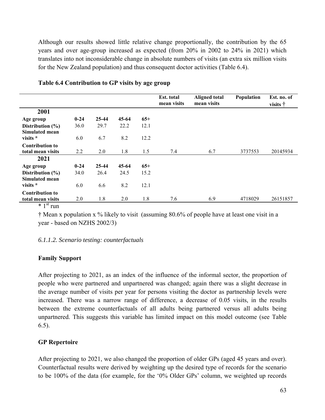Although our results showed little relative change proportionally, the contribution by the 65 years and over age-group increased as expected (from 20% in 2002 to 24% in 2021) which translates into not inconsiderable change in absolute numbers of visits (an extra six million visits for the New Zealand population) and thus consequent doctor activities (Table 6.4).

|                                             |          |           |       |       | Est. total<br>mean visits | <b>Aligned total</b><br>mean visits | Population | Est. no. of<br>visits † |
|---------------------------------------------|----------|-----------|-------|-------|---------------------------|-------------------------------------|------------|-------------------------|
| 2001                                        |          |           |       |       |                           |                                     |            |                         |
| Age group                                   | $0 - 24$ | $25 - 44$ | 45-64 | $65+$ |                           |                                     |            |                         |
| Distribution $(\% )$                        | 36.0     | 29.7      | 22.2  | 12.1  |                           |                                     |            |                         |
| Simulated mean<br>visits *                  | 6.0      | 6.7       | 8.2   | 12.2  |                           |                                     |            |                         |
| <b>Contribution to</b><br>total mean visits | 2.2      | 2.0       | 1.8   | 1.5   | 7.4                       | 6.7                                 | 3737553    | 20145934                |
| 2021                                        |          |           |       |       |                           |                                     |            |                         |
| Age group                                   | $0 - 24$ | $25 - 44$ | 45-64 | $65+$ |                           |                                     |            |                         |
| Distribution $(\% )$                        | 34.0     | 26.4      | 24.5  | 15.2  |                           |                                     |            |                         |
| Simulated mean                              |          |           |       |       |                           |                                     |            |                         |
| visits *                                    | 6.0      | 6.6       | 8.2   | 12.1  |                           |                                     |            |                         |
| <b>Contribution to</b>                      |          |           |       |       |                           |                                     |            |                         |
| total mean visits<br>$\star$ 1 St $\ldots$  | 2.0      | 1.8       | 2.0   | 1.8   | 7.6                       | 6.9                                 | 4718029    | 26151857                |

#### **Table 6.4 Contribution to GP visits by age group**

 $*$  1<sup>st</sup> run

† Mean x population x % likely to visit (assuming 80.6% of people have at least one visit in a year - based on NZHS 2002/3)

#### *6.1.1.2. Scenario testing: counterfactuals*

#### **Family Support**

After projecting to 2021, as an index of the influence of the informal sector, the proportion of people who were partnered and unpartnered was changed; again there was a slight decrease in the average number of visits per year for persons visiting the doctor as partnership levels were increased. There was a narrow range of difference, a decrease of 0.05 visits, in the results between the extreme counterfactuals of all adults being partnered versus all adults being unpartnered. This suggests this variable has limited impact on this model outcome (see Table 6.5).

#### **GP Repertoire**

After projecting to 2021, we also changed the proportion of older GPs (aged 45 years and over). Counterfactual results were derived by weighting up the desired type of records for the scenario to be 100% of the data (for example, for the '0% Older GPs' column, we weighted up records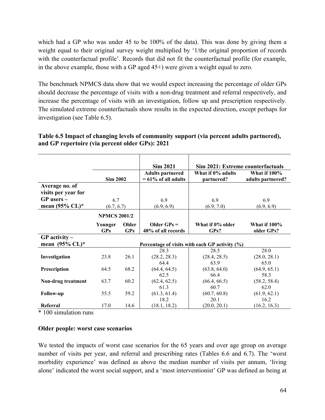which had a GP who was under 45 to be 100% of the data). This was done by giving them a weight equal to their original survey weight multiplied by '1/the original proportion of records with the counterfactual profile'. Records that did not fit the counterfactual profile (for example, in the above example, those with a GP aged 45+) were given a weight equal to zero.

The benchmark NPMCS data show that we would expect increasing the percentage of older GPs should decrease the percentage of visits with a non-drug treatment and referral respectively, and increase the percentage of visits with an investigation, follow up and prescription respectively. The simulated extreme counterfactuals show results in the expected direction, except perhaps for investigation (see Table 6.5).

| Table 6.5 Impact of changing levels of community support (via percent adults partnered), |  |
|------------------------------------------------------------------------------------------|--|
| and GP repertoire (via percent older GPs): 2021                                          |  |

|                            |                     |            | <b>Sim 2021</b>         | Sim 2021: Extreme counterfactuals              |                     |
|----------------------------|---------------------|------------|-------------------------|------------------------------------------------|---------------------|
|                            |                     |            | <b>Adults partnered</b> | What if 0% adults                              | <b>What if 100%</b> |
|                            | <b>Sim 2002</b>     |            | $= 61\%$ of all adults  | partnered?                                     | adults partnered?   |
| Average no. of             |                     |            |                         |                                                |                     |
| visits per year for        |                     |            |                         |                                                |                     |
| $GP$ users $-$             | 6.7                 |            | 6.9                     | 6.9                                            | 6.9                 |
| mean $(95\%$ CL)*          | (6.7, 6.7)          |            | (6.9, 6.9)              | (6.9, 7.0)                                     | (6.9, 6.9)          |
|                            |                     |            |                         |                                                |                     |
|                            | <b>NPMCS 2001/2</b> |            |                         |                                                |                     |
|                            | Younger             | Older      | Older $GPs =$           | What if 0% older                               | <b>What if 100%</b> |
|                            | <b>GPs</b>          | <b>GPs</b> | 48% of all records      | GPs?                                           | older GPs?          |
| $GP$ activity –            |                     |            |                         |                                                |                     |
| mean $(95\% \text{ CL})^*$ |                     |            |                         | Percentage of visits with each GP activity (%) |                     |
|                            |                     |            | 28.3                    | 28.5                                           | 28.0                |
| Investigation              | 23.8                | 26.1       | (28.2, 28.3)            | (28.4, 28.5)                                   | (28.0, 28.1)        |
|                            |                     |            | 64.4                    | 63.9                                           | 65.0                |
| Prescription               | 64.5                | 68.2       | (64.4, 64.5)            | (63.8, 64.0)                                   | (64.9, 65.1)        |
|                            |                     |            | 62.5                    | 66.4                                           | 58.3                |
| Non-drug treatment         | 63.7                | 60.2       | (62.4, 62.5)            | (66.4, 66.5)                                   | (58.2, 58.4)        |
|                            |                     |            | 61.3                    | 60.7                                           | 62.0                |
| <b>Follow-up</b>           | 55.5                | 59.2       | (61.3, 61.4)            | (60.7, 60.8)                                   | (61.9, 62.1)        |
|                            |                     |            | 18.2                    | 20.1                                           | 16.2                |
| Referral                   | 17.0                | 14.6       | (18.1, 18.2)            | (20.0, 20.1)                                   | (16.2, 16.3)        |

\* 100 simulation runs

#### **Older people: worst case scenarios**

We tested the impacts of worst case scenarios for the 65 years and over age group on average number of visits per year, and referral and prescribing rates (Tables 6.6 and 6.7). The 'worst morbidity experience' was defined as above the median number of visits per annum, 'living alone' indicated the worst social support, and a 'most interventionist' GP was defined as being at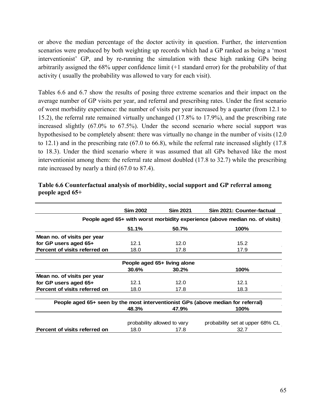or above the median percentage of the doctor activity in question. Further, the intervention scenarios were produced by both weighting up records which had a GP ranked as being a 'most interventionist' GP, and by re-running the simulation with these high ranking GPs being arbitrarily assigned the 68% upper confidence limit (+1 standard error) for the probability of that activity ( usually the probability was allowed to vary for each visit).

Tables 6.6 and 6.7 show the results of posing three extreme scenarios and their impact on the average number of GP visits per year, and referral and prescribing rates. Under the first scenario of worst morbidity experience: the number of visits per year increased by a quarter (from 12.1 to 15.2), the referral rate remained virtually unchanged (17.8% to 17.9%), and the prescribing rate increased slightly (67.0% to 67.5%). Under the second scenario where social support was hypothesised to be completely absent: there was virtually no change in the number of visits (12.0 to 12.1) and in the prescribing rate (67.0 to 66.8), while the referral rate increased slightly (17.8 to 18.3). Under the third scenario where it was assumed that all GPs behaved like the most interventionist among them: the referral rate almost doubled (17.8 to 32.7) while the prescribing rate increased by nearly a third (67.0 to 87.4).

|                                                                              | <b>Sim 2002</b>                                                | <b>Sim 2021</b> | Sim 2021: Counter-factual                                                        |  |  |  |  |  |
|------------------------------------------------------------------------------|----------------------------------------------------------------|-----------------|----------------------------------------------------------------------------------|--|--|--|--|--|
| People aged 65+ with worst morbidity experience (above median no. of visits) |                                                                |                 |                                                                                  |  |  |  |  |  |
|                                                                              | 51.1%                                                          | 50.7%           | 100%                                                                             |  |  |  |  |  |
| Mean no. of visits per year                                                  |                                                                |                 |                                                                                  |  |  |  |  |  |
| for GP users aged $65+$                                                      | 12.1                                                           | 12.0            | 15.2                                                                             |  |  |  |  |  |
| Percent of visits referred on                                                | 18.0                                                           | 17.8            | 17.9                                                                             |  |  |  |  |  |
|                                                                              | People aged 65+ living alone                                   |                 |                                                                                  |  |  |  |  |  |
|                                                                              | 30.6%                                                          | 30.2%           | 100%                                                                             |  |  |  |  |  |
| Mean no. of visits per year                                                  |                                                                |                 |                                                                                  |  |  |  |  |  |
| for GP users aged 65+                                                        | 12.1                                                           | 12.0            | 12.1                                                                             |  |  |  |  |  |
| Percent of visits referred on                                                | 18.0                                                           | 17.8            | 18.3                                                                             |  |  |  |  |  |
|                                                                              |                                                                |                 | People aged 65+ seen by the most interventionist GPs (above median for referral) |  |  |  |  |  |
|                                                                              | 48.3%                                                          | 47.9%           | 100%                                                                             |  |  |  |  |  |
|                                                                              | probability allowed to vary<br>probability set at upper 68% CL |                 |                                                                                  |  |  |  |  |  |
| Percent of visits referred on                                                | 18.0                                                           | 17.8            | 32.7                                                                             |  |  |  |  |  |

## **Table 6.6 Counterfactual analysis of morbidity, social support and GP referral among people aged 65+**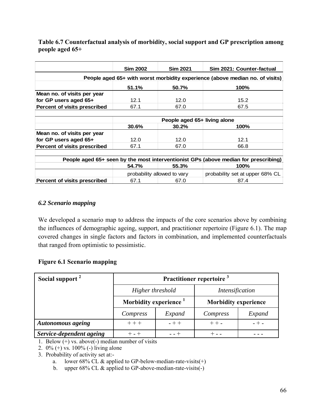**Table 6.7 Counterfactual analysis of morbidity, social support and GP prescription among people aged 65+** 

|                                                                              | <b>Sim 2002</b>              | <b>Sim 2021</b>             | Sim 2021: Counter-factual                                                           |  |  |  |  |
|------------------------------------------------------------------------------|------------------------------|-----------------------------|-------------------------------------------------------------------------------------|--|--|--|--|
| People aged 65+ with worst morbidity experience (above median no. of visits) |                              |                             |                                                                                     |  |  |  |  |
|                                                                              | 51.1%                        | 50.7%                       | 100%                                                                                |  |  |  |  |
| Mean no. of visits per year                                                  |                              |                             |                                                                                     |  |  |  |  |
| for GP users aged $65+$                                                      | 12.1                         | 12.0                        | 15.2                                                                                |  |  |  |  |
| Percent of visits prescribed                                                 | 67.1                         | 67.0                        | 67.5                                                                                |  |  |  |  |
|                                                                              |                              |                             |                                                                                     |  |  |  |  |
|                                                                              | People aged 65+ living alone |                             |                                                                                     |  |  |  |  |
|                                                                              | 30.6%                        | 30.2%                       | 100%                                                                                |  |  |  |  |
| Mean no. of visits per year                                                  |                              |                             |                                                                                     |  |  |  |  |
| for GP users aged $65+$                                                      | 12.0                         | 12.0                        | 12.1                                                                                |  |  |  |  |
| Percent of visits prescribed                                                 | 67.1                         | 67.0                        | 66.8                                                                                |  |  |  |  |
|                                                                              |                              |                             |                                                                                     |  |  |  |  |
|                                                                              |                              |                             | People aged 65+ seen by the most interventionist GPs (above median for prescribing) |  |  |  |  |
|                                                                              | 54.7%<br>55.3%<br>100%       |                             |                                                                                     |  |  |  |  |
|                                                                              |                              | probability allowed to vary | probability set at upper 68% CL                                                     |  |  |  |  |
| Percent of visits prescribed                                                 | 67.1                         | 67.0                        | 87.4                                                                                |  |  |  |  |

## *6.2 Scenario mapping*

We developed a scenario map to address the impacts of the core scenarios above by combining the influences of demographic ageing, support, and practitioner repertoire (Figure 6.1). The map covered changes in single factors and factors in combination, and implemented counterfactuals that ranged from optimistic to pessimistic.

## **Figure 6.1 Scenario mapping**

| Social support <sup>2</sup> | Practitioner repertoire <sup>3</sup> |        |                             |         |  |
|-----------------------------|--------------------------------------|--------|-----------------------------|---------|--|
|                             | Higher threshold                     |        | <i>Intensification</i>      |         |  |
|                             | Morbidity experience <sup>1</sup>    |        | <b>Morbidity experience</b> |         |  |
|                             | Compress                             | Expand | Compress                    | Expand  |  |
| <b>Autonomous ageing</b>    | $- + +$<br>$++ +$                    |        | $++-$                       | $- + -$ |  |
| Service-dependent ageing    | $+ - +$                              |        |                             |         |  |

1. Below  $(+)$  vs. above(-) median number of visits

2. 0% (+) vs. 100% (-) living alone

3. Probability of activity set at:-

a. lower 68% CL  $\&$  applied to GP-below-median-rate-visits(+)

b. upper 68% CL & applied to GP-above-median-rate-visits(-)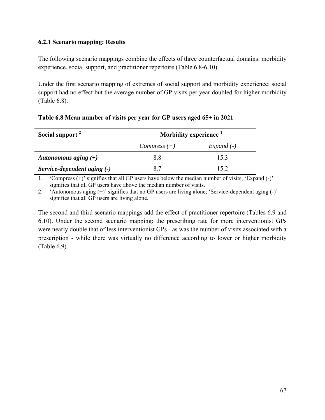#### **6.2.1 Scenario mapping: Results**

The following scenario mappings combine the effects of three counterfactual domains: morbidity experience, social support, and practitioner repertoire (Table 6.8-6.10).

Under the first scenario mapping of extremes of social support and morbidity experience: social support had no effect but the average number of GP visits per year doubled for higher morbidity (Table 6.8).

| Social support <sup>2</sup> | Morbidity experience <sup>1</sup> |             |  |
|-----------------------------|-----------------------------------|-------------|--|
|                             | $Compress (+)$                    | $Expand(-)$ |  |
| Autonomous aging $(+)$      | 88                                | 15.3        |  |
| Service-dependent aging (-) | 87                                | 15 2        |  |

## **Table 6.8 Mean number of visits per year for GP users aged 65+ in 2021**

1. 'Compress (+)' signifies that all GP users have below the median number of visits; 'Expand (-)' signifies that all GP users have above the median number of visits.

2. 'Autonomous aging (+)' signifies that no GP users are living alone; 'Service-dependent aging (-)' signifies that all GP users are living alone.

The second and third scenario mappings add the effect of practitioner repertoire (Tables 6.9 and 6.10). Under the second scenario mapping: the prescribing rate for more interventionist GPs were nearly double that of less interventionist GPs - as was the number of visits associated with a prescription - while there was virtually no difference according to lower or higher morbidity (Table 6.9).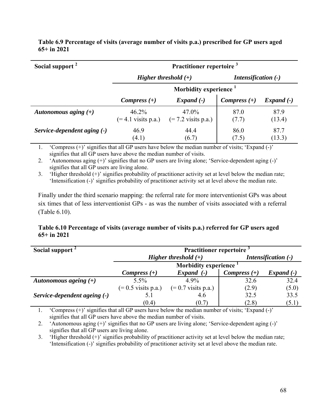| Social support <sup>2</sup> | Practitioner repertoire <sup>3</sup> |                                           |                            |                |  |  |
|-----------------------------|--------------------------------------|-------------------------------------------|----------------------------|----------------|--|--|
|                             | Higher threshold $(+)$               |                                           | <b>Intensification (-)</b> |                |  |  |
|                             | Morbidity experience <sup>1</sup>    |                                           |                            |                |  |  |
|                             | Compress $(+)$                       | $Expand(-)$                               | Compress $(+)$             | $Expand(-)$    |  |  |
| Autonomous aging $(+)$      | $46.2\%$<br>$(= 4.1$ visits p.a.)    | $47.0\%$<br>$(= 7.2 \text{ visits p.a.})$ | 87.0<br>(7.7)              | 87.9<br>(13.4) |  |  |
| Service-dependent aging (-) | 46.9<br>(4.1)                        | 44.4<br>(6.7)                             | 86.0<br>(7.5)              | 87.7<br>(13.3) |  |  |

**Table 6.9 Percentage of visits (average number of visits p.a.) prescribed for GP users aged 65+ in 2021** 

1. 'Compress (+)' signifies that all GP users have below the median number of visits; 'Expand (-)' signifies that all GP users have above the median number of visits.

2. 'Autonomous aging (+)' signifies that no GP users are living alone; 'Service-dependent aging (-)' signifies that all GP users are living alone.

3. 'Higher threshold (+)' signifies probability of practitioner activity set at level below the median rate; 'Intensification (-)' signifies probability of practitioner activity set at level above the median rate.

Finally under the third scenario mapping: the referral rate for more interventionist GPs was about six times that of less interventionist GPs - as was the number of visits associated with a referral (Table 6.10).

#### **Table 6.10 Percentage of visits (average number of visits p.a.) referred for GP users aged 65+ in 2021**

| Social support <sup>2</sup>  | Practitioner repertoire <sup>3</sup> |                       |                            |             |  |  |
|------------------------------|--------------------------------------|-----------------------|----------------------------|-------------|--|--|
|                              | Higher threshold $(+)$               |                       | <b>Intensification (-)</b> |             |  |  |
|                              | <b>Morbidity experience</b>          |                       |                            |             |  |  |
|                              | Compress $(+)$                       | $Expand(-)$           | Compress $(+)$             | $Expand(-)$ |  |  |
| Autonomous ageing $(+)$      | 5.5%                                 | 4.9%                  | 32.6                       | 32.4        |  |  |
|                              | $(= 0.5 \text{ visits p.a.})$        | $(= 0.7$ visits p.a.) | (2.9)                      | (5.0)       |  |  |
| Service-dependent ageing (-) | 5.1                                  | 4.6                   | 32.5                       | 33.5        |  |  |
|                              | (0.4)                                | (0.7)                 | (2.8)                      | (5.1)       |  |  |

1. 'Compress (+)' signifies that all GP users have below the median number of visits; 'Expand (-)' signifies that all GP users have above the median number of visits.

2. 'Autonomous aging (+)' signifies that no GP users are living alone; 'Service-dependent aging (-)' signifies that all GP users are living alone.

3. 'Higher threshold (+)' signifies probability of practitioner activity set at level below the median rate; 'Intensification (-)' signifies probability of practitioner activity set at level above the median rate.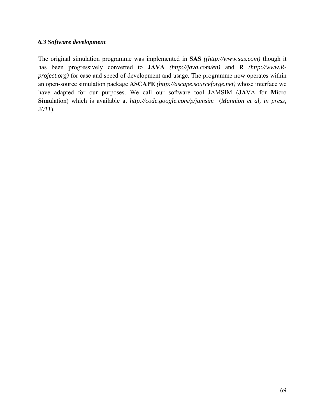#### *6.3 Software development*

The original simulation programme was implemented in **SAS** *((http://www.sas.com)* though it has been progressively converted to **JAVA** *(http://java.com/en)* and *R (http://www.Rproject.org)* for ease and speed of development and usage. The programme now operates within an open-source simulation package **ASCAPE** *(http://ascape.sourceforge.net)* whose interface we have adapted for our purposes. We call our software tool JAMSIM (**JA**VA for **M**icro **Sim**ulation) which is available at *http://code.google.com/p/jamsim* (*Mannion et al, in press, 2011*).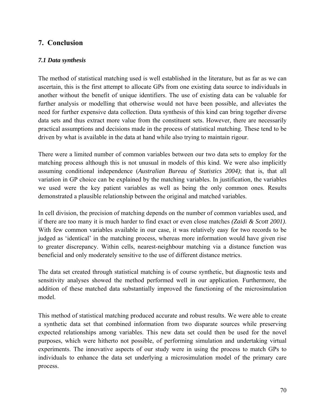## **7. Conclusion**

## *7.1 Data synthesis*

The method of statistical matching used is well established in the literature, but as far as we can ascertain, this is the first attempt to allocate GPs from one existing data source to individuals in another without the benefit of unique identifiers. The use of existing data can be valuable for further analysis or modelling that otherwise would not have been possible, and alleviates the need for further expensive data collection. Data synthesis of this kind can bring together diverse data sets and thus extract more value from the constituent sets. However, there are necessarily practical assumptions and decisions made in the process of statistical matching. These tend to be driven by what is available in the data at hand while also trying to maintain rigour.

There were a limited number of common variables between our two data sets to employ for the matching process although this is not unusual in models of this kind. We were also implicitly assuming conditional independence (*Australian Bureau of Statistics 2004)*; that is, that all variation in GP choice can be explained by the matching variables. In justification, the variables we used were the key patient variables as well as being the only common ones. Results demonstrated a plausible relationship between the original and matched variables.

In cell division, the precision of matching depends on the number of common variables used, and if there are too many it is much harder to find exact or even close matches *(Zaidi & Scott 2001)*. With few common variables available in our case, it was relatively easy for two records to be judged as 'identical' in the matching process, whereas more information would have given rise to greater discrepancy. Within cells, nearest-neighbour matching via a distance function was beneficial and only moderately sensitive to the use of different distance metrics.

The data set created through statistical matching is of course synthetic, but diagnostic tests and sensitivity analyses showed the method performed well in our application. Furthermore, the addition of these matched data substantially improved the functioning of the microsimulation model.

This method of statistical matching produced accurate and robust results. We were able to create a synthetic data set that combined information from two disparate sources while preserving expected relationships among variables. This new data set could then be used for the novel purposes, which were hitherto not possible, of performing simulation and undertaking virtual experiments. The innovative aspects of our study were in using the process to match GPs to individuals to enhance the data set underlying a microsimulation model of the primary care process.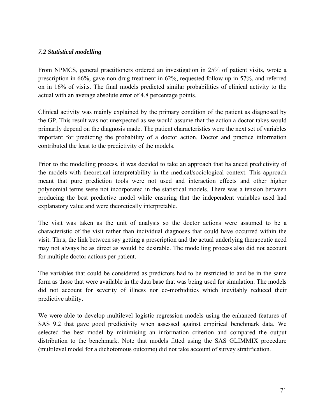#### *7.2 Statistical modelling*

From NPMCS, general practitioners ordered an investigation in 25% of patient visits, wrote a prescription in 66%, gave non-drug treatment in 62%, requested follow up in 57%, and referred on in 16% of visits. The final models predicted similar probabilities of clinical activity to the actual with an average absolute error of 4.8 percentage points.

Clinical activity was mainly explained by the primary condition of the patient as diagnosed by the GP. This result was not unexpected as we would assume that the action a doctor takes would primarily depend on the diagnosis made. The patient characteristics were the next set of variables important for predicting the probability of a doctor action. Doctor and practice information contributed the least to the predictivity of the models.

Prior to the modelling process, it was decided to take an approach that balanced predictivity of the models with theoretical interpretability in the medical/sociological context. This approach meant that pure prediction tools were not used and interaction effects and other higher polynomial terms were not incorporated in the statistical models. There was a tension between producing the best predictive model while ensuring that the independent variables used had explanatory value and were theoretically interpretable.

The visit was taken as the unit of analysis so the doctor actions were assumed to be a characteristic of the visit rather than individual diagnoses that could have occurred within the visit. Thus, the link between say getting a prescription and the actual underlying therapeutic need may not always be as direct as would be desirable. The modelling process also did not account for multiple doctor actions per patient.

The variables that could be considered as predictors had to be restricted to and be in the same form as those that were available in the data base that was being used for simulation. The models did not account for severity of illness nor co-morbidities which inevitably reduced their predictive ability.

We were able to develop multilevel logistic regression models using the enhanced features of SAS 9.2 that gave good predictivity when assessed against empirical benchmark data. We selected the best model by minimising an information criterion and compared the output distribution to the benchmark. Note that models fitted using the SAS GLIMMIX procedure (multilevel model for a dichotomous outcome) did not take account of survey stratification.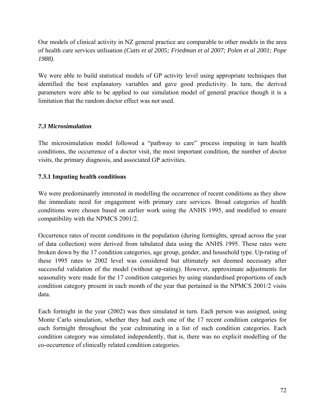Our models of clinical activity in NZ general practice are comparable to other models in the area of health care services utilisation *(Cutts et al 2005; Friedman et al 2007; Polen et al 2001; Pope 1988)*.

We were able to build statistical models of GP activity level using appropriate techniques that identified the best explanatory variables and gave good predictivity. In turn, the derived parameters were able to be applied to our simulation model of general practice though it is a limitation that the random doctor effect was not used.

## *7.3 Microsimulation*

The microsimulation model followed a "pathway to care" process imputing in turn health conditions, the occurrence of a doctor visit, the most important condition, the number of doctor visits, the primary diagnosis, and associated GP activities.

## **7.3.1 Imputing health conditions**

We were predominantly interested in modelling the occurrence of recent conditions as they show the immediate need for engagement with primary care services. Broad categories of health conditions were chosen based on earlier work using the ANHS 1995, and modified to ensure compatibility with the NPMCS 2001/2.

Occurrence rates of recent conditions in the population (during fortnights, spread across the year of data collection) were derived from tabulated data using the ANHS 1995. These rates were broken down by the 17 condition categories, age group, gender, and household type. Up-rating of these 1995 rates to 2002 level was considered but ultimately not deemed necessary after successful validation of the model (without up-rating). However, approximate adjustments for seasonality were made for the 17 condition categories by using standardised proportions of each condition category present in each month of the year that pertained in the NPMCS 2001/2 visits data.

Each fortnight in the year (2002) was then simulated in turn. Each person was assigned, using Monte Carlo simulation, whether they had each one of the 17 recent condition categories for each fortnight throughout the year culminating in a list of such condition categories. Each condition category was simulated independently, that is, there was no explicit modelling of the co-occurrence of clinically related condition categories.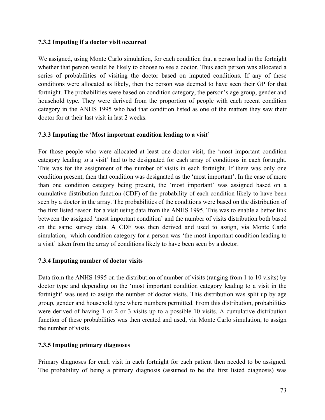## **7.3.2 Imputing if a doctor visit occurred**

We assigned, using Monte Carlo simulation, for each condition that a person had in the fortnight whether that person would be likely to choose to see a doctor. Thus each person was allocated a series of probabilities of visiting the doctor based on imputed conditions. If any of these conditions were allocated as likely, then the person was deemed to have seen their GP for that fortnight. The probabilities were based on condition category, the person's age group, gender and household type. They were derived from the proportion of people with each recent condition category in the ANHS 1995 who had that condition listed as one of the matters they saw their doctor for at their last visit in last 2 weeks.

## **7.3.3 Imputing the 'Most important condition leading to a visit'**

For those people who were allocated at least one doctor visit, the 'most important condition category leading to a visit' had to be designated for each array of conditions in each fortnight. This was for the assignment of the number of visits in each fortnight. If there was only one condition present, then that condition was designated as the 'most important'. In the case of more than one condition category being present, the 'most important' was assigned based on a cumulative distribution function (CDF) of the probability of each condition likely to have been seen by a doctor in the array. The probabilities of the conditions were based on the distribution of the first listed reason for a visit using data from the ANHS 1995. This was to enable a better link between the assigned 'most important condition' and the number of visits distribution both based on the same survey data. A CDF was then derived and used to assign, via Monte Carlo simulation, which condition category for a person was 'the most important condition leading to a visit' taken from the array of conditions likely to have been seen by a doctor.

# **7.3.4 Imputing number of doctor visits**

Data from the ANHS 1995 on the distribution of number of visits (ranging from 1 to 10 visits) by doctor type and depending on the 'most important condition category leading to a visit in the fortnight' was used to assign the number of doctor visits. This distribution was split up by age group, gender and household type where numbers permitted. From this distribution, probabilities were derived of having 1 or 2 or 3 visits up to a possible 10 visits. A cumulative distribution function of these probabilities was then created and used, via Monte Carlo simulation, to assign the number of visits.

## **7.3.5 Imputing primary diagnoses**

Primary diagnoses for each visit in each fortnight for each patient then needed to be assigned. The probability of being a primary diagnosis (assumed to be the first listed diagnosis) was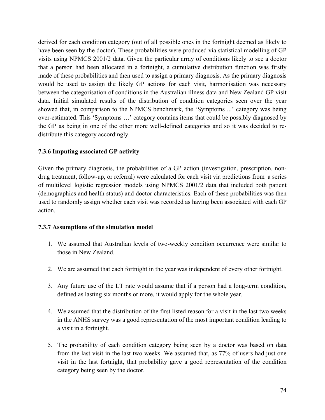derived for each condition category (out of all possible ones in the fortnight deemed as likely to have been seen by the doctor). These probabilities were produced via statistical modelling of GP visits using NPMCS 2001/2 data. Given the particular array of conditions likely to see a doctor that a person had been allocated in a fortnight, a cumulative distribution function was firstly made of these probabilities and then used to assign a primary diagnosis. As the primary diagnosis would be used to assign the likely GP actions for each visit, harmonisation was necessary between the categorisation of conditions in the Australian illness data and New Zealand GP visit data. Initial simulated results of the distribution of condition categories seen over the year showed that, in comparison to the NPMCS benchmark, the 'Symptoms ...' category was being over-estimated. This 'Symptoms …' category contains items that could be possibly diagnosed by the GP as being in one of the other more well-defined categories and so it was decided to redistribute this category accordingly.

## **7.3.6 Imputing associated GP activity**

Given the primary diagnosis, the probabilities of a GP action (investigation, prescription, nondrug treatment, follow-up, or referral) were calculated for each visit via predictions from a series of multilevel logistic regression models using NPMCS 2001/2 data that included both patient (demographics and health status) and doctor characteristics. Each of these probabilities was then used to randomly assign whether each visit was recorded as having been associated with each GP action.

## **7.3.7 Assumptions of the simulation model**

- 1. We assumed that Australian levels of two-weekly condition occurrence were similar to those in New Zealand.
- 2. We are assumed that each fortnight in the year was independent of every other fortnight.
- 3. Any future use of the LT rate would assume that if a person had a long-term condition, defined as lasting six months or more, it would apply for the whole year.
- 4. We assumed that the distribution of the first listed reason for a visit in the last two weeks in the ANHS survey was a good representation of the most important condition leading to a visit in a fortnight.
- 5. The probability of each condition category being seen by a doctor was based on data from the last visit in the last two weeks. We assumed that, as 77% of users had just one visit in the last fortnight, that probability gave a good representation of the condition category being seen by the doctor.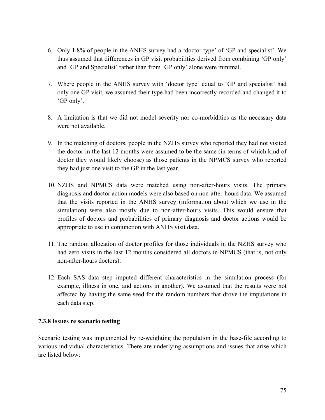- 6. Only 1.8% of people in the ANHS survey had a 'doctor type' of 'GP and specialist'. We thus assumed that differences in GP visit probabilities derived from combining 'GP only' and 'GP and Specialist' rather than from 'GP only' alone were minimal.
- 7. Where people in the ANHS survey with 'doctor type' equal to 'GP and specialist' had only one GP visit, we assumed their type had been incorrectly recorded and changed it to 'GP only'.
- 8. A limitation is that we did not model severity nor co-morbidities as the necessary data were not available.
- 9. In the matching of doctors, people in the NZHS survey who reported they had not visited the doctor in the last 12 months were assumed to be the same (in terms of which kind of doctor they would likely choose) as those patients in the NPMCS survey who reported they had just one visit to the GP in the last year.
- 10. NZHS and NPMCS data were matched using non-after-hours visits. The primary diagnosis and doctor action models were also based on non-after-hours data. We assumed that the visits reported in the ANHS survey (information about which we use in the simulation) were also mostly due to non-after-hours visits. This would ensure that profiles of doctors and probabilities of primary diagnosis and doctor actions would be appropriate to use in conjunction with ANHS visit data.
- 11. The random allocation of doctor profiles for those individuals in the NZHS survey who had zero visits in the last 12 months considered all doctors in NPMCS (that is, not only non-after-hours doctors).
- 12. Each SAS data step imputed different characteristics in the simulation process (for example, illness in one, and actions in another). We assumed that the results were not affected by having the same seed for the random numbers that drove the imputations in each data step.

## **7.3.8 Issues re scenario testing**

Scenario testing was implemented by re-weighting the population in the base-file according to various individual characteristics. There are underlying assumptions and issues that arise which are listed below: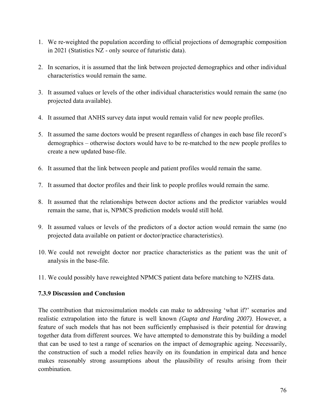- 1. We re-weighted the population according to official projections of demographic composition in 2021 (Statistics NZ - only source of futuristic data).
- 2. In scenarios, it is assumed that the link between projected demographics and other individual characteristics would remain the same.
- 3. It assumed values or levels of the other individual characteristics would remain the same (no projected data available).
- 4. It assumed that ANHS survey data input would remain valid for new people profiles.
- 5. It assumed the same doctors would be present regardless of changes in each base file record's demographics – otherwise doctors would have to be re-matched to the new people profiles to create a new updated base-file.
- 6. It assumed that the link between people and patient profiles would remain the same.
- 7. It assumed that doctor profiles and their link to people profiles would remain the same.
- 8. It assumed that the relationships between doctor actions and the predictor variables would remain the same, that is, NPMCS prediction models would still hold.
- 9. It assumed values or levels of the predictors of a doctor action would remain the same (no projected data available on patient or doctor/practice characteristics).
- 10. We could not reweight doctor nor practice characteristics as the patient was the unit of analysis in the base-file.
- 11. We could possibly have reweighted NPMCS patient data before matching to NZHS data.

## **7.3.9 Discussion and Conclusion**

The contribution that microsimulation models can make to addressing 'what if?' scenarios and realistic extrapolation into the future is well known *(Gupta and Harding 2007)*. However, a feature of such models that has not been sufficiently emphasised is their potential for drawing together data from different sources. We have attempted to demonstrate this by building a model that can be used to test a range of scenarios on the impact of demographic ageing. Necessarily, the construction of such a model relies heavily on its foundation in empirical data and hence makes reasonably strong assumptions about the plausibility of results arising from their combination.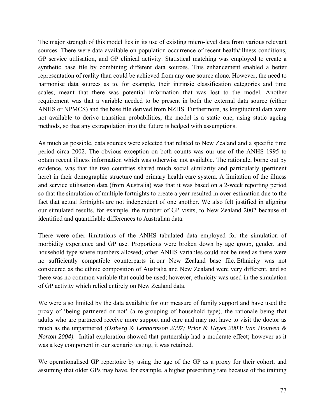The major strength of this model lies in its use of existing micro-level data from various relevant sources. There were data available on population occurrence of recent health/illness conditions, GP service utilisation, and GP clinical activity. Statistical matching was employed to create a synthetic base file by combining different data sources. This enhancement enabled a better representation of reality than could be achieved from any one source alone. However, the need to harmonise data sources as to, for example, their intrinsic classification categories and time scales, meant that there was potential information that was lost to the model. Another requirement was that a variable needed to be present in both the external data source (either ANHS or NPMCS) and the base file derived from NZHS. Furthermore, as longitudinal data were not available to derive transition probabilities, the model is a static one, using static ageing methods, so that any extrapolation into the future is hedged with assumptions.

As much as possible, data sources were selected that related to New Zealand and a specific time period circa 2002. The obvious exception on both counts was our use of the ANHS 1995 to obtain recent illness information which was otherwise not available. The rationale, borne out by evidence, was that the two countries shared much social similarity and particularly (pertinent here) in their demographic structure and primary health care system. A limitation of the illness and service utilisation data (from Australia) was that it was based on a 2-week reporting period so that the simulation of multiple fortnights to create a year resulted in over-estimation due to the fact that actual fortnights are not independent of one another. We also felt justified in aligning our simulated results, for example, the number of GP visits, to New Zealand 2002 because of identified and quantifiable differences to Australian data.

There were other limitations of the ANHS tabulated data employed for the simulation of morbidity experience and GP use. Proportions were broken down by age group, gender, and household type where numbers allowed; other ANHS variables could not be used as there were no sufficiently compatible counterparts in our New Zealand base file. Ethnicity was not considered as the ethnic composition of Australia and New Zealand were very different, and so there was no common variable that could be used; however, ethnicity was used in the simulation of GP activity which relied entirely on New Zealand data.

We were also limited by the data available for our measure of family support and have used the proxy of 'being partnered or not' (a re-grouping of household type), the rationale being that adults who are partnered receive more support and care and may not have to visit the doctor as much as the unpartnered *(Ostberg & Lennartsson 2007; Prior & Hayes 2003; Van Houtven & Norton 2004)*. Initial exploration showed that partnership had a moderate effect; however as it was a key component in our scenario testing, it was retained.

We operationalised GP repertoire by using the age of the GP as a proxy for their cohort, and assuming that older GPs may have, for example, a higher prescribing rate because of the training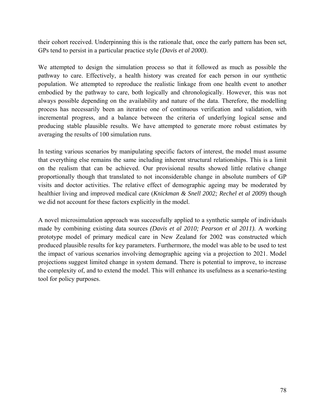their cohort received. Underpinning this is the rationale that, once the early pattern has been set, GPs tend to persist in a particular practice style *(Davis et al 2000)*.

We attempted to design the simulation process so that it followed as much as possible the pathway to care. Effectively, a health history was created for each person in our synthetic population. We attempted to reproduce the realistic linkage from one health event to another embodied by the pathway to care, both logically and chronologically. However, this was not always possible depending on the availability and nature of the data. Therefore, the modelling process has necessarily been an iterative one of continuous verification and validation, with incremental progress, and a balance between the criteria of underlying logical sense and producing stable plausible results. We have attempted to generate more robust estimates by averaging the results of 100 simulation runs.

In testing various scenarios by manipulating specific factors of interest, the model must assume that everything else remains the same including inherent structural relationships. This is a limit on the realism that can be achieved. Our provisional results showed little relative change proportionally though that translated to not inconsiderable change in absolute numbers of GP visits and doctor activities. The relative effect of demographic ageing may be moderated by healthier living and improved medical care (*Knickman & Snell 2002; Rechel et al 2009*) though we did not account for these factors explicitly in the model.

A novel microsimulation approach was successfully applied to a synthetic sample of individuals made by combining existing data sources *(Davis et al 2010; Pearson et al 2011).* A working prototype model of primary medical care in New Zealand for 2002 was constructed which produced plausible results for key parameters. Furthermore, the model was able to be used to test the impact of various scenarios involving demographic ageing via a projection to 2021. Model projections suggest limited change in system demand. There is potential to improve, to increase the complexity of, and to extend the model. This will enhance its usefulness as a scenario-testing tool for policy purposes.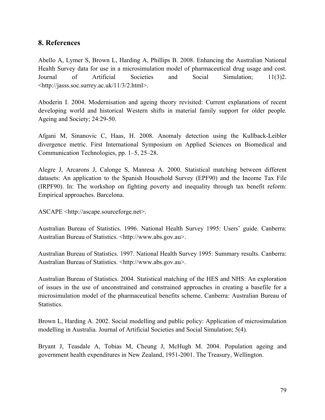# **8. References**

Abello A, Lymer S, Brown L, Harding A, Phillips B. 2008. Enhancing the Australian National Health Survey data for use in a microsimulation model of pharmaceutical drug usage and cost. Journal of Artificial Societies and Social Simulation; 11(3)2. <http://jasss.soc.surrey.ac.uk/11/3/2.html>.

Aboderin I. 2004. Modernisation and ageing theory revisited: Current explanations of recent developing world and historical Western shifts in material family support for older people. Ageing and Society; 24:29-50.

Afgani M, Sinanovic C, Haas, H. 2008. Anomaly detection using the Kullback-Leibler divergence metric. First International Symposium on Applied Sciences on Biomedical and Communication Technologies, pp. 1–5, 25–28.

Alegre J, Arcarons J, Calonge S, Manresa A. 2000. Statistical matching between different datasets: An application to the Spanish Household Survey (EPF90) and the Income Tax File (IRPF90). In: The workshop on fighting poverty and inequality through tax benefit reform: Empirical approaches. Barcelona.

ASCAPE <http://ascape.sourceforge.net>.

Australian Bureau of Statistics. 1996. National Health Survey 1995: Users' guide. Canberra: Australian Bureau of Statistics. <http://www.abs.gov.au>.

Australian Bureau of Statistics. 1997. National Health Survey 1995: Summary results. Canberra: Australian Bureau of Statistics. <http://www.abs.gov.au>.

Australian Bureau of Statistics. 2004. Statistical matching of the HES and NHS: An exploration of issues in the use of unconstrained and constrained approaches in creating a basefile for a microsimulation model of the pharmaceutical benefits scheme. Canberra: Australian Bureau of Statistics.

Brown L, Harding A. 2002. Social modelling and public policy: Application of microsimulation modelling in Australia. Journal of Artificial Societies and Social Simulation; 5(4).

Bryant J, Teasdale A, Tobias M, Cheung J, McHugh M. 2004. Population ageing and government health expenditures in New Zealand, 1951-2001. The Treasury, Wellington.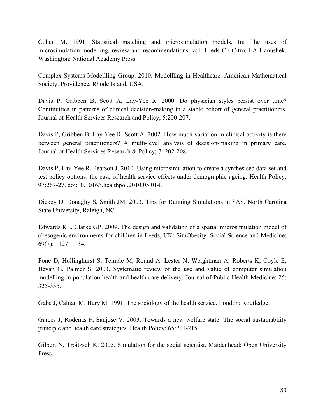Cohen M. 1991. Statistical matching and microsimulation models. In: The uses of microsimulation modelling, review and recommendations, vol. 1, eds CF Citro, EA Hanushek. Washington: National Academy Press.

Complex Systems Modellling Group. 2010. Modellling in Healthcare. American Mathematical Society. Providence, Rhode Island, USA.

Davis P, Gribben B, Scott A, Lay-Yee R. 2000. Do physician styles persist over time? Continuities in patterns of clinical decision-making in a stable cohort of general practitioners. Journal of Health Services Research and Policy; 5:200-207.

Davis P, Gribben B, Lay-Yee R, Scott A. 2002. How much variation in clinical activity is there between general practitioners? A multi-level analysis of decision-making in primary care. Journal of Health Services Research & Policy; 7: 202-208.

Davis P, Lay-Yee R, Pearson J. 2010. Using microsimulation to create a synthesised data set and test policy options: the case of health service effects under demographic ageing. Health Policy; 97:267-27. doi:10.1016/j.healthpol.2010.05.014.

Dickey D, Donaghy S, Smith JM. 2003. Tips for Running Simulations in SAS. North Carolina State University, Raleigh, NC.

Edwards KL, Clarke GP. 2009. The design and validation of a spatial microsimulation model of obesogenic environments for children in Leeds, UK: SimObesity. Social Science and Medicine; 69(7): 1127–1134.

Fone D, Hollinghurst S, Temple M, Round A, Lester N, Weightman A, Roberts K, Coyle E, Bevan G, Palmer S. 2003. Systematic review of the use and value of computer simulation modelling in population health and health care delivery. Journal of Public Health Medicine; 25: 325-335.

Gabe J, Calnan M, Bury M. 1991. The sociology of the health service. London: Routledge.

Garces J, Rodenas F, Sanjose V. 2003. Towards a new welfare state: The social sustainability principle and health care strategies. Health Policy; 65:201-215.

Gilbert N, Troitzsch K. 2005. Simulation for the social scientist. Maidenhead: Open University Press.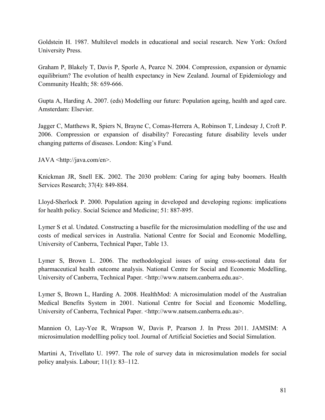Goldstein H. 1987. Multilevel models in educational and social research. New York: Oxford University Press.

Graham P, Blakely T, Davis P, Sporle A, Pearce N. 2004. Compression, expansion or dynamic equilibrium? The evolution of health expectancy in New Zealand. Journal of Epidemiology and Community Health; 58: 659-666.

Gupta A, Harding A. 2007. (eds) Modelling our future: Population ageing, health and aged care. Amsterdam: Elsevier.

Jagger C, Matthews R, Spiers N, Brayne C, Comas-Herrera A, Robinson T, Lindesay J, Croft P. 2006. Compression or expansion of disability? Forecasting future disability levels under changing patterns of diseases. London: King's Fund.

JAVA <http://java.com/en>.

Knickman JR, Snell EK. 2002. The 2030 problem: Caring for aging baby boomers. Health Services Research; 37(4): 849-884.

Lloyd-Sherlock P. 2000. Population ageing in developed and developing regions: implications for health policy. Social Science and Medicine; 51: 887-895.

Lymer S et al. Undated. Constructing a basefile for the microsimulation modelling of the use and costs of medical services in Australia. National Centre for Social and Economic Modelling, University of Canberra, Technical Paper, Table 13.

Lymer S, Brown L. 2006. The methodological issues of using cross-sectional data for pharmaceutical health outcome analysis. National Centre for Social and Economic Modelling, University of Canberra, Technical Paper. <http://www.natsem.canberra.edu.au>.

Lymer S, Brown L, Harding A. 2008. HealthMod: A microsimulation model of the Australian Medical Benefits System in 2001. National Centre for Social and Economic Modelling, University of Canberra, Technical Paper. <http://www.natsem.canberra.edu.au>.

Mannion O, Lay-Yee R, Wrapson W, Davis P, Pearson J. In Press 2011. JAMSIM: A microsimulation modellling policy tool. Journal of Artificial Societies and Social Simulation.

Martini A, Trivellato U. 1997. The role of survey data in microsimulation models for social policy analysis. Labour; 11(1): 83–112.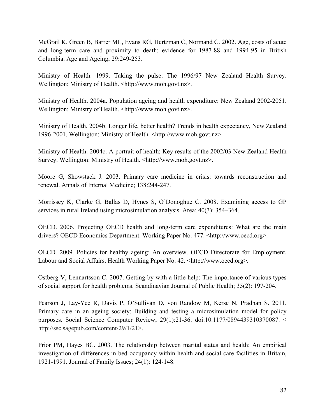McGrail K, Green B, Barrer ML, Evans RG, Hertzman C, Normand C. 2002. Age, costs of acute and long-term care and proximity to death: evidence for 1987-88 and 1994-95 in British Columbia. Age and Ageing; 29:249-253.

Ministry of Health. 1999. Taking the pulse: The 1996/97 New Zealand Health Survey. Wellington: Ministry of Health. <http://www.moh.govt.nz>.

Ministry of Health. 2004a. Population ageing and health expenditure: New Zealand 2002-2051. Wellington: Ministry of Health. <http://www.moh.govt.nz>.

Ministry of Health. 2004b. Longer life, better health? Trends in health expectancy, New Zealand 1996-2001. Wellington: Ministry of Health. <http://www.moh.govt.nz>.

Ministry of Health. 2004c. A portrait of health: Key results of the 2002/03 New Zealand Health Survey. Wellington: Ministry of Health. <http://www.moh.govt.nz>.

Moore G, Showstack J. 2003. Primary care medicine in crisis: towards reconstruction and renewal. Annals of Internal Medicine; 138:244-247.

Morrissey K, Clarke G, Ballas D, Hynes S, O'Donoghue C. 2008. Examining access to GP services in rural Ireland using microsimulation analysis. Area; 40(3): 354–364.

OECD. 2006. Projecting OECD health and long-term care expenditures: What are the main drivers? OECD Economics Department. Working Paper No. 477. <http://www.oecd.org>.

OECD. 2009. Policies for healthy ageing: An overview. OECD Directorate for Employment, Labour and Social Affairs. Health Working Paper No. 42. <http://www.oecd.org>.

Ostberg V, Lennartsson C. 2007. Getting by with a little help: The importance of various types of social support for health problems. Scandinavian Journal of Public Health; 35(2): 197-204.

Pearson J, Lay-Yee R, Davis P, O'Sullivan D, von Randow M, Kerse N, Pradhan S. 2011. Primary care in an ageing society: Building and testing a microsimulation model for policy purposes. Social Science Computer Review; 29(1):21-36. doi:10.1177/0894439310370087. < http://ssc.sagepub.com/content/29/1/21>.

Prior PM, Hayes BC. 2003. The relationship between marital status and health: An empirical investigation of differences in bed occupancy within health and social care facilities in Britain, 1921-1991. Journal of Family Issues; 24(1): 124-148.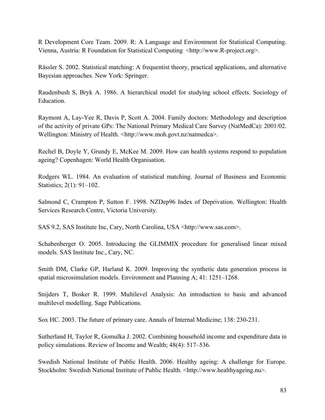R Development Core Team. 2009. R: A Language and Environment for Statistical Computing. Vienna, Austria: R Foundation for Statistical Computing <http://www.R-project.org>.

Rässler S. 2002. Statistical matching: A frequentist theory, practical applications, and alternative Bayesian approaches. New York: Springer.

Raudenbush S, Bryk A. 1986. A hierarchical model for studying school effects. Sociology of Education.

Raymont A, Lay-Yee R, Davis P, Scott A. 2004. Family doctors: Methodology and description of the activity of private GPs: The National Primary Medical Care Survey (NatMedCa): 2001/02. Wellington: Ministry of Health. <http://www.moh.govt.nz/natmedca>.

Rechel B, Doyle Y, Grundy E, McKee M. 2009. How can health systems respond to population ageing? Copenhagen: World Health Organisation.

Rodgers WL. 1984. An evaluation of statistical matching. Journal of Business and Economic Statistics; 2(1): 91–102.

Salmond C, Crampton P, Sutton F. 1998. NZDep96 Index of Deprivation. Wellington: Health Services Research Centre, Victoria University.

SAS 9.2, SAS Institute Inc, Cary, North Carolina, USA <http://www.sas.com>.

Schabenberger O. 2005. Introducing the GLIMMIX procedure for generalised linear mixed models. SAS Institute Inc., Cary, NC.

Smith DM, Clarke GP, Harland K. 2009. Improving the synthetic data generation process in spatial microsimulation models. Environment and Planning A; 41: 1251–1268.

Snijders T, Bosker R. 1999. Multilevel Analysis: An introduction to basic and advanced multilevel modelling. Sage Publications.

Sox HC. 2003. The future of primary care. Annals of Internal Medicine; 138: 230-231.

Sutherland H, Taylor R, Gomulka J. 2002. Combining household income and expenditure data in policy simulations. Review of Income and Wealth; 48(4): 517–536.

Swedish National Institute of Public Health. 2006. Healthy ageing: A challenge for Europe. Stockholm: Swedish National Institute of Public Health. <http://www.healthyageing.nu>.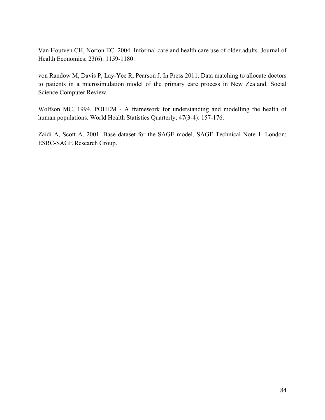Van Houtven CH, Norton EC. 2004. Informal care and health care use of older adults. Journal of Health Economics; 23(6): 1159-1180.

von Randow M, Davis P, Lay-Yee R, Pearson J. In Press 2011. Data matching to allocate doctors to patients in a microsimulation model of the primary care process in New Zealand. Social Science Computer Review.

Wolfson MC. 1994. POHEM - A framework for understanding and modelling the health of human populations. World Health Statistics Quarterly; 47(3-4): 157-176.

Zaidi A, Scott A. 2001. Base dataset for the SAGE model. SAGE Technical Note 1. London: ESRC-SAGE Research Group.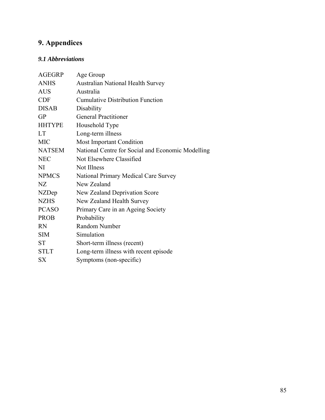# **9. Appendices**

# *9.1 Abbreviations*

| <b>AGEGRP</b> | Age Group                                         |
|---------------|---------------------------------------------------|
| <b>ANHS</b>   | <b>Australian National Health Survey</b>          |
| <b>AUS</b>    | Australia                                         |
| <b>CDF</b>    | <b>Cumulative Distribution Function</b>           |
| <b>DISAB</b>  | Disability                                        |
| <b>GP</b>     | <b>General Practitioner</b>                       |
| <b>HHTYPE</b> | Household Type                                    |
| <b>LT</b>     | Long-term illness                                 |
| <b>MIC</b>    | Most Important Condition                          |
| <b>NATSEM</b> | National Centre for Social and Economic Modelling |
| <b>NEC</b>    | Not Elsewhere Classified                          |
| NI            | Not Illness                                       |
| <b>NPMCS</b>  | National Primary Medical Care Survey              |
| NZ            | New Zealand                                       |
| NZDep         | New Zealand Deprivation Score                     |
| <b>NZHS</b>   | New Zealand Health Survey                         |
| <b>PCASO</b>  | Primary Care in an Ageing Society                 |
| <b>PROB</b>   | Probability                                       |
| <b>RN</b>     | Random Number                                     |
| <b>SIM</b>    | Simulation                                        |
| <b>ST</b>     | Short-term illness (recent)                       |
| <b>STLT</b>   | Long-term illness with recent episode             |
| <b>SX</b>     | Symptoms (non-specific)                           |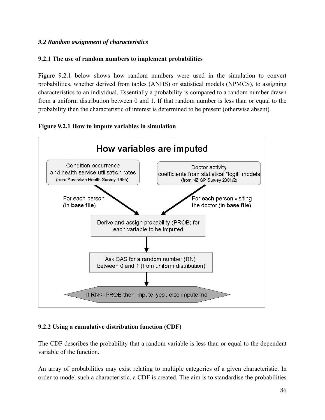## *9.2 Random assignment of characteristics*

## **9.2.1 The use of random numbers to implement probabilities**

Figure 9.2.1 below shows how random numbers were used in the simulation to convert probabilities, whether derived from tables (ANHS) or statistical models (NPMCS), to assigning characteristics to an individual. Essentially a probability is compared to a random number drawn from a uniform distribution between 0 and 1. If that random number is less than or equal to the probability then the characteristic of interest is determined to be present (otherwise absent).





# **9.2.2 Using a cumulative distribution function (CDF)**

The CDF describes the probability that a random variable is less than or equal to the dependent variable of the function.

An array of probabilities may exist relating to multiple categories of a given characteristic. In order to model such a characteristic, a CDF is created. The aim is to standardise the probabilities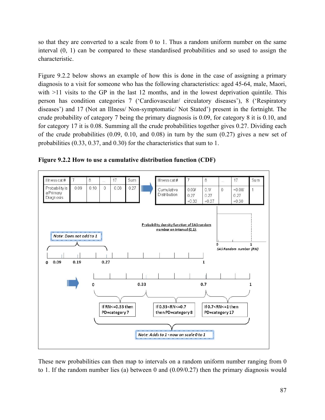so that they are converted to a scale from 0 to 1. Thus a random uniform number on the same interval (0, 1) can be compared to these standardised probabilities and so used to assign the characteristic.

Figure 9.2.2 below shows an example of how this is done in the case of assigning a primary diagnosis to a visit for someone who has the following characteristics: aged 45-64, male, Maori, with  $>11$  visits to the GP in the last 12 months, and in the lowest deprivation quintile. This person has condition categories 7 ('Cardiovascular/ circulatory diseases'), 8 ('Respiratory diseases') and 17 (Not an Illness/ Non-symptomatic/ Not Stated') present in the fortnight. The crude probability of category 7 being the primary diagnosis is 0.09, for category 8 it is 0.10, and for category 17 it is 0.08. Summing all the crude probabilities together gives 0.27. Dividing each of the crude probabilities (0.09, 0.10, and 0.08) in turn by the sum (0.27) gives a new set of probabilities (0.33, 0.37, and 0.30) for the characteristics that sum to 1.



**Figure 9.2.2 How to use a cumulative distribution function (CDF)** 

These new probabilities can then map to intervals on a random uniform number ranging from 0 to 1. If the random number lies (a) between 0 and (0.09/0.27) then the primary diagnosis would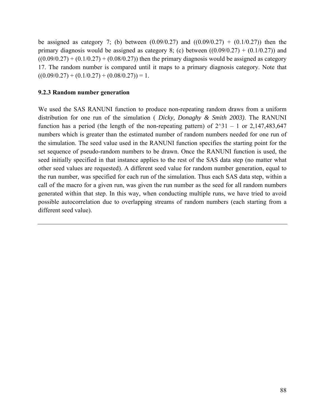be assigned as category 7; (b) between  $(0.09/0.27)$  and  $((0.09/0.27) + (0.1/0.27))$  then the primary diagnosis would be assigned as category 8; (c) between  $((0.09/0.27) + (0.1/0.27))$  and  $((0.09/0.27) + (0.1/0.27) + (0.08/0.27))$  then the primary diagnosis would be assigned as category 17. The random number is compared until it maps to a primary diagnosis category. Note that  $((0.09/0.27) + (0.1/0.27) + (0.08/0.27)) = 1.$ 

#### **9.2.3 Random number generation**

We used the SAS RANUNI function to produce non-repeating random draws from a uniform distribution for one run of the simulation ( *Dicky, Donaghy & Smith 2003)*. The RANUNI function has a period (the length of the non-repeating pattern) of  $2^{\wedge}31 - 1$  or 2,147,483,647 numbers which is greater than the estimated number of random numbers needed for one run of the simulation. The seed value used in the RANUNI function specifies the starting point for the set sequence of pseudo-random numbers to be drawn. Once the RANUNI function is used, the seed initially specified in that instance applies to the rest of the SAS data step (no matter what other seed values are requested). A different seed value for random number generation, equal to the run number, was specified for each run of the simulation. Thus each SAS data step, within a call of the macro for a given run, was given the run number as the seed for all random numbers generated within that step. In this way, when conducting multiple runs, we have tried to avoid possible autocorrelation due to overlapping streams of random numbers (each starting from a different seed value).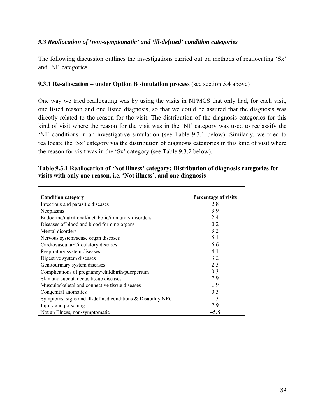#### *9.3 Reallocation of 'non-symptomatic' and 'ill-defined' condition categories*

The following discussion outlines the investigations carried out on methods of reallocating 'Sx' and 'NI' categories.

#### **9.3.1 Re-allocation – under Option B simulation process** (see section 5.4 above)

One way we tried reallocating was by using the visits in NPMCS that only had, for each visit, one listed reason and one listed diagnosis, so that we could be assured that the diagnosis was directly related to the reason for the visit. The distribution of the diagnosis categories for this kind of visit where the reason for the visit was in the 'NI' category was used to reclassify the 'NI' conditions in an investigative simulation (see Table 9.3.1 below). Similarly, we tried to reallocate the 'Sx' category via the distribution of diagnosis categories in this kind of visit where the reason for visit was in the 'Sx' category (see Table 9.3.2 below).

#### **Table 9.3.1 Reallocation of 'Not illness' category: Distribution of diagnosis categories for visits with only one reason, i.e. 'Not illness', and one diagnosis**

| <b>Condition category</b>                                      | Percentage of visits |
|----------------------------------------------------------------|----------------------|
| Infectious and parasitic diseases                              | 2.8                  |
| Neoplasms                                                      | 3.9                  |
| Endocrine/nutritional/metabolic/immunity disorders             | 24                   |
| Diseases of blood and blood forming organs                     | 0 <sub>2</sub>       |
| Mental disorders                                               | 3.2                  |
| Nervous system/sense organ diseases                            | 6.1                  |
| Cardiovascular/Circulatory diseases                            | 6.6                  |
| Respiratory system diseases                                    | 4.1                  |
| Digestive system diseases                                      | 3.2                  |
| Genitourinary system diseases                                  | 2.3                  |
| Complications of pregnancy/childbirth/puerperium               | 0.3                  |
| Skin and subcutaneous tissue diseases                          | 7.9                  |
| Musculoskeletal and connective tissue diseases                 | 1.9                  |
| Congenital anomalies                                           | 0.3                  |
| Symptoms, signs and ill-defined conditions $\&$ Disability NEC | 1.3                  |
| Injury and poisoning                                           | 7.9                  |
| Not an Illness, non-symptomatic                                | 45.8                 |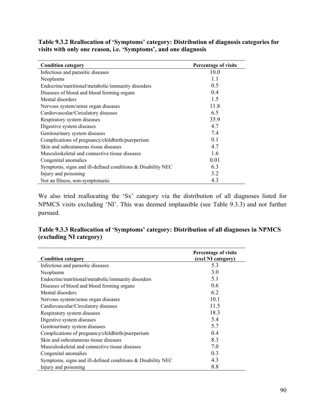**Table 9.3.2 Reallocation of 'Symptoms' category: Distribution of diagnosis categories for visits with only one reason, i.e. 'Symptoms', and one diagnosis** 

| <b>Condition category</b>                                     | Percentage of visits |
|---------------------------------------------------------------|----------------------|
| Infectious and parasitic diseases                             | 10.0                 |
| Neoplasms                                                     | 1.1                  |
| Endocrine/nutritional/metabolic/immunity disorders            | 0.5                  |
| Diseases of blood and blood forming organs                    | 0.4                  |
| Mental disorders                                              | 1.5                  |
| Nervous system/sense organ diseases                           | 11.8                 |
| Cardiovascular/Circulatory diseases                           | 6.5                  |
| Respiratory system diseases                                   | 35.9                 |
| Digestive system diseases                                     | 4.7                  |
| Genitourinary system diseases                                 | 7.4                  |
| Complications of pregnancy/childbirth/puerperium              | 0.1                  |
| Skin and subcutaneous tissue diseases                         | 4.7                  |
| Musculoskeletal and connective tissue diseases                | 1.6                  |
| Congenital anomalies                                          | 0.01                 |
| Symptoms, signs and ill-defined conditions $&$ Disability NEC | 6.3                  |
| Injury and poisoning                                          | 3.2                  |
| Not an Illness, non-symptomatic                               | 4.3                  |

We also tried reallocating the 'Sx' category via the distribution of all diagnoses listed for NPMCS visits excluding 'NI'. This was deemed implausible (see Table 9.3.3) and not further pursued.

## **Table 9.3.3 Reallocation of 'Symptoms' category: Distribution of all diagnoses in NPMCS (excluding NI category)**

| <b>Condition category</b>                                     | <b>Percentage of visits</b><br>(excl NI category) |
|---------------------------------------------------------------|---------------------------------------------------|
| Infectious and parasitic diseases                             | 5.3                                               |
| Neoplasms                                                     | 3.0                                               |
| Endocrine/nutritional/metabolic/immunity disorders            | 5.1                                               |
| Diseases of blood and blood forming organs                    | 0.6                                               |
| Mental disorders                                              | 6.2                                               |
| Nervous system/sense organ diseases                           | 10.1                                              |
| Cardiovascular/Circulatory diseases                           | 11.5                                              |
| Respiratory system diseases                                   | 18.3                                              |
| Digestive system diseases                                     | 5.4                                               |
| Genitourinary system diseases                                 | 5.7                                               |
| Complications of pregnancy/childbirth/puerperium              | 0.4                                               |
| Skin and subcutaneous tissue diseases                         | 8.3                                               |
| Musculoskeletal and connective tissue diseases                | 7.0                                               |
| Congenital anomalies                                          | 0.3                                               |
| Symptoms, signs and ill-defined conditions $&$ Disability NEC | 4.3                                               |
| Injury and poisoning                                          | 8.8                                               |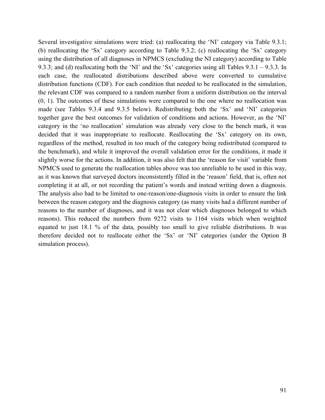Several investigative simulations were tried: (a) reallocating the 'NI' category via Table 9.3.1; (b) reallocating the 'Sx' category according to Table 9.3.2; (c) reallocating the 'Sx' category using the distribution of all diagnoses in NPMCS (excluding the NI category) according to Table 9.3.3; and (d) reallocating both the 'NI' and the 'Sx' categories using all Tables 9.3.1 – 9.3.3. In each case, the reallocated distributions described above were converted to cumulative distribution functions (CDF). For each condition that needed to be reallocated in the simulation, the relevant CDF was compared to a random number from a uniform distribution on the interval (0, 1). The outcomes of these simulations were compared to the one where no reallocation was made (see Tables 9.3.4 and 9.3.5 below). Redistributing both the 'Sx' and 'NI' categories together gave the best outcomes for validation of conditions and actions. However, as the 'NI' category in the 'no reallocation' simulation was already very close to the bench mark, it was decided that it was inappropriate to reallocate. Reallocating the 'Sx' category on its own, regardless of the method, resulted in too much of the category being redistributed (compared to the benchmark), and while it improved the overall validation error for the conditions, it made it slightly worse for the actions. In addition, it was also felt that the 'reason for visit' variable from NPMCS used to generate the reallocation tables above was too unreliable to be used in this way, as it was known that surveyed doctors inconsistently filled in the 'reason' field, that is, often not completing it at all, or not recording the patient's words and instead writing down a diagnosis. The analysis also had to be limited to one-reason/one-diagnosis visits in order to ensure the link between the reason category and the diagnosis category (as many visits had a different number of reasons to the number of diagnoses, and it was not clear which diagnoses belonged to which reasons). This reduced the numbers from 9272 visits to 1164 visits which when weighted equated to just 18.1 % of the data, possibly too small to give reliable distributions. It was therefore decided not to reallocate either the 'Sx' or 'NI' categories (under the Option B simulation process).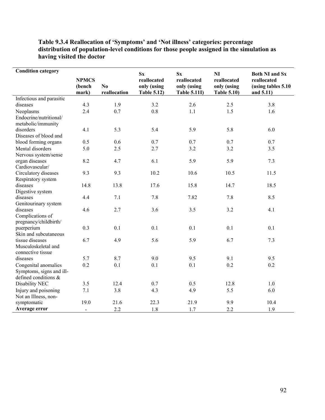| <b>Condition category</b>           |                                 |                    |                                                             |                                                              |                                                               |                                                                          |
|-------------------------------------|---------------------------------|--------------------|-------------------------------------------------------------|--------------------------------------------------------------|---------------------------------------------------------------|--------------------------------------------------------------------------|
|                                     | <b>NPMCS</b><br>(bench<br>mark) | No<br>reallocation | $S_{X}$<br>reallocated<br>only (using<br><b>Table 5.12)</b> | $S_{X}$<br>reallocated<br>only (using<br><b>Table 5.11I)</b> | <b>NI</b><br>reallocated<br>only (using<br><b>Table 5.10)</b> | <b>Both NI and Sx</b><br>reallocated<br>(using tables 5.10)<br>and 5.11) |
| Infectious and parasitic            |                                 |                    |                                                             |                                                              |                                                               |                                                                          |
| diseases                            | 4.3                             | 1.9                | 3.2                                                         | 2.6                                                          | 2.5                                                           | 3.8                                                                      |
| Neoplasms                           | 2.4                             | 0.7                | 0.8                                                         | 1.1                                                          | 1.5                                                           | 1.6                                                                      |
| Endocrine/nutritional/              |                                 |                    |                                                             |                                                              |                                                               |                                                                          |
| metabolic/immunity                  |                                 |                    |                                                             |                                                              |                                                               |                                                                          |
| disorders                           | 4.1                             | 5.3                | 5.4                                                         | 5.9                                                          | 5.8                                                           | 6.0                                                                      |
| Diseases of blood and               |                                 |                    |                                                             |                                                              |                                                               |                                                                          |
| blood forming organs                | 0.5                             | 0.6                | 0.7                                                         | 0.7                                                          | 0.7                                                           | 0.7                                                                      |
| Mental disorders                    | 5.0                             | 2.5                | 2.7                                                         | 3.2                                                          | 3.2                                                           | 3.5                                                                      |
| Nervous system/sense                |                                 |                    |                                                             |                                                              |                                                               |                                                                          |
| organ diseases                      | 8.2                             | 4.7                | 6.1                                                         | 5.9                                                          | 5.9                                                           | 7.3                                                                      |
| Cardiovascular/                     |                                 |                    |                                                             |                                                              |                                                               |                                                                          |
| Circulatory diseases                | 9.3                             | 9.3                | 10.2                                                        | 10.6                                                         | 10.5                                                          | 11.5                                                                     |
| Respiratory system                  |                                 |                    |                                                             |                                                              |                                                               |                                                                          |
| diseases                            | 14.8                            | 13.8               | 17.6                                                        | 15.8                                                         | 14.7                                                          | 18.5                                                                     |
| Digestive system                    |                                 |                    |                                                             |                                                              |                                                               |                                                                          |
| diseases                            | 4.4                             | 7.1                | 7.8                                                         | 7.82                                                         | 7.8                                                           | 8.5                                                                      |
| Genitourinary system                |                                 |                    |                                                             |                                                              |                                                               |                                                                          |
| diseases                            | 4.6                             | 2.7                | 3.6                                                         | 3.5                                                          | 3.2                                                           | 4.1                                                                      |
| Complications of                    |                                 |                    |                                                             |                                                              |                                                               |                                                                          |
| pregnancy/childbirth/<br>puerperium | 0.3                             | 0.1                | 0.1                                                         | 0.1                                                          | 0.1                                                           | 0.1                                                                      |
| Skin and subcutaneous               |                                 |                    |                                                             |                                                              |                                                               |                                                                          |
| tissue diseases                     | 6.7                             | 4.9                | 5.6                                                         | 5.9                                                          | 6.7                                                           | 7.3                                                                      |
| Musculoskeletal and                 |                                 |                    |                                                             |                                                              |                                                               |                                                                          |
| connective tissue                   |                                 |                    |                                                             |                                                              |                                                               |                                                                          |
| diseases                            | 5.7                             | 8.7                | 9.0                                                         | 9.5                                                          | 9.1                                                           | 9.5                                                                      |
| Congenital anomalies                | 0.2                             | 0.1                | 0.1                                                         | 0.1                                                          | 0.2                                                           | 0.2                                                                      |
| Symptoms, signs and ill-            |                                 |                    |                                                             |                                                              |                                                               |                                                                          |
| defined conditions &                |                                 |                    |                                                             |                                                              |                                                               |                                                                          |
| Disability NEC                      | 3.5                             | 12.4               | 0.7                                                         | 0.5                                                          | 12.8                                                          | 1.0                                                                      |
| Injury and poisoning                | 7.1                             | 3.8                | 4.3                                                         | 4.9                                                          | 5.5                                                           | 6.0                                                                      |
| Not an Illness, non-                |                                 |                    |                                                             |                                                              |                                                               |                                                                          |
| symptomatic                         | 19.0                            | 21.6               | 22.3                                                        | 21.9                                                         | 9.9                                                           | 10.4                                                                     |
| Average error                       | $\overline{\phantom{0}}$        | 2.2                | 1.8                                                         | 1.7                                                          | 2.2                                                           | 1.9                                                                      |

## **Table 9.3.4 Reallocation of 'Symptoms' and 'Not illness' categories: percentage distribution of population-level conditions for those people assigned in the simulation as having visited the doctor**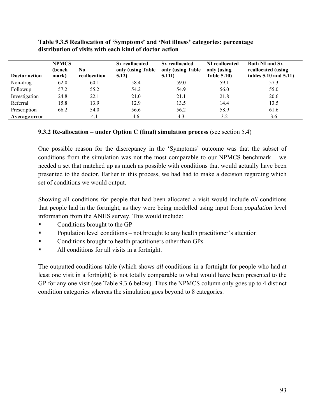|               | <b>NPMCS</b><br>(bench   | N0           | Sx reallocated<br>only (using Table | Sx reallocated              | NI reallocated                    | <b>Both NI and Sx</b>                            |
|---------------|--------------------------|--------------|-------------------------------------|-----------------------------|-----------------------------------|--------------------------------------------------|
| Doctor action | mark)                    | reallocation | 5.12)                               | only (using Table<br>5.11I) | only (using<br><b>Table 5.10)</b> | reallocated (using<br>tables $5.10$ and $5.11$ ) |
| Non-drug      | 62.0                     | 60.1         | 58.4                                | 59.0                        | 59.1                              | 57.3                                             |
| Followup      | 57.2                     | 55.2         | 54.2                                | 54.9                        | 56.0                              | 55.0                                             |
| Investigation | 24.8                     | 22.1         | 21.0                                | 21.1                        | 21.8                              | 20.6                                             |
| Referral      | 15.8                     | 13.9         | 12.9                                | 13.5                        | 14.4                              | 13.5                                             |
| Prescription  | 66.2                     | 54.0         | 56.6                                | 56.2                        | 58.9                              | 61.6                                             |
| Average error | $\overline{\phantom{0}}$ | 4.1          | 4.6                                 | 4.3                         | 3.2                               | 3.6                                              |

#### **Table 9.3.5 Reallocation of 'Symptoms' and 'Not illness' categories: percentage distribution of visits with each kind of doctor action**

## **9.3.2 Re-allocation – under Option C (final) simulation process** (see section 5.4)

One possible reason for the discrepancy in the 'Symptoms' outcome was that the subset of conditions from the simulation was not the most comparable to our NPMCS benchmark – we needed a set that matched up as much as possible with conditions that would actually have been presented to the doctor. Earlier in this process, we had had to make a decision regarding which set of conditions we would output.

Showing all conditions for people that had been allocated a visit would include *all* conditions that people had in the fortnight, as they were being modelled using input from *population* level information from the ANHS survey. This would include:

- Conditions brought to the GP
- **Population level conditions not brought to any health practitioner's attention**
- **Conditions brought to health practitioners other than GPs**
- All conditions for all visits in a fortnight.

The outputted conditions table (which shows *all* conditions in a fortnight for people who had at least one visit in a fortnight) is not totally comparable to what would have been presented to the GP for any one visit (see Table 9.3.6 below). Thus the NPMCS column only goes up to 4 distinct condition categories whereas the simulation goes beyond to 8 categories.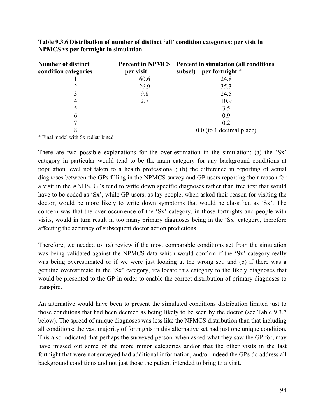| <b>Number of distinct</b> |             | <b>Percent in NPMCS</b> Percent in simulation (all conditions |
|---------------------------|-------------|---------------------------------------------------------------|
| condition categories      | – per visit | subset) – per fortnight $*$                                   |
|                           | 60.6        | 24.8                                                          |
|                           | 26.9        | 35.3                                                          |
|                           | 9.8         | 24.5                                                          |
|                           | 2.7         | 10.9                                                          |
|                           |             | 3.5                                                           |
| 6                         |             | 0.9                                                           |
|                           |             | 0.2                                                           |
|                           |             | $0.0$ (to 1 decimal place)                                    |

**Table 9.3.6 Distribution of number of distinct 'all' condition categories: per visit in NPMCS vs per fortnight in simulation** 

\* Final model with Sx redistributed

There are two possible explanations for the over-estimation in the simulation: (a) the 'Sx' category in particular would tend to be the main category for any background conditions at population level not taken to a health professional.; (b) the difference in reporting of actual diagnoses between the GPs filling in the NPMCS survey and GP users reporting their reason for a visit in the ANHS. GPs tend to write down specific diagnoses rather than free text that would have to be coded as 'Sx', while GP users, as lay people, when asked their reason for visiting the doctor, would be more likely to write down symptoms that would be classified as 'Sx'. The concern was that the over-occurrence of the 'Sx' category, in those fortnights and people with visits, would in turn result in too many primary diagnoses being in the 'Sx' category, therefore affecting the accuracy of subsequent doctor action predictions.

Therefore, we needed to: (a) review if the most comparable conditions set from the simulation was being validated against the NPMCS data which would confirm if the 'Sx' category really was being overestimated or if we were just looking at the wrong set; and (b) if there was a genuine overestimate in the 'Sx' category, reallocate this category to the likely diagnoses that would be presented to the GP in order to enable the correct distribution of primary diagnoses to transpire.

An alternative would have been to present the simulated conditions distribution limited just to those conditions that had been deemed as being likely to be seen by the doctor (see Table 9.3.7 below). The spread of unique diagnoses was less like the NPMCS distribution than that including all conditions; the vast majority of fortnights in this alternative set had just one unique condition. This also indicated that perhaps the surveyed person, when asked what they saw the GP for, may have missed out some of the more minor categories and/or that the other visits in the last fortnight that were not surveyed had additional information, and/or indeed the GPs do address all background conditions and not just those the patient intended to bring to a visit.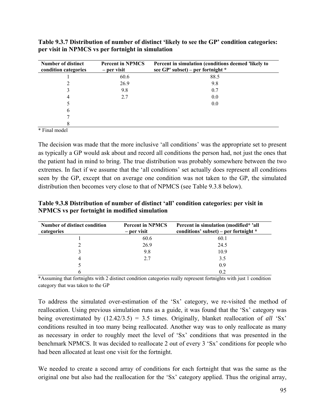| <b>Number of distinct</b><br>condition categories                         | <b>Percent in NPMCS</b><br>– per visit | Percent in simulation (conditions deemed 'likely to<br>see $GP'$ subset) – per fortnight $*$ |
|---------------------------------------------------------------------------|----------------------------------------|----------------------------------------------------------------------------------------------|
|                                                                           | 60.6                                   | 88.5                                                                                         |
|                                                                           | 26.9                                   | 9.8                                                                                          |
|                                                                           | 9.8                                    | 0.7                                                                                          |
| 4                                                                         | 2.7                                    | 0.0                                                                                          |
|                                                                           |                                        | 0.0                                                                                          |
| O                                                                         |                                        |                                                                                              |
|                                                                           |                                        |                                                                                              |
| $\mathbf{a}$ , $\mathbf{a}$ , $\mathbf{a}$ , $\mathbf{a}$<br>$\mathbf{1}$ |                                        |                                                                                              |

**Table 9.3.7 Distribution of number of distinct 'likely to see the GP' condition categories: per visit in NPMCS vs per fortnight in simulation** 

\* Final model

The decision was made that the more inclusive 'all conditions' was the appropriate set to present as typically a GP would ask about and record all conditions the person had, not just the ones that the patient had in mind to bring. The true distribution was probably somewhere between the two extremes. In fact if we assume that the 'all conditions' set actually does represent all conditions seen by the GP, except that on average one condition was not taken to the GP, the simulated distribution then becomes very close to that of NPMCS (see Table 9.3.8 below).

**Table 9.3.8 Distribution of number of distinct 'all' condition categories: per visit in NPMCS vs per fortnight in modified simulation** 

| Number of distinct condition<br>categories | <b>Percent in NPMCS</b><br>– per visit | Percent in simulation (modified* 'all<br>conditions' subset) – per fortnight $*$ |
|--------------------------------------------|----------------------------------------|----------------------------------------------------------------------------------|
|                                            | 60.6                                   | 60.1                                                                             |
|                                            | 26.9                                   | 24.5                                                                             |
|                                            | 9.8                                    | 10.9                                                                             |
|                                            | 2.7                                    | 3.5                                                                              |
|                                            |                                        | 0.9                                                                              |
|                                            |                                        | 0.2                                                                              |

\*Assuming that fortnights with 2 distinct condition categories really represent fortnights with just 1 condition category that was taken to the GP

To address the simulated over-estimation of the 'Sx' category, we re-visited the method of reallocation. Using previous simulation runs as a guide, it was found that the 'Sx' category was being overestimated by (12.42/3.5) = 3.5 times. Originally, blanket reallocation of *all* 'Sx' conditions resulted in too many being reallocated. Another way was to only reallocate as many as necessary in order to roughly meet the level of 'Sx' conditions that was presented in the benchmark NPMCS. It was decided to reallocate 2 out of every 3 'Sx' conditions for people who had been allocated at least one visit for the fortnight.

We needed to create a second array of conditions for each fortnight that was the same as the original one but also had the reallocation for the 'Sx' category applied. Thus the original array,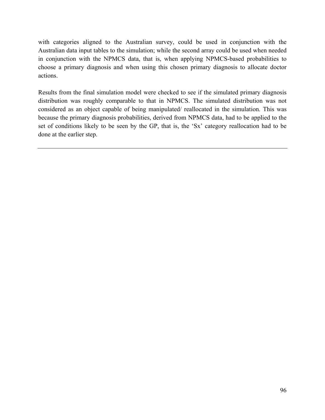with categories aligned to the Australian survey, could be used in conjunction with the Australian data input tables to the simulation; while the second array could be used when needed in conjunction with the NPMCS data, that is, when applying NPMCS-based probabilities to choose a primary diagnosis and when using this chosen primary diagnosis to allocate doctor actions.

Results from the final simulation model were checked to see if the simulated primary diagnosis distribution was roughly comparable to that in NPMCS. The simulated distribution was not considered as an object capable of being manipulated/ reallocated in the simulation. This was because the primary diagnosis probabilities, derived from NPMCS data, had to be applied to the set of conditions likely to be seen by the GP, that is, the 'Sx' category reallocation had to be done at the earlier step.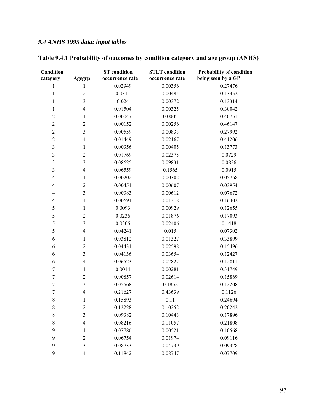# *9.4 ANHS 1995 data: input tables*

| Condition<br>category | Agegrp                   | <b>ST</b> condition<br>occurrence rate | <b>STLT</b> condition<br>occurrence rate | Probability of condition<br>being seen by a GP |
|-----------------------|--------------------------|----------------------------------------|------------------------------------------|------------------------------------------------|
| $\mathbf{1}$          | $\mathbf{1}$             | 0.02949                                | 0.00356                                  | 0.27476                                        |
| $\mathbf{1}$          | $\overline{c}$           | 0.0311                                 | 0.00495                                  | 0.13452                                        |
| 1                     | 3                        | 0.024                                  | 0.00372                                  | 0.13314                                        |
| $\mathbf{1}$          | $\overline{4}$           | 0.01504                                | 0.00325                                  | 0.30042                                        |
| $\overline{2}$        | 1                        | 0.00047                                | 0.0005                                   | 0.40751                                        |
| $\sqrt{2}$            | $\overline{c}$           | 0.00152                                | 0.00256                                  | 0.46147                                        |
| $\overline{2}$        | 3                        | 0.00559                                | 0.00833                                  | 0.27992                                        |
| $\overline{c}$        | $\overline{4}$           | 0.01449                                | 0.02167                                  | 0.41206                                        |
| $\mathfrak{Z}$        | $\mathbf{1}$             | 0.00356                                | 0.00405                                  | 0.13773                                        |
| $\mathfrak{Z}$        | $\overline{2}$           | 0.01769                                | 0.02375                                  | 0.0729                                         |
| $\mathfrak{Z}$        | 3                        | 0.08625                                | 0.09831                                  | 0.0836                                         |
| $\mathfrak{Z}$        | $\overline{4}$           | 0.06559                                | 0.1565                                   | 0.0915                                         |
| 4                     | 1                        | 0.00202                                | 0.00302                                  | 0.05768                                        |
| $\overline{4}$        | $\overline{2}$           | 0.00451                                | 0.00607                                  | 0.03954                                        |
| $\overline{4}$        | 3                        | 0.00383                                | 0.00612                                  | 0.07672                                        |
| 4                     | $\overline{4}$           | 0.00691                                | 0.01318                                  | 0.16402                                        |
| 5                     | $\mathbf{1}$             | 0.0093                                 | 0.00929                                  | 0.12655                                        |
| 5                     | $\overline{c}$           | 0.0236                                 | 0.01876                                  | 0.17093                                        |
| 5                     | 3                        | 0.0305                                 | 0.02406                                  | 0.1418                                         |
| 5                     | $\overline{4}$           | 0.04241                                | 0.015                                    | 0.07302                                        |
| 6                     | 1                        | 0.03812                                | 0.01327                                  | 0.33899                                        |
| 6                     | $\overline{c}$           | 0.04431                                | 0.02598                                  | 0.15496                                        |
| 6                     | 3                        | 0.04136                                | 0.03654                                  | 0.12427                                        |
| 6                     | $\overline{4}$           | 0.06523                                | 0.07827                                  | 0.12811                                        |
| $\boldsymbol{7}$      | 1                        | 0.0014                                 | 0.00281                                  | 0.31749                                        |
| $\overline{7}$        | $\overline{c}$           | 0.00857                                | 0.02614                                  | 0.15869                                        |
| 7                     | 3                        | 0.05568                                | 0.1852                                   | 0.12208                                        |
| 7                     | $\overline{4}$           | 0.21627                                | 0.43639                                  | 0.1126                                         |
| 8                     | 1                        | 0.15893                                | 0.11                                     | 0.24694                                        |
| 8                     | $\mathfrak{2}$           | 0.12228                                | 0.10252                                  | 0.20242                                        |
| $\,$ $\,$             | 3                        | 0.09382                                | 0.10443                                  | 0.17896                                        |
| 8                     | $\overline{4}$           | 0.08216                                | 0.11057                                  | 0.21808                                        |
| 9                     | 1                        | 0.07786                                | 0.00521                                  | 0.10568                                        |
| 9                     | $\overline{2}$           | 0.06754                                | 0.01974                                  | 0.09116                                        |
| 9                     | 3                        | 0.08733                                | 0.04739                                  | 0.09328                                        |
| 9                     | $\overline{\mathcal{A}}$ | 0.11842                                | 0.08747                                  | 0.07709                                        |

**Table 9.4.1 Probability of outcomes by condition category and age group (ANHS)**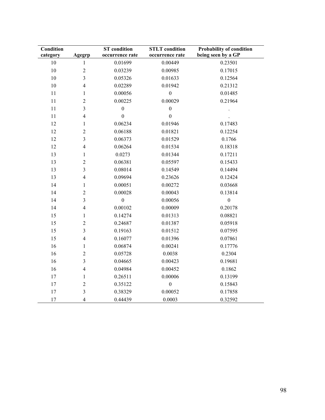| <b>Condition</b><br>category | Agegrp              | <b>ST</b> condition<br>occurrence rate | <b>STLT</b> condition<br>occurrence rate | <b>Probability of condition</b><br>being seen by a GP |
|------------------------------|---------------------|----------------------------------------|------------------------------------------|-------------------------------------------------------|
| $10\,$                       | $\mathbf{1}$        | 0.01699                                | 0.00449                                  | 0.23501                                               |
| $10\,$                       | $\overline{2}$      | 0.03239                                | 0.00985                                  | 0.17015                                               |
| 10                           | 3                   | 0.05326                                | 0.01633                                  | 0.12564                                               |
| 10                           | $\overline{4}$      | 0.02289                                | 0.01942                                  | 0.21312                                               |
| 11                           |                     | 0.00056                                | $\boldsymbol{0}$                         | 0.01485                                               |
| 11                           | 1<br>$\overline{2}$ | 0.00225                                | 0.00029                                  | 0.21964                                               |
| 11                           | 3                   | $\boldsymbol{0}$                       | $\boldsymbol{0}$                         |                                                       |
|                              |                     | $\boldsymbol{0}$                       |                                          |                                                       |
| 11                           | $\overline{4}$      |                                        | $\boldsymbol{0}$                         |                                                       |
| 12                           | 1                   | 0.06234                                | 0.01946                                  | 0.17483                                               |
| 12                           | $\overline{2}$      | 0.06188                                | 0.01821                                  | 0.12254                                               |
| 12                           | 3                   | 0.06373                                | 0.01529                                  | 0.1766                                                |
| 12                           | $\overline{4}$      | 0.06264                                | 0.01534                                  | 0.18318                                               |
| 13                           | $\mathbf{1}$        | 0.0273                                 | 0.01344                                  | 0.17211                                               |
| 13                           | $\sqrt{2}$          | 0.06381                                | 0.05597                                  | 0.15433                                               |
| 13                           | $\overline{3}$      | 0.08014                                | 0.14549                                  | 0.14494                                               |
| 13                           | $\overline{4}$      | 0.09694                                | 0.23626                                  | 0.12424                                               |
| 14                           | 1                   | 0.00051                                | 0.00272                                  | 0.03668                                               |
| 14                           | $\overline{2}$      | 0.00028                                | 0.00043                                  | 0.13814                                               |
| 14                           | 3                   | $\boldsymbol{0}$                       | 0.00056                                  | $\boldsymbol{0}$                                      |
| 14                           | $\overline{4}$      | 0.00102                                | 0.00009                                  | 0.20178                                               |
| 15                           | 1                   | 0.14274                                | 0.01313                                  | 0.08821                                               |
| 15                           | $\overline{c}$      | 0.24687                                | 0.01387                                  | 0.05918                                               |
| 15                           | 3                   | 0.19163                                | 0.01512                                  | 0.07595                                               |
| 15                           | $\overline{4}$      | 0.16077                                | 0.01396                                  | 0.07861                                               |
| 16                           | 1                   | 0.06874                                | 0.00241                                  | 0.17776                                               |
| 16                           | $\sqrt{2}$          | 0.05728                                | 0.0038                                   | 0.2304                                                |
| 16                           | $\overline{3}$      | 0.04665                                | 0.00423                                  | 0.19681                                               |
| 16                           | $\overline{4}$      | 0.04984                                | 0.00452                                  | 0.1862                                                |
| 17                           | 1                   | 0.26511                                | 0.00006                                  | 0.13199                                               |
| 17                           | $\overline{2}$      | 0.35122                                | $\boldsymbol{0}$                         | 0.15843                                               |
| 17                           | $\mathfrak{Z}$      | 0.38329                                | 0.00052                                  | 0.17858                                               |
| 17                           | $\overline{4}$      | 0.44439                                | 0.0003                                   | 0.32592                                               |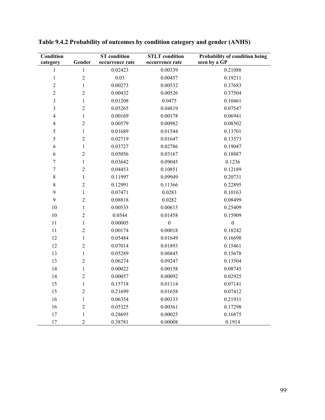| Condition               |                  | <b>ST</b> condition | <b>STLT</b> condition | Probability of condition being |
|-------------------------|------------------|---------------------|-----------------------|--------------------------------|
| category                | Gender           | occurrence rate     | occurrence rate       | seen by a GP                   |
| $\,1$                   | $\mathbf{1}$     | 0.02423             | 0.00339               | 0.21088                        |
| $\,1$                   | $\overline{c}$   | 0.03                | 0.00457               | 0.19211                        |
| $\overline{c}$          | $\mathbf{1}$     | 0.00273             | 0.00532               | 0.37683                        |
| $\overline{2}$          | $\overline{2}$   | 0.00432             | 0.00526               | 0.37504                        |
| $\overline{\mathbf{3}}$ | $\,1$            | 0.01208             | 0.0475                | 0.10461                        |
| 3                       | $\overline{c}$   | 0.05265             | 0.04819               | 0.07547                        |
| $\overline{\mathbf{4}}$ | $\mathbf{1}$     | 0.00169             | 0.00178               | 0.06941                        |
| $\overline{\mathbf{4}}$ | $\overline{c}$   | 0.00579             | 0.00982               | 0.08502                        |
| 5                       | $\mathbf{1}$     | 0.01689             | 0.01544               | 0.13701                        |
| 5                       | $\boldsymbol{2}$ | 0.02719             | 0.01647               | 0.13573                        |
| 6                       | $\,1\,$          | 0.03727             | 0.02786               | 0.19047                        |
| 6                       | $\overline{c}$   | 0.05056             | 0.03167               | 0.18887                        |
| $\boldsymbol{7}$        | $\mathbf{1}$     | 0.03642             | 0.09045               | 0.1236                         |
| $\boldsymbol{7}$        | $\overline{c}$   | 0.04453             | 0.10851               | 0.12189                        |
| 8                       | $\mathbf{1}$     | 0.11997             | 0.09949               | 0.20731                        |
| 8                       | $\overline{2}$   | 0.12991             | 0.11366               | 0.22895                        |
| 9                       | $\,1\,$          | 0.07471             | 0.0283                | 0.10163                        |
| 9                       | $\overline{2}$   | 0.08818             | 0.0282                | 0.08499                        |
| 10                      | $\,1\,$          | 0.00533             | 0.00615               | 0.25409                        |
| $10\,$                  | $\overline{c}$   | 0.0544              | 0.01458               | 0.15909                        |
| $11\,$                  | $\,1\,$          | 0.00005             | $\boldsymbol{0}$      | $\boldsymbol{0}$               |
| $11\,$                  | $\sqrt{2}$       | 0.00174             | 0.00018               | 0.18242                        |
| 12                      | $\,1\,$          | 0.05484             | 0.01649               | 0.16698                        |
| 12                      | $\sqrt{2}$       | 0.07014             | 0.01893               | 0.15461                        |
| 13                      | $\,1\,$          | 0.05289             | 0.06845               | 0.15678                        |
| 13                      | $\overline{c}$   | 0.06274             | 0.09247               | 0.13504                        |
| 14                      | $\mathbf{1}$     | 0.00022             | 0.00158               | 0.08745                        |
| 14                      | $\boldsymbol{2}$ | 0.00057             | 0.00092               | 0.02925                        |
| 15                      | $\,1\,$          | 0.15718             | 0.01114               | 0.07141                        |
| 15                      | $\sqrt{2}$       | 0.21699             | 0.01658               | 0.07412                        |
| 16                      | $\,1\,$          | 0.06354             | 0.00333               | 0.21931                        |
| 16                      | $\overline{c}$   | 0.05325             | 0.00361               | 0.17298                        |
| 17                      | $\mathbf{1}$     | 0.28695             | 0.00025               | 0.16875                        |
| 17                      | $\overline{2}$   | 0.38781             | 0.00008               | 0.1914                         |

**Table 9.4.2 Probability of outcomes by condition category and gender (ANHS)**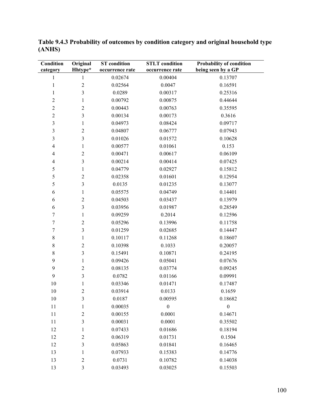| <b>Condition</b><br>category | Original<br>Hhtype* | <b>ST</b> condition<br>occurrence rate | <b>STLT</b> condition<br>occurrence rate | Probability of condition<br>being seen by a GP |
|------------------------------|---------------------|----------------------------------------|------------------------------------------|------------------------------------------------|
| 1                            | $\mathbf{1}$        | 0.02674                                | 0.00404                                  | 0.13707                                        |
| 1                            | $\overline{2}$      | 0.02564                                | 0.0047                                   | 0.16591                                        |
| 1                            | 3                   | 0.0289                                 | 0.00317                                  | 0.25316                                        |
| $\overline{c}$               | 1                   | 0.00792                                | 0.00875                                  | 0.44644                                        |
| $\overline{c}$               | $\overline{c}$      | 0.00443                                | 0.00763                                  | 0.35595                                        |
| $\overline{c}$               | $\mathfrak{Z}$      | 0.00134                                | 0.00173                                  | 0.3616                                         |
| $\mathfrak{Z}$               | $\mathbf{1}$        | 0.04973                                | 0.08424                                  | 0.09717                                        |
| $\mathfrak{Z}$               | $\overline{2}$      | 0.04807                                | 0.06777                                  | 0.07943                                        |
| $\mathfrak{Z}$               | $\mathfrak{Z}$      | 0.01026                                | 0.01572                                  | 0.10628                                        |
| $\overline{4}$               | 1                   | 0.00577                                | 0.01061                                  | 0.153                                          |
| $\overline{4}$               | $\overline{2}$      | 0.00471                                | 0.00617                                  | 0.06109                                        |
| $\overline{\mathcal{A}}$     | 3                   | 0.00214                                | 0.00414                                  | 0.07425                                        |
| 5                            | $\mathbf{1}$        | 0.04779                                | 0.02927                                  | 0.15812                                        |
| 5                            | $\overline{c}$      | 0.02358                                | 0.01601                                  | 0.12954                                        |
| 5                            | $\mathfrak{Z}$      | 0.0135                                 | 0.01235                                  | 0.13077                                        |
| 6                            | 1                   | 0.05575                                | 0.04749                                  | 0.14401                                        |
| 6                            | $\overline{2}$      | 0.04503                                | 0.03437                                  | 0.13979                                        |
| 6                            | $\mathfrak{Z}$      | 0.03956                                | 0.01987                                  | 0.28549                                        |
| $\sqrt{ }$                   | 1                   | 0.09259                                | 0.2014                                   | 0.12596                                        |
| $\boldsymbol{7}$             | $\overline{c}$      | 0.05296                                | 0.13996                                  | 0.11758                                        |
| $\boldsymbol{7}$             | $\mathfrak{Z}$      | 0.01259                                | 0.02685                                  | 0.14447                                        |
| $\,$ $\,$                    | $\mathbf{1}$        | 0.10117                                | 0.11268                                  | 0.18607                                        |
| $\,$ $\,$                    | $\overline{2}$      | 0.10398                                | 0.1033                                   | 0.20057                                        |
| $\,$ $\,$                    | $\mathfrak{Z}$      | 0.15491                                | 0.10871                                  | 0.24195                                        |
| 9                            | 1                   | 0.09426                                | 0.05041                                  | 0.07676                                        |
| 9                            | $\overline{2}$      | 0.08135                                | 0.03774                                  | 0.09245                                        |
| 9                            | 3                   | 0.0782                                 | 0.01166                                  | 0.09991                                        |
| 10                           | 1                   | 0.03346                                | 0.01471                                  | 0.17487                                        |
| 10                           | $\overline{2}$      | 0.03914                                | 0.0133                                   | 0.1659                                         |
| 10                           | 3                   | 0.0187                                 | 0.00595                                  | 0.18682                                        |
| 11                           | 1                   | 0.00035                                | $\boldsymbol{0}$                         | $\boldsymbol{0}$                               |
| 11                           | $\overline{2}$      | 0.00155                                | 0.0001                                   | 0.14671                                        |
| 11                           | 3                   | 0.00031                                | 0.0001                                   | 0.35502                                        |
| 12                           | 1                   | 0.07433                                | 0.01686                                  | 0.18194                                        |
| 12                           | $\overline{c}$      | 0.06319                                | 0.01731                                  | 0.1504                                         |
| 12                           | 3                   | 0.05863                                | 0.01841                                  | 0.16465                                        |
| 13                           | 1                   | 0.07933                                | 0.15383                                  | 0.14776                                        |
| 13                           | $\overline{2}$      | 0.0731                                 | 0.10782                                  | 0.14038                                        |
| 13                           | 3                   | 0.03493                                | 0.03025                                  | 0.15503                                        |

**Table 9.4.3 Probability of outcomes by condition category and original household type (ANHS)**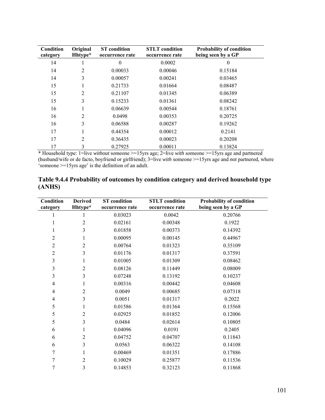| Condition<br>category | Original<br>Hhtype* | <b>ST</b> condition<br>occurrence rate | <b>STLT</b> condition<br>occurrence rate | <b>Probability of condition</b><br>being seen by a GP |
|-----------------------|---------------------|----------------------------------------|------------------------------------------|-------------------------------------------------------|
| 14                    | $\mathbf{I}$        | $\theta$                               | 0.0002                                   | $\theta$                                              |
| 14                    | 2                   | 0.00033                                | 0.00046                                  | 0.15184                                               |
| 14                    | 3                   | 0.00057                                | 0.00241                                  | 0.03465                                               |
| 15                    | 1                   | 0.21733                                | 0.01664                                  | 0.08487                                               |
| 15                    | 2                   | 0.21107                                | 0.01345                                  | 0.06389                                               |
| 15                    | 3                   | 0.15233                                | 0.01361                                  | 0.08242                                               |
| 16                    |                     | 0.06639                                | 0.00544                                  | 0.18761                                               |
| 16                    | 2                   | 0.0498                                 | 0.00353                                  | 0.20725                                               |
| 16                    | 3                   | 0.06588                                | 0.00287                                  | 0.19262                                               |
| 17                    |                     | 0.44354                                | 0.00012                                  | 0.2141                                                |
| 17                    | 2                   | 0.36435                                | 0.00023                                  | 0.20208                                               |
| 17                    | 3                   | 0.27925                                | 0.00011                                  | 0.13824                                               |

\* Household type: 1=live *without* someone >=15yrs age; 2=live *with* someone >=15yrs age and partnered (husband/wife or de facto, boyfriend or girlfriend); 3=live *with* someone >=15yrs age and *not* partnered, where 'someone >=15yrs age' is the definition of an adult.

| Table 9.4.4 Probability of outcomes by condition category and derived household type |  |  |
|--------------------------------------------------------------------------------------|--|--|
| (ANHS)                                                                               |  |  |

| Condition<br>category | <b>Derived</b><br>Hhtype* | <b>ST</b> condition<br>occurrence rate | <b>STLT</b> condition<br>occurrence rate | <b>Probability of condition</b><br>being seen by a GP |
|-----------------------|---------------------------|----------------------------------------|------------------------------------------|-------------------------------------------------------|
| 1                     | 1                         | 0.03023                                | 0.0042                                   | 0.20766                                               |
| 1                     | $\overline{2}$            | 0.02161                                | 0.00348                                  | 0.1922                                                |
| 1                     | 3                         | 0.01858                                | 0.00373                                  | 0.14392                                               |
| 2                     | 1                         | 0.00095                                | 0.00145                                  | 0.44967                                               |
| 2                     | 2                         | 0.00764                                | 0.01323                                  | 0.35109                                               |
| $\overline{2}$        | 3                         | 0.01176                                | 0.01317                                  | 0.37591                                               |
| 3                     | 1                         | 0.01005                                | 0.01309                                  | 0.08462                                               |
| 3                     | $\overline{2}$            | 0.08126                                | 0.11449                                  | 0.08009                                               |
| 3                     | 3                         | 0.07248                                | 0.13192                                  | 0.10237                                               |
| $\overline{4}$        | 1                         | 0.00316                                | 0.00442                                  | 0.04608                                               |
| 4                     | $\overline{2}$            | 0.0049                                 | 0.00685                                  | 0.07318                                               |
| $\overline{4}$        | 3                         | 0.0051                                 | 0.01317                                  | 0.2022                                                |
| 5                     | 1                         | 0.01586                                | 0.01364                                  | 0.15568                                               |
| 5                     | $\overline{2}$            | 0.02925                                | 0.01852                                  | 0.12006                                               |
| 5                     | 3                         | 0.0484                                 | 0.02614                                  | 0.10805                                               |
| 6                     | 1                         | 0.04096                                | 0.0191                                   | 0.2405                                                |
| 6                     | 2                         | 0.04752                                | 0.04707                                  | 0.11843                                               |
| 6                     | 3                         | 0.0563                                 | 0.06322                                  | 0.14108                                               |
| 7                     | 1                         | 0.00469                                | 0.01351                                  | 0.17886                                               |
| 7                     | $\overline{2}$            | 0.10029                                | 0.25877                                  | 0.11536                                               |
| 7                     | 3                         | 0.14853                                | 0.32123                                  | 0.11868                                               |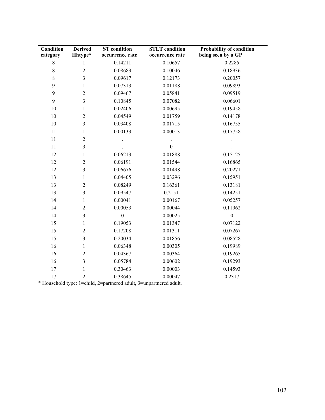| Condition   | <b>Derived</b> | <b>ST</b> condition | <b>STLT</b> condition | Probability of condition |
|-------------|----------------|---------------------|-----------------------|--------------------------|
| category    | Hhtype*        | occurrence rate     | occurrence rate       | being seen by a GP       |
| $\,8\,$     | $\mathbf{1}$   | 0.14211             | 0.10657               | 0.2285                   |
| $\,$ 8 $\,$ | $\overline{c}$ | 0.08683             | 0.10046               | 0.18936                  |
| 8           | 3              | 0.09617             | 0.12173               | 0.20057                  |
| 9           | $\mathbf{1}$   | 0.07313             | 0.01188               | 0.09893                  |
| 9           | $\overline{2}$ | 0.09467             | 0.05841               | 0.09519                  |
| 9           | 3              | 0.10845             | 0.07082               | 0.06601                  |
| 10          | $\mathbf{1}$   | 0.02406             | 0.00695               | 0.19458                  |
| 10          | $\overline{2}$ | 0.04549             | 0.01759               | 0.14178                  |
| 10          | 3              | 0.03408             | 0.01715               | 0.16755                  |
| 11          | 1              | 0.00133             | 0.00013               | 0.17758                  |
| 11          | $\overline{2}$ |                     |                       |                          |
| 11          | 3              |                     | $\boldsymbol{0}$      |                          |
| 12          | 1              | 0.06213             | 0.01888               | 0.15125                  |
| 12          | $\overline{c}$ | 0.06191             | 0.01544               | 0.16865                  |
| 12          | 3              | 0.06676             | 0.01498               | 0.20271                  |
| 13          | $\mathbf{1}$   | 0.04405             | 0.03296               | 0.15951                  |
| 13          | $\overline{2}$ | 0.08249             | 0.16361               | 0.13181                  |
| 13          | 3              | 0.09547             | 0.2151                | 0.14251                  |
| 14          | $\mathbf{1}$   | 0.00041             | 0.00167               | 0.05257                  |
| 14          | $\overline{c}$ | 0.00053             | 0.00044               | 0.11962                  |
| 14          | 3              | $\boldsymbol{0}$    | 0.00025               | $\mathbf{0}$             |
| 15          | $\mathbf{1}$   | 0.19053             | 0.01347               | 0.07122                  |
| 15          | $\overline{c}$ | 0.17208             | 0.01311               | 0.07267                  |
| 15          | 3              | 0.20034             | 0.01856               | 0.08528                  |
| 16          | 1              | 0.06348             | 0.00305               | 0.19989                  |
| 16          | $\overline{2}$ | 0.04367             | 0.00364               | 0.19265                  |
| 16          | 3              | 0.05784             | 0.00602               | 0.19293                  |
| 17          | 1              | 0.30463             | 0.00003               | 0.14593                  |
| 17          | $\overline{c}$ | 0.38645             | 0.00047               | 0.2317                   |

\* Household type: 1=child, 2=partnered adult, 3=unpartnered adult.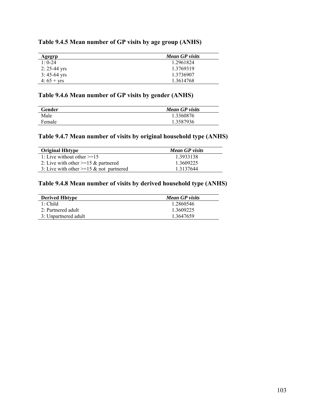## **Table 9.4.5 Mean number of GP visits by age group (ANHS)**

| Agegrp           | <b>Mean GP</b> visits |
|------------------|-----------------------|
| $1 \cdot 0 - 24$ | 1.2961824             |
| $2: 25-44$ yrs   | 1.3769319             |
| $3:45-64$ yrs    | 1.3736907             |
| 4: $65 + yrs$    | 1.3614768             |

# **Table 9.4.6 Mean number of GP visits by gender (ANHS)**

| Gender | <b>Mean GP</b> visits |
|--------|-----------------------|
| Male   | 1.3360876             |
| Female | 1.3587936             |

# **Table 9.4.7 Mean number of visits by original household type (ANHS)**

| <b>Original Hhtype</b>                     | <b>Mean GP</b> visits |
|--------------------------------------------|-----------------------|
| 1: Live without other $\geq 15$            | 1.3933138             |
| 2: Live with other $>=15 \&$ partnered     | 1.3609225             |
| 3: Live with other $>=15 \&$ not partnered | 1 3 1 3 7 6 4 4       |

# **Table 9.4.8 Mean number of visits by derived household type (ANHS)**

| <b>Derived Hhtype</b> | <b>Mean GP</b> visits |
|-----------------------|-----------------------|
| $1 \cdot$ Child       | 1 2860546             |
| 2: Partnered adult    | 1 3609225             |
| 3: Unpartnered adult  | 1 3647659             |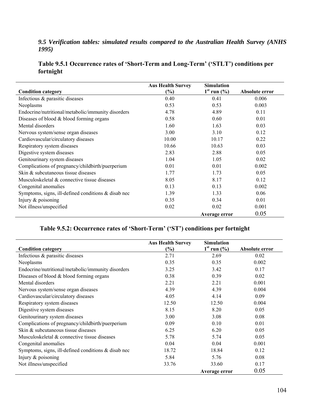## *9.5 Verification tables: simulated results compared to the Australian Health Survey (ANHS 1995)*

# **Table 9.5.1 Occurrence rates of 'Short-Term and Long-Term' ('STLT') conditions per fortnight**

|                                                     | <b>Aus Health Survey</b> | <b>Simulation</b>         |                |
|-----------------------------------------------------|--------------------------|---------------------------|----------------|
| <b>Condition category</b>                           | (%)                      | $1st$ run $(\frac{9}{6})$ | Absolute error |
| Infectious & parasitic diseases                     | 0.40                     | 0.41                      | 0.006          |
| Neoplasms                                           | 0.53                     | 0.53                      | 0.003          |
| Endocrine/nutritional/metabolic/immunity disorders  | 4.78                     | 4.89                      | 0.11           |
| Diseases of blood $&$ blood forming organs          | 0.58                     | 0.60                      | 0.01           |
| Mental disorders                                    | 1.60                     | 1.63                      | 0.03           |
| Nervous system/sense organ diseases                 | 3.00                     | 3.10                      | 0.12           |
| Cardiovascular/circulatory diseases                 | 10.00                    | 10.17                     | 0.22           |
| Respiratory system diseases                         | 10.66                    | 10.63                     | 0.03           |
| Digestive system diseases                           | 2.83                     | 2.88                      | 0.05           |
| Genitourinary system diseases                       | 1.04                     | 1.05                      | 0.02           |
| Complications of pregnancy/childbirth/puerperium    | 0.01                     | 0.01                      | 0.002          |
| Skin & subcutaneous tissue diseases                 | 1.77                     | 1.73                      | 0.05           |
| Musculoskeletal & connective tissue diseases        | 8.05                     | 8.17                      | 0.12           |
| Congenital anomalies                                | 0.13                     | 0.13                      | 0.002          |
| Symptoms, signs, ill-defined conditions & disab nec | 1.39                     | 1.33                      | 0.06           |
| Injury & poisoning                                  | 0.35                     | 0.34                      | 0.01           |
| Not illness/unspecified                             | 0.02                     | 0.02                      | 0.001          |
|                                                     |                          | Average error             | 0.05           |

# **Table 9.5.2: Occurrence rates of 'Short-Term' ('ST') conditions per fortnight**

|                                                        | <b>Aus Health Survey</b> | <b>Simulation</b>         |                |
|--------------------------------------------------------|--------------------------|---------------------------|----------------|
| <b>Condition category</b>                              | $(\%)$                   | $1st$ run $(\frac{9}{6})$ | Absolute error |
| Infectious & parasitic diseases                        | 2.71                     | 2.69                      | 0.02           |
| Neoplasms                                              | 0.35                     | 0.35                      | 0.002          |
| Endocrine/nutritional/metabolic/immunity disorders     | 3.25                     | 3.42                      | 0.17           |
| Diseases of blood $&$ blood forming organs             | 0.38                     | 0.39                      | 0.02           |
| Mental disorders                                       | 2.21                     | 2.21                      | 0.001          |
| Nervous system/sense organ diseases                    | 4.39                     | 4.39                      | 0.004          |
| Cardiovascular/circulatory diseases                    | 4.05                     | 4.14                      | 0.09           |
| Respiratory system diseases                            | 12.50                    | 12.50                     | 0.004          |
| Digestive system diseases                              | 8.15                     | 8.20                      | 0.05           |
| Genitourinary system diseases                          | 3.00                     | 3.08                      | 0.08           |
| Complications of pregnancy/childbirth/puerperium       | 0.09                     | 0.10                      | 0.01           |
| Skin & subcutaneous tissue diseases                    | 6.25                     | 6.20                      | 0.05           |
| Musculoskeletal & connective tissue diseases           | 5.78                     | 5.74                      | 0.05           |
| Congenital anomalies                                   | 0.04                     | 0.04                      | 0.001          |
| Symptoms, signs, ill-defined conditions $\&$ disab nec | 18.72                    | 18.84                     | 0.12           |
| Injury $&$ poisoning                                   | 5.84                     | 5.76                      | 0.08           |
| Not illness/unspecified                                | 33.76                    | 33.60                     | 0.17           |
|                                                        |                          | Average error             | 0.05           |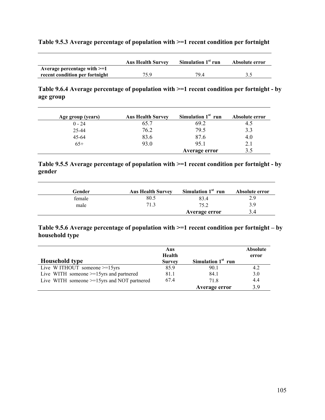#### **Table 9.5.3 Average percentage of population with >=1 recent condition per fortnight**

|                                | <b>Aus Health Survey</b> | Simulation $1st$ run | Absolute error |
|--------------------------------|--------------------------|----------------------|----------------|
| Average percentage with $>=1$  |                          |                      |                |
| recent condition per fortnight | 75.9                     | 794                  |                |

**Table 9.6.4 Average percentage of population with >=1 recent condition per fortnight - by age group** 

| Age group (years) | <b>Aus Health Survey</b> | Simulation $1st$ run | Absolute error |
|-------------------|--------------------------|----------------------|----------------|
| $0 - 24$          | 65.7                     | 69.2                 | 4.5            |
| 25-44             | 76.2                     | 79.5                 | 3.3            |
| 45-64             | 83.6                     | 87.6                 | 4.0            |
| $65+$             | 93.0                     | 95 1                 | 2.1            |
|                   |                          | Average error        |                |

## **Table 9.5.5 Average percentage of population with >=1 recent condition per fortnight - by gender**

| Gender | <b>Aus Health Survey</b> | Simulation $1st$ run | Absolute error |
|--------|--------------------------|----------------------|----------------|
| female | 80.5                     | 83.4                 | 2.9            |
| male   | 71.3                     | 752                  | 3.9            |
|        |                          | Average error        | 3.4            |

#### **Table 9.5.6 Average percentage of population with >=1 recent condition per fortnight – by household type**

|                                                | Aus<br>Health |                      | <b>Absolute</b><br>error |
|------------------------------------------------|---------------|----------------------|--------------------------|
| <b>Household type</b>                          | <b>Survey</b> | Simulation $1st$ run |                          |
| Live WITHOUT someone >=15yrs                   | 85.9          | 90.1                 | 4.2                      |
| Live WITH someone $>=15$ yrs and partnered     | 81.1          | 84.1                 | 3.0                      |
| Live WITH someone $>=15$ yrs and NOT partnered | 674           | 718                  | 4.4                      |
|                                                |               | Average error        | 3.9                      |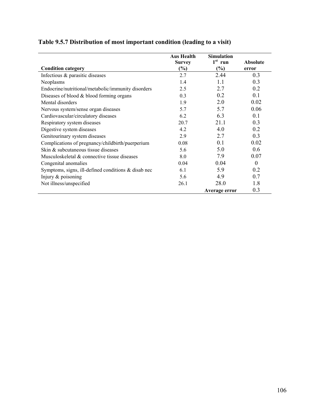|                                                        | <b>Aus Health</b> | <b>Simulation</b> |                 |
|--------------------------------------------------------|-------------------|-------------------|-----------------|
|                                                        | <b>Survey</b>     | $1st$ run         | <b>Absolute</b> |
| <b>Condition category</b>                              | (%)               | (%)               | error           |
| Infectious & parasitic diseases                        | 2.7               | 2.44              | 0.3             |
| Neoplasms                                              | 1.4               | 1.1               | 0.3             |
| Endocrine/nutritional/metabolic/immunity disorders     | 2.5               | 2.7               | 0.2             |
| Diseases of blood $&$ blood forming organs             | 0.3               | 0.2               | 0.1             |
| Mental disorders                                       | 1.9               | 2.0               | 0.02            |
| Nervous system/sense organ diseases                    | 5.7               | 5.7               | 0.06            |
| Cardiovascular/circulatory diseases                    | 6.2               | 6.3               | 0.1             |
| Respiratory system diseases                            | 20.7              | 21.1              | 0.3             |
| Digestive system diseases                              | 4.2               | 4.0               | 0.2             |
| Genitourinary system diseases                          | 2.9               | 2.7               | 0.3             |
| Complications of pregnancy/childbirth/puerperium       | 0.08              | 0.1               | 0.02            |
| Skin & subcutaneous tissue diseases                    | 5.6               | 5.0               | 0.6             |
| Musculoskeletal & connective tissue diseases           | 8.0               | 7.9               | 0.07            |
| Congenital anomalies                                   | 0.04              | 0.04              | $\theta$        |
| Symptoms, signs, ill-defined conditions $\&$ disab nec | 6.1               | 5.9               | 0.2             |
| Injury & poisoning                                     | 5.6               | 4.9               | 0.7             |
| Not illness/unspecified                                | 26.1              | 28.0              | 1.8             |
|                                                        |                   | Average error     | 0.3             |

# **Table 9.5.7 Distribution of most important condition (leading to a visit)**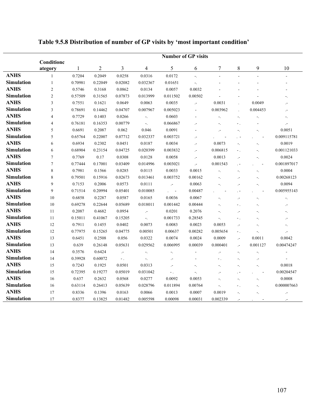|                   | <b>Number of GP visits</b> |         |                |          |                            |                            |                          |                          |                            |                            |                            |
|-------------------|----------------------------|---------|----------------|----------|----------------------------|----------------------------|--------------------------|--------------------------|----------------------------|----------------------------|----------------------------|
|                   | Conditione<br>ategory      | 1       | $\overline{2}$ | 3        | 4                          | 5                          | 6                        | 7                        | 8                          | 9                          | 10                         |
| <b>ANHS</b>       | $\mathbf{1}$               | 0.7204  | 0.2049         | 0.0258   | 0.0316                     | 0.0172                     | $\mathbb{Z}_2$           | L,                       |                            | L.                         |                            |
| <b>Simulation</b> | $\mathbf{1}$               | 0.70981 | 0.22049        | 0.02082  | 0.032367                   | 0.01651                    | $\overline{a}$           |                          |                            |                            |                            |
| <b>ANHS</b>       | $\overline{2}$             | 0.5746  | 0.3168         | 0.0862   | 0.0134                     | 0.0057                     | 0.0032                   |                          |                            |                            |                            |
| <b>Simulation</b> | $\overline{2}$             | 0.57509 | 0.31565        | 0.07873  | 0.013999                   | 0.011502                   | 0.00502                  |                          |                            |                            | $\overline{\phantom{0}}$   |
| <b>ANHS</b>       | 3                          | 0.7551  | 0.1621         | 0.0649   | 0.0063                     | 0.0035                     | $\cdot$                  | 0.0031                   |                            | 0.0049                     | $\overline{a}$             |
| <b>Simulation</b> | 3                          | 0.78691 | 0.14462        | 0.04707  | 0.007967                   | 0.005023                   | $\overline{\phantom{a}}$ | 0.003962                 |                            | 0.004453                   | г.                         |
| <b>ANHS</b>       | $\overline{4}$             | 0.7729  | 0.1403         | 0.0266   | $\overline{\phantom{a}}$ . | 0.0603                     |                          | Ξ.                       | $\overline{a}$ .           | $\overline{a}$             | Ξ.                         |
| Simulation        | $\overline{4}$             | 0.76181 | 0.16353        | 0.00779  | $\overline{\mathcal{L}}$   | 0.066867                   | $\cdot$ -                | ۰.                       |                            |                            | г,                         |
| <b>ANHS</b>       | 5                          | 0.6691  | 0.2087         | 0.062    | 0.046                      | 0.0091                     |                          |                          |                            | ۰.                         | 0.0051                     |
| Simulation        | 5                          | 0.65764 | 0.22007        | 0.07712  | 0.032337                   | 0.003721                   | $\cdot$ -                |                          |                            |                            | 0.009115781                |
| <b>ANHS</b>       | 6                          | 0.6934  | 0.2302         | 0.0451   | 0.0187                     | 0.0034                     | $\cdot$                  | 0.0073                   |                            | $\overline{a}$             | 0.0019                     |
| <b>Simulation</b> | 6                          | 0.68904 | 0.23154        | 0.04725  | 0.020399                   | 0.003832                   | $\cdot$                  | 0.006815                 |                            | $\overline{a}$             | 0.001121033                |
| <b>ANHS</b>       | 7                          | 0.7769  | 0.17           | 0.0308   | 0.0128                     | 0.0058                     | $\cdot$                  | 0.0013                   |                            | ۰.                         | 0.0024                     |
| <b>Simulation</b> | $\overline{7}$             | 0.77444 | 0.17001        | 0.03409  | 0.014996                   | 0.003021                   | $\cdot$                  | 0.001543                 |                            |                            | 0.001897017                |
| <b>ANHS</b>       | 8                          | 0.7981  | 0.1566         | 0.0285   | 0.0115                     | 0.0033                     | 0.0015                   | $\overline{a}$           |                            | $\overline{a}$             | 0.0004                     |
| <b>Simulation</b> | 8                          | 0.79501 | 0.15916        | 0.02673  | 0.013461                   | 0.003752                   | 0.00162                  |                          |                            | $\overline{a}$             | 0.00268123                 |
| <b>ANHS</b>       | 9                          | 0.7153  | 0.2006         | 0.0573   | 0.0111                     | $\cdot$                    | 0.0063                   |                          | $\cdot$ -                  | $\overline{a}$             | 0.0094                     |
| <b>Simulation</b> | 9                          | 0.71514 | 0.20994        | 0.05401  | 0.010085                   | $\sim$ $-$                 | 0.00487                  |                          |                            |                            | 0.005955143                |
| <b>ANHS</b>       | 10                         | 0.6858  | 0.2287         | 0.0587   | 0.0165                     | 0.0036                     | 0.0067                   |                          |                            | $\overline{a}$             | $\overline{\phantom{a}}$ . |
| <b>Simulation</b> | 10                         | 0.69278 | 0.22644        | 0.05689  | 0.018011                   | 0.001442                   | 0.00444                  | $\overline{\phantom{0}}$ |                            | Ξ.                         | $\cdot$                    |
| <b>ANHS</b>       | 11                         | 0.2087  | 0.4682         | 0.0954   | $\cdot$                    | 0.0201                     | 0.2076                   | ۰.                       | $\cdot$ -                  | ۰.                         | ۰.                         |
| Simulation        | 11                         | 0.15011 | 0.41067        | 0.15205  | $\mathbb{Z}_2$             | 0.001733                   | 0.28545                  | $\overline{a}$           |                            | ۰.                         | $\cdot$                    |
| <b>ANHS</b>       | 12                         | 0.7911  | 0.1455         | 0.0402   | 0.0073                     | 0.0083                     | 0.0023                   | 0.0053                   | $\cdot$                    | $\overline{a}$ .           | Ξ.                         |
| <b>Simulation</b> | 12                         | 0.77975 | 0.15265        | 0.04775  | 0.00501                    | 0.00637                    | 0.00282                  | 0.005654                 | $\blacksquare$             | $\overline{\phantom{a}}$ . | $\cdot$                    |
| <b>ANHS</b>       | 13                         | 0.6451  | 0.2508         | 0.056    | 0.0322                     | 0.0074                     | 0.0024                   | 0.0009                   | $\cdot$                    | 0.0011                     | 0.0042                     |
| <b>Simulation</b> | 13                         | 0.639   | 0.26148        | 0.05631  | 0.029562                   | 0.006995                   | 0.00039                  | 0.000401                 | $\cdot$                    | 0.001127                   | 0.00474247                 |
| <b>ANHS</b>       | 14                         | 0.3576  | 0.6424         | $\cdot$  | $\overline{a}$             | $\overline{\phantom{a}}$ . |                          | Н,                       | $\overline{\phantom{a}}$ . | $\overline{a}$ .           | $\overline{\phantom{a}}$   |
| <b>Simulation</b> | 14                         | 0.39928 | 0.60072        | $\sim$ . | $\overline{\phantom{a}}$ . | $\overline{a}$             |                          |                          | $\blacksquare$             | $\cdot$ -                  | $\overline{a}$             |
| <b>ANHS</b>       | 15                         | 0.7243  | 0.1925         | 0.0501   | 0.0313                     | $\overline{a}$             | $\blacksquare$           | $\blacksquare$           | $\sim$ .                   | $\overline{a}$             | 0.0018                     |
| <b>Simulation</b> | 15                         | 0.72395 | 0.19277        | 0.05019  | 0.031042                   | $\blacksquare$ .           | $\overline{a}$           | $\overline{a}$           |                            |                            | 0.00204547                 |
| <b>ANHS</b>       | 16                         | 0.637   | 0.2632         | 0.0568   | 0.0277                     | 0.0092                     | 0.0053                   | Ξ.                       | $\blacksquare$             | ۰.                         | 0.0008                     |
| <b>Simulation</b> | 16                         | 0.63114 | 0.26413        | 0.05639  | 0.028796                   | 0.011894                   | 0.00764                  | Ξ.                       |                            | $\overline{a}$             | 0.000007663                |
| <b>ANHS</b>       | 17                         | 0.8336  | 0.1396         | 0.0163   | 0.0066                     | 0.0013                     | 0.0007                   | 0.0019                   | $\sim$                     | $\overline{a}$             | $\cdot$                    |
| <b>Simulation</b> | 17                         | 0.8377  | 0.13825        | 0.01482  | 0.005598                   | 0.00098                    | 0.00031                  | 0.002339                 | $\cdot$ -                  | $\overline{\phantom{a}}$   | $\overline{a}$             |

# **Table 9.5.8 Distribution of number of GP visits by 'most important condition'**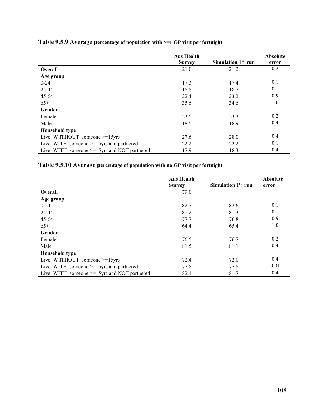|                                                | <b>Aus Health</b> |                                | <b>Absolute</b> |
|------------------------------------------------|-------------------|--------------------------------|-----------------|
|                                                | <b>Survey</b>     | Simulation 1 <sup>st</sup> run | error           |
| <b>Overall</b>                                 | 21.0              | 21.2                           | 0.2             |
| Age group                                      |                   |                                |                 |
| $0 - 24$                                       | 17.3              | 17.4                           | 0.1             |
| 25-44                                          | 18.8              | 18.7                           | 0.1             |
| 45-64                                          | 22.4              | 23.2                           | 0.9             |
| $65+$                                          | 35.6              | 34.6                           | 1.0             |
| Gender                                         |                   |                                |                 |
| Female                                         | 23.5              | 23.3                           | 0.2             |
| Male                                           | 18.5              | 18.9                           | 0.4             |
| <b>Household type</b>                          |                   |                                |                 |
| Live WITHOUT someone $>=15$ yrs                | 27.6              | 28.0                           | 0.4             |
| Live WITH someone $>=15$ yrs and partnered     | 22.2              | 22.2                           | 0.1             |
| Live WITH someone $>=15$ yrs and NOT partnered | 17.9              | 18.3                           | 0.4             |

# **Table 9.5.9 Average percentage of population with >=1 GP visit per fortnight**

# **Table 9.5.10 Average percentage of population with no GP visit per fortnight**

|                                                | <b>Aus Health</b> |                                | Absolute |
|------------------------------------------------|-------------------|--------------------------------|----------|
|                                                | <b>Survey</b>     | Simulation 1 <sup>st</sup> run | error    |
| <b>Overall</b>                                 | 79.0              |                                |          |
| Age group                                      |                   |                                |          |
| $0 - 24$                                       | 82.7              | 82.6                           | 0.1      |
| 25-44                                          | 81.2              | 81.3                           | 0.1      |
| 45-64                                          | 77.7              | 76.8                           | 0.9      |
| $65+$                                          | 64.4              | 65.4                           | 1.0      |
| Gender                                         |                   |                                |          |
| Female                                         | 76.5              | 76.7                           | 0.2      |
| Male                                           | 81.5              | 81.1                           | 0.4      |
| <b>Household type</b>                          |                   |                                |          |
| Live WITHOUT someone $>=15$ yrs                | 72.4              | 72.0                           | 0.4      |
| Live WITH someone $>=15$ yrs and partnered     | 77.8              | 77.8                           | 0.01     |
| Live WITH someone $>=15$ yrs and NOT partnered | 82.1              | 81.7                           | 0.4      |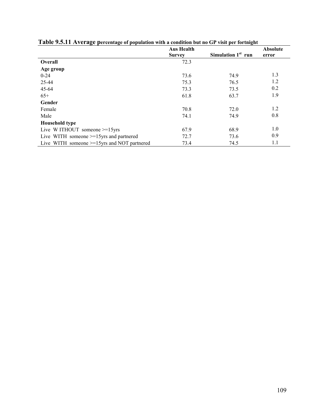| <u>t were storted that the performance of population with a condition out no Off and performing in</u> | <b>Aus Health</b> |                                | Absolute |
|--------------------------------------------------------------------------------------------------------|-------------------|--------------------------------|----------|
|                                                                                                        | <b>Survey</b>     | Simulation 1 <sup>st</sup> run | error    |
| Overall                                                                                                | 72.3              |                                |          |
| Age group                                                                                              |                   |                                |          |
| $0 - 24$                                                                                               | 73.6              | 74.9                           | 1.3      |
| 25-44                                                                                                  | 75.3              | 76.5                           | 1.2      |
| 45-64                                                                                                  | 73.3              | 73.5                           | 0.2      |
| $65+$                                                                                                  | 61.8              | 63.7                           | 1.9      |
| Gender                                                                                                 |                   |                                |          |
| Female                                                                                                 | 70.8              | 72.0                           | 1.2      |
| Male                                                                                                   | 74.1              | 74.9                           | 0.8      |
| <b>Household type</b>                                                                                  |                   |                                |          |
| Live WITHOUT someone $>=15$ yrs                                                                        | 67.9              | 68.9                           | 1.0      |
| Live WITH someone $>=15$ yrs and partnered                                                             | 72.7              | 73.6                           | 0.9      |
| Live WITH someone $>=15$ yrs and NOT partnered                                                         | 73.4              | 74.5                           | 1.1      |

**Table 9.5.11 Average percentage of population with a condition but no GP visit per fortnight**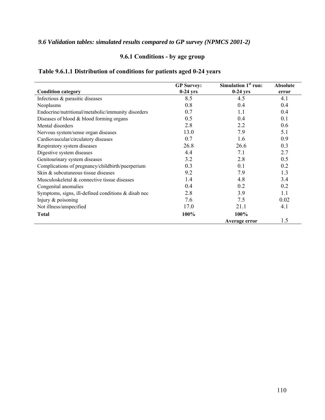## *9.6 Validation tables: simulated results compared to GP survey (NPMCS 2001-2)*

## **9.6.1 Conditions - by age group**

## **Table 9.6.1.1 Distribution of conditions for patients aged 0-24 years**

|                                                        | <b>GP</b> Survey: | Simulation 1 <sup>st</sup> run: | <b>Absolute</b> |
|--------------------------------------------------------|-------------------|---------------------------------|-----------------|
| <b>Condition category</b>                              | $0-24$ yrs        | $0-24$ yrs                      | error           |
| Infectious & parasitic diseases                        | 8.5               | 4.5                             | 4.1             |
| Neoplasms                                              | 0.8               | 0.4                             | 0.4             |
| Endocrine/nutritional/metabolic/immunity disorders     | 0.7               | 1.1                             | 0.4             |
| Diseases of blood $&$ blood forming organs             | 0.5               | 0.4                             | 0.1             |
| Mental disorders                                       | 2.8               | 2.2                             | 0.6             |
| Nervous system/sense organ diseases                    | 13.0              | 7.9                             | 5.1             |
| Cardiovascular/circulatory diseases                    | 0.7               | 1.6                             | 0.9             |
| Respiratory system diseases                            | 26.8              | 26.6                            | 0.3             |
| Digestive system diseases                              | 4.4               | 7.1                             | 2.7             |
| Genitourinary system diseases                          | 3.2               | 2.8                             | 0.5             |
| Complications of pregnancy/childbirth/puerperium       | 0.3               | 0.1                             | 0.2             |
| Skin & subcutaneous tissue diseases                    | 9.2               | 7.9                             | 1.3             |
| Musculoskeletal & connective tissue diseases           | 1.4               | 4.8                             | 3.4             |
| Congenital anomalies                                   | 0.4               | 0.2                             | 0.2             |
| Symptoms, signs, ill-defined conditions $\&$ disab nec | 2.8               | 3.9                             | 1.1             |
| Injury $&$ poisoning                                   | 7.6               | 7.5                             | 0.02            |
| Not illness/unspecified                                | 17.0              | 21.1                            | 4.1             |
| <b>Total</b>                                           | 100%              | 100%                            |                 |
|                                                        |                   | Average error                   | 1.5             |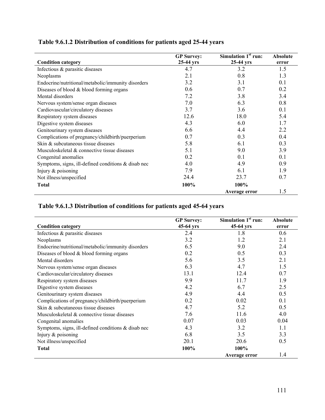# **Table 9.6.1.2 Distribution of conditions for patients aged 25-44 years**

| <b>Condition category</b>                              | <b>GP</b> Survey:<br>$25-44$ yrs | Simulation $1st$ run:<br>25-44 yrs | <b>Absolute</b><br>error |
|--------------------------------------------------------|----------------------------------|------------------------------------|--------------------------|
| Infectious & parasitic diseases                        | 4.7                              | 3.2                                | 1.5                      |
| Neoplasms                                              | 2.1                              | 0.8                                | 1.3                      |
| Endocrine/nutritional/metabolic/immunity disorders     | 3.2                              | 3.1                                | 0.1                      |
| Diseases of blood $&$ blood forming organs             | 0.6                              | 0.7                                | 0.2                      |
| Mental disorders                                       | 7.2                              | 3.8                                | 3.4                      |
| Nervous system/sense organ diseases                    | 7.0                              | 6.3                                | 0.8                      |
| Cardiovascular/circulatory diseases                    | 3.7                              | 3.6                                | 0.1                      |
| Respiratory system diseases                            | 12.6                             | 18.0                               | 5.4                      |
| Digestive system diseases                              | 4.3                              | 6.0                                | 1.7                      |
| Genitourinary system diseases                          | 6.6                              | 4.4                                | 2.2                      |
| Complications of pregnancy/childbirth/puerperium       | 0.7                              | 0.3                                | 0.4                      |
| Skin & subcutaneous tissue diseases                    | 5.8                              | 6.1                                | 0.3                      |
| Musculoskeletal & connective tissue diseases           | 5.1                              | 9.0                                | 3.9                      |
| Congenital anomalies                                   | 0.2                              | 0.1                                | 0.1                      |
| Symptoms, signs, ill-defined conditions $\&$ disab nec | 4.0                              | 4.9                                | 0.9                      |
| Injury $&$ poisoning                                   | 7.9                              | 6.1                                | 1.9                      |
| Not illness/unspecified                                | 24.4                             | 23.7                               | 0.7                      |
| <b>Total</b>                                           | 100%                             | 100%                               |                          |
|                                                        |                                  | Average error                      | 1.5                      |

## **Table 9.6.1.3 Distribution of conditions for patients aged 45-64 years**

| <b>Condition category</b>                              | <b>GP</b> Survey:<br>45-64 yrs | Simulation $1st$ run:<br>45-64 yrs | <b>Absolute</b><br>error |
|--------------------------------------------------------|--------------------------------|------------------------------------|--------------------------|
| Infectious & parasitic diseases                        | 2.4                            | 1.8                                | 0.6                      |
| Neoplasms                                              | 3.2                            | 1.2                                | 2.1                      |
| Endocrine/nutritional/metabolic/immunity disorders     | 6.5                            | 9.0                                | 2.4                      |
| Diseases of blood $&$ blood forming organs             | 0.2                            | 0.5                                | 0.3                      |
| Mental disorders                                       | 5.6                            | 3.5                                | 2.1                      |
| Nervous system/sense organ diseases                    | 6.3                            | 4.7                                | 1.5                      |
| Cardiovascular/circulatory diseases                    | 13.1                           | 12.4                               | 0.7                      |
| Respiratory system diseases                            | 9.9                            | 11.7                               | 1.9                      |
| Digestive system diseases                              | 4.2                            | 6.7                                | 2.5                      |
| Genitourinary system diseases                          | 4.9                            | 4.4                                | 0.5                      |
| Complications of pregnancy/childbirth/puerperium       | 0.2                            | 0.02                               | 0.1                      |
| Skin & subcutaneous tissue diseases                    | 4.7                            | 5.2                                | 0.5                      |
| Musculoskeletal & connective tissue diseases           | 7.6                            | 11.6                               | 4.0                      |
| Congenital anomalies                                   | 0.07                           | 0.03                               | 0.04                     |
| Symptoms, signs, ill-defined conditions $\&$ disab nec | 4.3                            | 3.2                                | $1\,1$                   |
| Injury & poisoning                                     | 6.8                            | 3.5                                | 3.3                      |
| Not illness/unspecified                                | 20.1                           | 20.6                               | 0.5                      |
| <b>Total</b>                                           | 100%                           | 100%                               |                          |
|                                                        |                                | Average error                      | 1.4                      |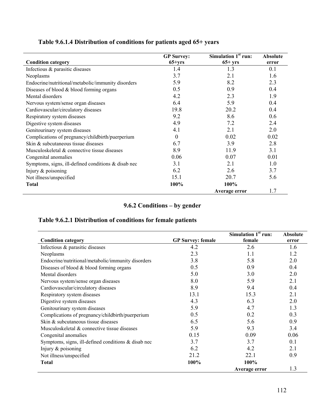## **Table 9.6.1.4 Distribution of conditions for patients aged 65+ years**

|                                                        | <b>GP</b> Survey: | Simulation 1 <sup>st</sup> run: | <b>Absolute</b> |
|--------------------------------------------------------|-------------------|---------------------------------|-----------------|
| <b>Condition category</b>                              | $65+yrs$          | $65+ yrs$                       | error           |
| Infectious & parasitic diseases                        | 1.4               | 1.3                             | 0.1             |
| Neoplasms                                              | 3.7               | 2.1                             | 1.6             |
| Endocrine/nutritional/metabolic/immunity disorders     | 5.9               | 8.2                             | 2.3             |
| Diseases of blood & blood forming organs               | 0.5               | 0.9                             | 0.4             |
| Mental disorders                                       | 4.2               | 2.3                             | 1.9             |
| Nervous system/sense organ diseases                    | 6.4               | 5.9                             | 0.4             |
| Cardiovascular/circulatory diseases                    | 19.8              | 20.2                            | 0.4             |
| Respiratory system diseases                            | 9.2               | 8.6                             | 0.6             |
| Digestive system diseases                              | 4.9               | 7.2                             | 2.4             |
| Genitourinary system diseases                          | 4.1               | 2.1                             | 2.0             |
| Complications of pregnancy/childbirth/puerperium       | $\theta$          | 0.02                            | 0.02            |
| Skin & subcutaneous tissue diseases                    | 6.7               | 3.9                             | 2.8             |
| Musculoskeletal & connective tissue diseases           | 8.9               | 11.9                            | 3.1             |
| Congenital anomalies                                   | 0.06              | 0.07                            | 0.01            |
| Symptoms, signs, ill-defined conditions $\&$ disab nec | 3.1               | 2.1                             | 1.0             |
| Injury $&$ poisoning                                   | 6.2               | 2.6                             | 3.7             |
| Not illness/unspecified                                | 15.1              | 20.7                            | 5.6             |
| <b>Total</b>                                           | 100%              | 100%                            |                 |
|                                                        |                   | Average error                   | 1.7             |

## **9.6.2 Conditions – by gender**

## **Table 9.6.2.1 Distribution of conditions for female patients**

|                                                        |                          | Simulation 1 <sup>st</sup> run: | <b>Absolute</b> |
|--------------------------------------------------------|--------------------------|---------------------------------|-----------------|
| <b>Condition category</b>                              | <b>GP Survey: female</b> | female                          | error           |
| Infectious & parasitic diseases                        | 4.2                      | 2.6                             | 1.6             |
| Neoplasms                                              | 2.3                      | 1.1                             | 1.2             |
| Endocrine/nutritional/metabolic/immunity disorders     | 3.8                      | 5.8                             | 2.0             |
| Diseases of blood $&$ blood forming organs             | 0.5                      | 0.9                             | 0.4             |
| Mental disorders                                       | 5.0                      | 3.0                             | 2.0             |
| Nervous system/sense organ diseases                    | 8.0                      | 5.9                             | 2.1             |
| Cardiovascular/circulatory diseases                    | 8.9                      | 9.4                             | 0.4             |
| Respiratory system diseases                            | 13.1                     | 15.3                            | 2.1             |
| Digestive system diseases                              | 4.3                      | 6.3                             | 2.0             |
| Genitourinary system diseases                          | 5.9                      | 4.7                             | 1.3             |
| Complications of pregnancy/childbirth/puerperium       | 0.5                      | 0.2                             | 0.3             |
| Skin & subcutaneous tissue diseases                    | 6.5                      | 5.6                             | 0.9             |
| Musculoskeletal & connective tissue diseases           | 5.9                      | 9.3                             | 3.4             |
| Congenital anomalies                                   | 0.15                     | 0.09                            | 0.06            |
| Symptoms, signs, ill-defined conditions $\&$ disab nec | 3.7                      | 3.7                             | 0.1             |
| Injury $&$ poisoning                                   | 6.2                      | 4.2                             | 2.1             |
| Not illness/unspecified                                | 21.2                     | 22.1                            | 0.9             |
| <b>Total</b>                                           | 100%                     | 100%                            |                 |
|                                                        |                          | Average error                   | 1.3             |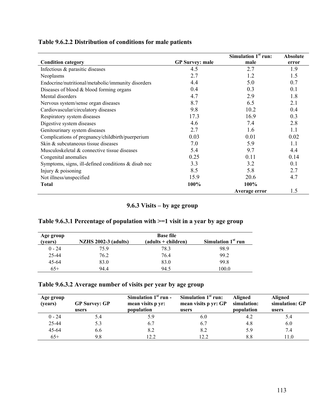| Table 9.6.2.2 Distribution of conditions for male patients |  |  |
|------------------------------------------------------------|--|--|
|------------------------------------------------------------|--|--|

|                                                        |                        | Simulation 1 <sup>st</sup> run: | <b>Absolute</b> |
|--------------------------------------------------------|------------------------|---------------------------------|-----------------|
| <b>Condition category</b>                              | <b>GP</b> Survey: male | male                            | error           |
| Infectious & parasitic diseases                        | 4.5                    | 2.7                             | 1.9             |
| Neoplasms                                              | 2.7                    | 1.2                             | 1.5             |
| Endocrine/nutritional/metabolic/immunity disorders     | 4.4                    | 5.0                             | 0.7             |
| Diseases of blood $&$ blood forming organs             | 0.4                    | 0.3                             | 0.1             |
| Mental disorders                                       | 4.7                    | 2.9                             | 1.8             |
| Nervous system/sense organ diseases                    | 8.7                    | 6.5                             | 2.1             |
| Cardiovascular/circulatory diseases                    | 9.8                    | 10.2                            | 0.4             |
| Respiratory system diseases                            | 17.3                   | 16.9                            | 0.3             |
| Digestive system diseases                              | 4.6                    | 7.4                             | 2.8             |
| Genitourinary system diseases                          | 2.7                    | 1.6                             | 1.1             |
| Complications of pregnancy/childbirth/puerperium       | 0.03                   | 0.01                            | 0.02            |
| Skin & subcutaneous tissue diseases                    | 7.0                    | 5.9                             | 1.1             |
| Musculoskeletal & connective tissue diseases           | 5.4                    | 9.7                             | 4.4             |
| Congenital anomalies                                   | 0.25                   | 0.11                            | 0.14            |
| Symptoms, signs, ill-defined conditions $\&$ disab nec | 3.3                    | 3.2                             | 0.1             |
| Injury $&$ poisoning                                   | 8.5                    | 5.8                             | 2.7             |
| Not illness/unspecified                                | 15.9                   | 20.6                            | 4.7             |
| <b>Total</b>                                           | 100%                   | 100%                            |                 |
|                                                        |                        | Average error                   | 1.5             |

**9.6.3 Visits – by age group** 

# **Table 9.6.3.1 Percentage of population with >=1 visit in a year by age group**

| Age group | <b>Base file</b>            |                     |                                |  |
|-----------|-----------------------------|---------------------|--------------------------------|--|
| (years)   | <b>NZHS 2002-3 (adults)</b> | (adults + children) | Simulation 1 <sup>st</sup> run |  |
| $0 - 24$  | 759                         | 78.3                | 98.9                           |  |
| 25-44     | 76.2                        | 76.4                | 99.2                           |  |
| 45-64     | 83.0                        | 83.0                | 99.8                           |  |
| $65+$     | 94.4                        | 94.5                | 100.0                          |  |

## **Table 9.6.3.2 Average number of visits per year by age group**

| Age group<br>(years) | <b>GP Survey: GP</b><br>users | Simulation $1st$ run -<br>mean visits p yr:<br>population | Simulation $1st$ run:<br>mean visits p yr: GP<br>users | <b>Aligned</b><br>simulation:<br>population | <b>Aligned</b><br>simulation: GP<br>users |
|----------------------|-------------------------------|-----------------------------------------------------------|--------------------------------------------------------|---------------------------------------------|-------------------------------------------|
| $0 - 24$             | 5.4                           | 5.9                                                       | 6.0                                                    | 4.2                                         | 5.4                                       |
| 25-44                | 5.3                           | 6.7                                                       | 6.7                                                    | 4.8                                         | 6.0                                       |
| $45 - 64$            | 6.6                           | 8.2                                                       | 8.2                                                    | 5.9                                         | 7.4                                       |
| $65+$                | 9.8                           | 22                                                        | 12.2                                                   | 8.8                                         | 11.0                                      |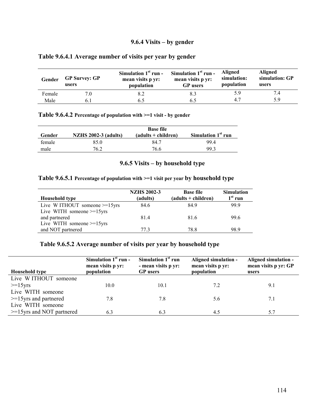#### **9.6.4 Visits – by gender**

#### **Table 9.6.4.1 Average number of visits per year by gender**

| Gender | <b>GP Survey: GP</b><br>users | Simulation $1st$ run -<br>mean visits p yr:<br>population | Simulation $1st$ run -<br>mean visits p yr:<br><b>GP</b> users | <b>Aligned</b><br>simulation:<br>population | <b>Aligned</b><br>simulation: GP<br>users |
|--------|-------------------------------|-----------------------------------------------------------|----------------------------------------------------------------|---------------------------------------------|-------------------------------------------|
| Female |                               |                                                           | 8.3                                                            | 5.9                                         |                                           |
| Male   |                               |                                                           |                                                                | 47                                          | 5 Q                                       |

#### **Table 9.6.4.2 Percentage of population with >=1 visit - by gender**

| Gender | <b>Base file</b><br>Simulation $1st$ run<br><b>NZHS 2002-3 (adults)</b><br>$(adults + children)$ |      |     |  |
|--------|--------------------------------------------------------------------------------------------------|------|-----|--|
| female | 85.0                                                                                             | 84.7 | 994 |  |
| male   | 76.2                                                                                             | 76.6 | 993 |  |

### **9.6.5 Visits – by household type**

#### **Table 9.6.5.1 Percentage of population with >=1 visit per year by household type**

| <b>Household type</b>        | <b>NZHS 2002-3</b><br>(adults) | <b>Base file</b><br>(adults + children) | <b>Simulation</b><br>$1st$ run |
|------------------------------|--------------------------------|-----------------------------------------|--------------------------------|
| Live WITHOUT someone >=15yrs | 84.6                           | 84.9                                    | 999                            |
| Live WITH someone $>=15$ yrs |                                |                                         |                                |
| and partnered                | 81.4                           | 81.6                                    | 99.6                           |
| Live WITH someone $>=15$ yrs |                                |                                         |                                |
| and NOT partnered            | 77 3                           | 78.8                                    | 98.9                           |

#### **Table 9.6.5.2 Average number of visits per year by household type**

| <b>Household type</b>        | Simulation $1st$ run -<br>mean visits p yr:<br>population | Simulation 1 <sup>st</sup> run<br>- mean visits p yr:<br><b>GP</b> users | Aligned simulation -<br>mean visits p yr:<br>population | Aligned simulation -<br>mean visits p yr: GP<br>users |
|------------------------------|-----------------------------------------------------------|--------------------------------------------------------------------------|---------------------------------------------------------|-------------------------------------------------------|
| Live WITHOUT someone         |                                                           |                                                                          |                                                         |                                                       |
| $>=15yrs$                    | 10.0                                                      | 10.1                                                                     | 7.2                                                     | 9.1                                                   |
| Live WITH someone            |                                                           |                                                                          |                                                         |                                                       |
| $>=15$ yrs and partnered     | 7.8                                                       | 7.8                                                                      | 5.6                                                     | 7.1                                                   |
| Live WITH someone            |                                                           |                                                                          |                                                         |                                                       |
| $>=15$ yrs and NOT partnered | 6.3                                                       | 6.3                                                                      | 4.5                                                     | 5.7                                                   |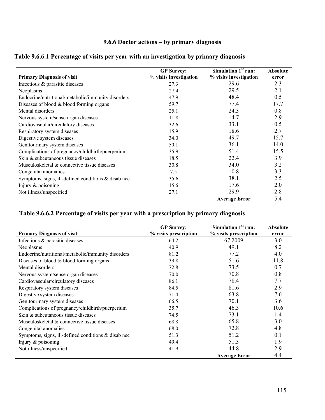## **9.6.6 Doctor actions – by primary diagnosis**

|  | Table 9.6.6.1 Percentage of visits per year with an investigation by primary diagnosis |  |  |
|--|----------------------------------------------------------------------------------------|--|--|
|  |                                                                                        |  |  |

|                                                        | <b>GP</b> Survey:      | Simulation $1st$ run:  | <b>Absolute</b> |
|--------------------------------------------------------|------------------------|------------------------|-----------------|
| <b>Primary Diagnosis of visit</b>                      | % visits investigation | % visits investigation | error           |
| Infectious & parasitic diseases                        | 27.3                   | 29.6                   | 2.3             |
| Neoplasms                                              | 27.4                   | 29.5                   | 2.1             |
| Endocrine/nutritional/metabolic/immunity disorders     | 47.9                   | 48.4                   | 0.5             |
| Diseases of blood $&$ blood forming organs             | 59.7                   | 77.4                   | 17.7            |
| Mental disorders                                       | 25.1                   | 24.3                   | 0.8             |
| Nervous system/sense organ diseases                    | 11.8                   | 14.7                   | 2.9             |
| Cardiovascular/circulatory diseases                    | 32.6                   | 33.1                   | 0.5             |
| Respiratory system diseases                            | 15.9                   | 18.6                   | 2.7             |
| Digestive system diseases                              | 34.0                   | 49.7                   | 15.7            |
| Genitourinary system diseases                          | 50.1                   | 36.1                   | 14.0            |
| Complications of pregnancy/childbirth/puerperium       | 35.9                   | 51.4                   | 15.5            |
| Skin & subcutaneous tissue diseases                    | 18.5                   | 22.4                   | 3.9             |
| Musculoskeletal & connective tissue diseases           | 30.8                   | 34.0                   | 3.2             |
| Congenital anomalies                                   | 7.5                    | 10.8                   | 3.3             |
| Symptoms, signs, ill-defined conditions $\&$ disab nec | 35.6                   | 38.1                   | 2.5             |
| Injury $&$ poisoning                                   | 15.6                   | 17.6                   | 2.0             |
| Not illness/unspecified                                | 27.1                   | 29.9                   | 2.8             |
|                                                        |                        | <b>Average Error</b>   | 5.4             |

## **Table 9.6.6.2 Percentage of visits per year with a prescription by primary diagnosis**

| <b>Primary Diagnosis of visit</b>                      | <b>GP</b> Survey:<br>% visits prescription | Simulation 1 <sup>st</sup> run:<br>% visits prescription | <b>Absolute</b><br>error |
|--------------------------------------------------------|--------------------------------------------|----------------------------------------------------------|--------------------------|
| Infectious & parasitic diseases                        | 64.2                                       | 67.2009                                                  | 3.0                      |
| Neoplasms                                              | 40.9                                       | 49.1                                                     | 8.2                      |
| Endocrine/nutritional/metabolic/immunity disorders     | 81.2                                       | 77.2                                                     | 4.0                      |
| Diseases of blood $&$ blood forming organs             | 39.8                                       | 51.6                                                     | 11.8                     |
| Mental disorders                                       | 72.8                                       | 73.5                                                     | 0.7                      |
| Nervous system/sense organ diseases                    | 70.0                                       | 70.8                                                     | 0.8                      |
| Cardiovascular/circulatory diseases                    | 86.1                                       | 78.4                                                     | 7.7                      |
| Respiratory system diseases                            | 84.5                                       | 81.6                                                     | 2.9                      |
| Digestive system diseases                              | 71.4                                       | 63.8                                                     | 7.6                      |
| Genitourinary system diseases                          | 66.5                                       | 70.1                                                     | 3.6                      |
| Complications of pregnancy/childbirth/puerperium       | 35.7                                       | 46.3                                                     | 10.6                     |
| Skin & subcutaneous tissue diseases                    | 74.5                                       | 73.1                                                     | 1.4                      |
| Musculoskeletal & connective tissue diseases           | 68.8                                       | 65.8                                                     | 3.0                      |
| Congenital anomalies                                   | 68.0                                       | 72.8                                                     | 4.8                      |
| Symptoms, signs, ill-defined conditions $\&$ disab nec | 51.3                                       | 51.2                                                     | 0.1                      |
| Injury $&$ poisoning                                   | 49.4                                       | 51.3                                                     | 1.9                      |
| Not illness/unspecified                                | 41.9                                       | 44.8                                                     | 2.9                      |
|                                                        |                                            | <b>Average Error</b>                                     | 4.4                      |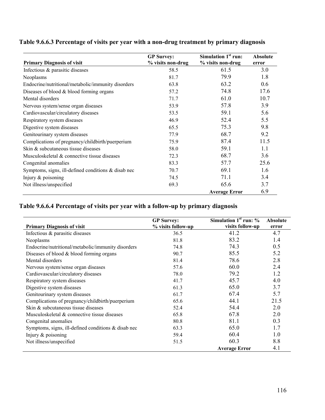|                                                        | <b>GP</b> Survey: | Simulation 1 <sup>st</sup> run: | <b>Absolute</b> |
|--------------------------------------------------------|-------------------|---------------------------------|-----------------|
| <b>Primary Diagnosis of visit</b>                      | % visits non-drug | % visits non-drug               | error           |
| Infectious $\&$ parasitic diseases                     | 58.5              | 61.5                            | 3.0             |
| Neoplasms                                              | 81.7              | 79.9                            | 1.8             |
| Endocrine/nutritional/metabolic/immunity disorders     | 63.8              | 63.2                            | 0.6             |
| Diseases of blood $&$ blood forming organs             | 57.2              | 74.8                            | 17.6            |
| Mental disorders                                       | 71.7              | 61.0                            | 10.7            |
| Nervous system/sense organ diseases                    | 53.9              | 57.8                            | 3.9             |
| Cardiovascular/circulatory diseases                    | 53.5              | 59.1                            | 5.6             |
| Respiratory system diseases                            | 46.9              | 52.4                            | 5.5             |
| Digestive system diseases                              | 65.5              | 75.3                            | 9.8             |
| Genitourinary system diseases                          | 77.9              | 68.7                            | 9.2             |
| Complications of pregnancy/childbirth/puerperium       | 75.9              | 87.4                            | 11.5            |
| Skin & subcutaneous tissue diseases                    | 58.0              | 59.1                            | 1.1             |
| Musculoskeletal & connective tissue diseases           | 72.3              | 68.7                            | 3.6             |
| Congenital anomalies                                   | 83.3              | 57.7                            | 25.6            |
| Symptoms, signs, ill-defined conditions $\&$ disab nec | 70.7              | 69.1                            | 1.6             |
| Injury $&$ poisoning                                   | 74.5              | 71.1                            | 3.4             |
| Not illness/unspecified                                | 69.3              | 65.6                            | 3.7             |
|                                                        |                   | <b>Average Error</b>            | 6.9             |

# **Table 9.6.6.4 Percentage of visits per year with a follow-up by primary diagnosis**

|                                                        | <b>GP</b> Survey:  | Simulation $1st$ run: $\%$ | <b>Absolute</b> |
|--------------------------------------------------------|--------------------|----------------------------|-----------------|
| <b>Primary Diagnosis of visit</b>                      | % visits follow-up | visits follow-up           | error           |
| Infectious & parasitic diseases                        | 36.5               | 41.2                       | 4.7             |
| Neoplasms                                              | 81.8               | 83.2                       | 1.4             |
| Endocrine/nutritional/metabolic/immunity disorders     | 74.8               | 74.3                       | 0.5             |
| Diseases of blood $&$ blood forming organs             | 90.7               | 85.5                       | 5.2             |
| Mental disorders                                       | 81.4               | 78.6                       | 2.8             |
| Nervous system/sense organ diseases                    | 57.6               | 60.0                       | 2.4             |
| Cardiovascular/circulatory diseases                    | 78.0               | 79.2                       | 1.2             |
| Respiratory system diseases                            | 41.7               | 45.7                       | 4.0             |
| Digestive system diseases                              | 61.3               | 65.0                       | 3.7             |
| Genitourinary system diseases                          | 61.7               | 67.4                       | 5.7             |
| Complications of pregnancy/childbirth/puerperium       | 65.6               | 44.1                       | 21.5            |
| Skin & subcutaneous tissue diseases                    | 52.4               | 54.4                       | 2.0             |
| Musculoskeletal & connective tissue diseases           | 65.8               | 67.8                       | 2.0             |
| Congenital anomalies                                   | 80.8               | 81.1                       | 0.3             |
| Symptoms, signs, ill-defined conditions $\&$ disab nec | 63.3               | 65.0                       | 1.7             |
| Injury $&$ poisoning                                   | 59.4               | 60.4                       | 1.0             |
| Not illness/unspecified                                | 51.5               | 60.3                       | 8.8             |
|                                                        |                    | <b>Average Error</b>       | 4.1             |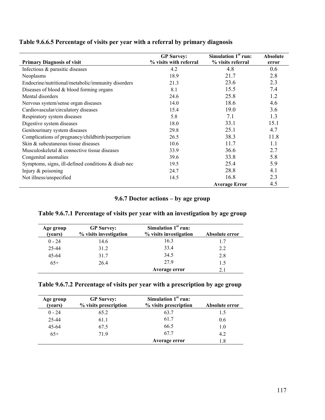|  | Table 9.6.6.5 Percentage of visits per year with a referral by primary diagnosis |  |  |  |  |
|--|----------------------------------------------------------------------------------|--|--|--|--|
|  |                                                                                  |  |  |  |  |

|                                                       | <b>GP</b> Survey:      | Simulation $1st$ run: | <b>Absolute</b> |
|-------------------------------------------------------|------------------------|-----------------------|-----------------|
| <b>Primary Diagnosis of visit</b>                     | % visits with referral | % visits referral     | error           |
| Infectious & parasitic diseases                       | 4.2                    | 4.8                   | 0.6             |
| Neoplasms                                             | 18.9                   | 21.7                  | 2.8             |
| Endocrine/nutritional/metabolic/immunity disorders    | 21.3                   | 23.6                  | 2.3             |
| Diseases of blood $&$ blood forming organs            | 8.1                    | 15.5                  | 7.4             |
| Mental disorders                                      | 24.6                   | 25.8                  | 1.2             |
| Nervous system/sense organ diseases                   | 14.0                   | 18.6                  | 4.6             |
| Cardiovascular/circulatory diseases                   | 15.4                   | 19.0                  | 3.6             |
| Respiratory system diseases                           | 5.8                    | 7.1                   | 1.3             |
| Digestive system diseases                             | 18.0                   | 33.1                  | 15.1            |
| Genitourinary system diseases                         | 29.8                   | 25.1                  | 4.7             |
| Complications of pregnancy/childbirth/puerperium      | 26.5                   | 38.3                  | 11.8            |
| Skin & subcutaneous tissue diseases                   | 10.6                   | 11.7                  | 1.1             |
| Musculoskeletal & connective tissue diseases          | 33.9                   | 36.6                  | 2.7             |
| Congenital anomalies                                  | 39.6                   | 33.8                  | 5.8             |
| Symptoms, signs, ill-defined conditions $&$ disab nec | 19.5                   | 25.4                  | 5.9             |
| Injury $&$ poisoning                                  | 24.7                   | 28.8                  | 4.1             |
| Not illness/unspecified                               | 14.5                   | 16.8                  | 2.3             |
|                                                       |                        | <b>Average Error</b>  | 4.5             |

## **9.6.7 Doctor actions – by age group**

| Age group<br>(years) | <b>GP</b> Survey:<br>% visits investigation | Simulation $1st$ run:<br>% visits investigation | Absolute error |
|----------------------|---------------------------------------------|-------------------------------------------------|----------------|
| $0 - 24$             | 14.6                                        | 16.3                                            | 1.7            |
| 25-44                | 31.2                                        | 33.4                                            | 2.2            |
| $45 - 64$            | 31.7                                        | 34.5                                            | 2.8            |
| $65+$                | 26.4                                        | 279                                             | 1.5            |
|                      |                                             | Average error                                   | 2.1            |

## **Table 9.6.7.1 Percentage of visits per year with an investigation by age group**

| Table 9.6.7.2 Percentage of visits per year with a prescription by age group |  |  |
|------------------------------------------------------------------------------|--|--|
|                                                                              |  |  |

| Age group<br>(years) | <b>GP</b> Survey:<br>% visits prescription | Simulation $1st$ run:<br>% visits prescription | Absolute error |
|----------------------|--------------------------------------------|------------------------------------------------|----------------|
| $0 - 24$             | 65.2                                       | 63.7                                           | 1.5            |
| 25-44                | 61.1                                       | 61.7                                           | 0.6            |
| $45 - 64$            | 67.5                                       | 66.5                                           | 1.0            |
| $65+$                | 719                                        | 67.7                                           | 4.2            |
|                      |                                            | Average error                                  | .8             |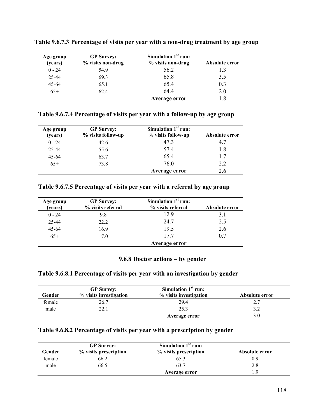| Age group<br>(years) | <b>GP</b> Survey:<br>% visits non-drug | Simulation $1st$ run:<br>% visits non-drug | Absolute error |
|----------------------|----------------------------------------|--------------------------------------------|----------------|
| $0 - 24$             | 54.9                                   | 56.2                                       | 1.3            |
| 25-44                | 69.3                                   | 65.8                                       | 3.5            |
| $45 - 64$            | 65.1                                   | 65.4                                       | 0.3            |
| $65+$                | 62.4                                   | 644                                        | 2.0            |
|                      |                                        | Average error                              | 1.8            |

**Table 9.6.7.3 Percentage of visits per year with a non-drug treatment by age group** 

**Table 9.6.7.4 Percentage of visits per year with a follow-up by age group** 

| Age group<br>(years) | <b>GP</b> Survey:<br>% visits follow-up | Simulation $1st$ run:<br>% visits follow-up | Absolute error |
|----------------------|-----------------------------------------|---------------------------------------------|----------------|
| $0 - 24$             | 42.6                                    | 47.3                                        |                |
| 25-44                | 55.6                                    | 57.4                                        | 1.8            |
| $45 - 64$            | 63.7                                    | 65.4                                        | 17             |
| $65+$                | 73.8                                    | 76.0                                        | 2.2            |
|                      |                                         | <b>Average error</b>                        | 2.6            |

**Table 9.6.7.5 Percentage of visits per year with a referral by age group** 

| Age group<br>(years) | <b>GP</b> Survey:<br>% visits referral | Simulation $1st$ run:<br>% visits referral | Absolute error |
|----------------------|----------------------------------------|--------------------------------------------|----------------|
| $0 - 24$             | 9.8                                    | 12.9                                       | 3.1            |
| 25-44                | 22.2                                   | 24.7                                       | 2.5            |
| $45 - 64$            | 16.9                                   | 19.5                                       | 2.6            |
| $65+$                | 17.0                                   | 177                                        | 0.7            |
|                      |                                        | Average error                              |                |

#### **9.6.8 Doctor actions – by gender**

### **Table 9.6.8.1 Percentage of visits per year with an investigation by gender**

| Gender | <b>GP</b> Survey:<br>% visits investigation | Simulation $1st$ run:<br>% visits investigation | Absolute error |
|--------|---------------------------------------------|-------------------------------------------------|----------------|
| female | 26.7                                        | 29.4                                            | 2.7            |
| male   | 22.1                                        | 25.3                                            | 3.2            |
|        |                                             | Average error                                   | 3.0            |

#### **Table 9.6.8.2 Percentage of visits per year with a prescription by gender**

|        | <b>GP</b> Survey:     | Simulation $1st$ run: |                |
|--------|-----------------------|-----------------------|----------------|
| Gender | % visits prescription | % visits prescription | Absolute error |
| female | 66.2                  | 65.3                  | 0.9            |
| male   | 66.5                  | 63.7                  | 2.8            |
|        |                       | <b>Average error</b>  | - Q            |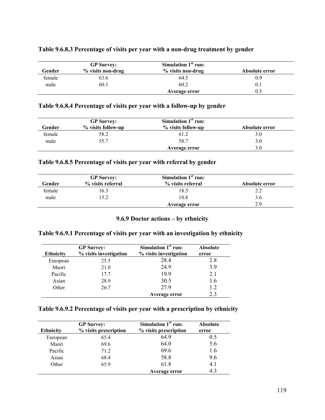|        | <b>GP</b> Survey: | Simulation $1st$ run: |                |
|--------|-------------------|-----------------------|----------------|
| Gender | % visits non-drug | % visits non-drug     | Absolute error |
| female | 63.6              | 64.5                  | 0.9            |
| male   | 60.1              | 60.2                  | $0_{\cdot}$    |
|        |                   | Average error         | 0.5            |

#### **Table 9.6.8.3 Percentage of visits per year with a non-drug treatment by gender**

#### **Table 9.6.8.4 Percentage of visits per year with a follow-up by gender**

| Gender | <b>GP</b> Survey:<br>% visits follow-up | Simulation $1st$ run:<br>% visits follow-up | Absolute error |
|--------|-----------------------------------------|---------------------------------------------|----------------|
| female | 58.2                                    | 61.2                                        | 3.0            |
| male   | 55.7                                    | 58.7                                        | 3.0            |
|        |                                         | Average error                               | 3.0            |

### **Table 9.6.8.5 Percentage of visits per year with referral by gender**

|        | <b>GP</b> Survey: | Simulation $1st$ run: |                |
|--------|-------------------|-----------------------|----------------|
| Gender | % visits referral | % visits referral     | Absolute error |
| female | 16.3              | 18.5                  | 2.2            |
| male   | 15.2              | 18.8                  | 3.6            |
|        |                   | Average error         | 29             |

#### **9.6.9 Doctor actions – by ethnicity**

#### **Table 9.6.9.1 Percentage of visits per year with an investigation by ethnicity**

| <b>GP</b> Survey: |                        | Simulation $1st$ run:  | <b>Absolute</b> |
|-------------------|------------------------|------------------------|-----------------|
| <b>Ethnicity</b>  | % visits investigation | % visits investigation | error           |
| European          | 25.5                   | 28.4                   | 2.8             |
| Maori             | 21.0                   | 249                    | 39              |
| Pacific           | 17.7                   | 199                    | 21              |
| Asian             | 28.9                   | 30.5                   | 1.6             |
| Other             | 26.7                   | 279                    | 1.2             |
|                   |                        | Average error          | 2.3             |

### **Table 9.6.9.2 Percentage of visits per year with a prescription by ethnicity**

| <b>GP</b> Survey: |                       | Simulation $1st$ run: | <b>Absolute</b> |
|-------------------|-----------------------|-----------------------|-----------------|
| <b>Ethnicity</b>  | % visits prescription | % visits prescription | error           |
| European          | 65.4                  | 649                   | 0.5             |
| Maori             | 69.6                  | 64.0                  | 5.6             |
| Pacific           | 71.2                  | 69.6                  | 1.6             |
| Asian             | 68.4                  | 58.8                  | 9.6             |
| Other             | 65.9                  | 61.8                  | 4.1             |
|                   |                       | Average error         | 4.3             |